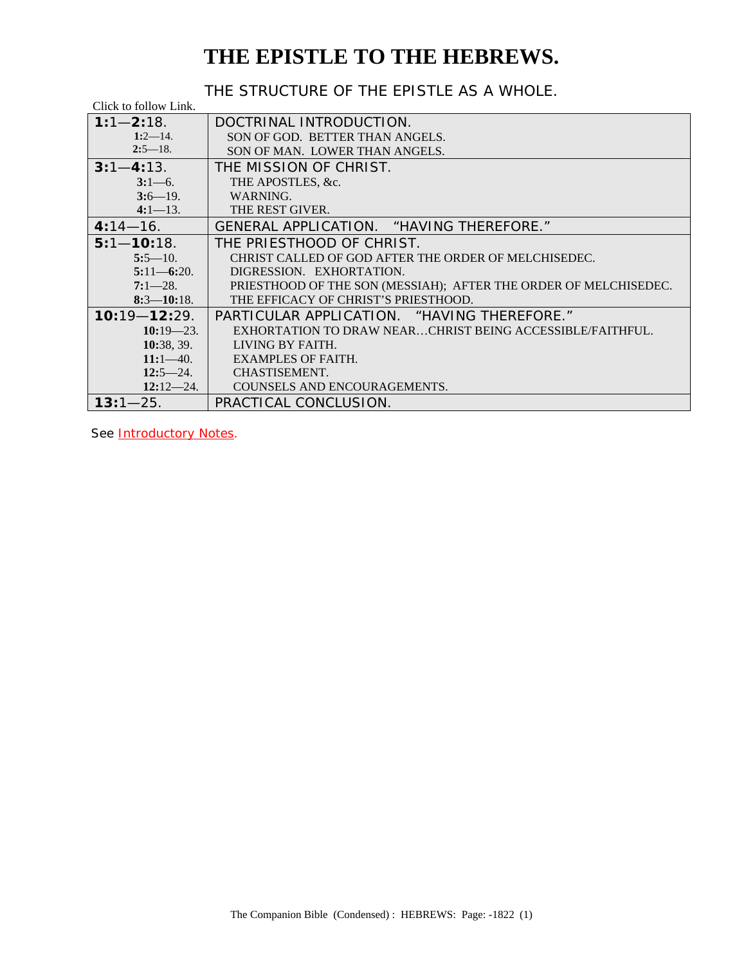### **THE EPISTLE TO THE HEBREWS.**

THE STRUCTURE OF THE EPISTLE AS A WHOLE.

| Click to follow Link. |                                                                  |  |  |  |  |
|-----------------------|------------------------------------------------------------------|--|--|--|--|
| $1:1 - 2:18$ .        | DOCTRINAL INTRODUCTION.                                          |  |  |  |  |
| $1:2-14$ .            | SON OF GOD. BETTER THAN ANGELS.                                  |  |  |  |  |
| $2:5-18$ .            | SON OF MAN. LOWER THAN ANGELS.                                   |  |  |  |  |
| $3:1 - 4:13$ .        | THE MISSION OF CHRIST.                                           |  |  |  |  |
| $3:1-6$ .             | THE APOSTLES, &c.                                                |  |  |  |  |
| $3:6 - 19$ .          | WARNING.                                                         |  |  |  |  |
| $4:1-13$ .            | THE REST GIVER.                                                  |  |  |  |  |
| $4:14 - 16.$          | GENERAL APPLICATION. "HAVING THEREFORE."                         |  |  |  |  |
| $5:1 - 10:18$ .       | THE PRIESTHOOD OF CHRIST.                                        |  |  |  |  |
| $5:5-10.$             | CHRIST CALLED OF GOD AFTER THE ORDER OF MELCHISEDEC.             |  |  |  |  |
| $5:11 - 6:20$ .       | DIGRESSION. EXHORTATION.                                         |  |  |  |  |
| $7:1-28$ .            | PRIESTHOOD OF THE SON (MESSIAH); AFTER THE ORDER OF MELCHISEDEC. |  |  |  |  |
| $8:3 - 10:18$ .       | THE EFFICACY OF CHRIST'S PRIESTHOOD.                             |  |  |  |  |
| $10:19 - 12:29$ .     | PARTICULAR APPLICATION. "HAVING THEREFORE."                      |  |  |  |  |
| $10:19 - 23.$         | EXHORTATION TO DRAW NEARCHRIST BEING ACCESSIBLE/FAITHFUL.        |  |  |  |  |
| 10:38, 39.            | LIVING BY FAITH.                                                 |  |  |  |  |
| $11:1-40.$            | <b>EXAMPLES OF FAITH.</b>                                        |  |  |  |  |
| $12:5 - 24.$          | CHASTISEMENT.                                                    |  |  |  |  |
| $12:12-24.$           | COUNSELS AND ENCOURAGEMENTS.                                     |  |  |  |  |
| $13:1 - 25.$          | PRACTICAL CONCLUSION.                                            |  |  |  |  |

See **Introductory Notes**.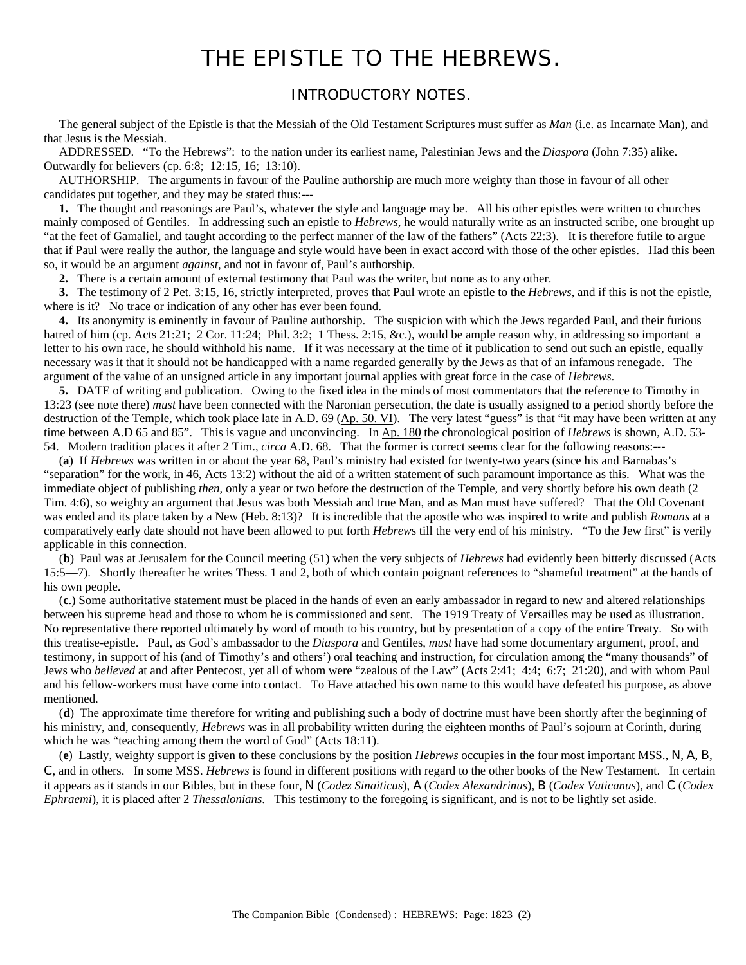### THE EPISTLE TO THE HEBREWS.

### INTRODUCTORY NOTES.

<span id="page-1-0"></span> The general subject of the Epistle is that the Messiah of the Old Testament Scriptures must suffer as *Man* (i.e. as Incarnate Man), and that Jesus is the Messiah.

 ADDRESSED. "To the Hebrews": to the nation under its earliest name, Palestinian Jews and the *Diaspora* (John 7:35) alike. Outwardly for believers (cp. [6:8;](#page-9-0) [12:15, 16;](#page-22-0) [13:10\)](#page-24-0).

 AUTHORSHIP. The arguments in favour of the Pauline authorship are much more weighty than those in favour of all other candidates put together, and they may be stated thus:---

 **1.** The thought and reasonings are Paul's, whatever the style and language may be. All his other epistles were written to churches mainly composed of Gentiles. In addressing such an epistle to *Hebrews*, he would naturally write as an instructed scribe, one brought up "at the feet of Gamaliel, and taught according to the perfect manner of the law of the fathers" (Acts 22:3). It is therefore futile to argue that if Paul were really the author, the language and style would have been in exact accord with those of the other epistles. Had this been so, it would be an argument *against*, and not in favour of, Paul's authorship.

**2.** There is a certain amount of external testimony that Paul was the writer, but none as to any other.

 **3.** The testimony of 2 Pet. 3:15, 16, strictly interpreted, proves that Paul wrote an epistle to the *Hebrews*, and if this is not the epistle, where is it? No trace or indication of any other has ever been found.

 **4.** Its anonymity is eminently in favour of Pauline authorship. The suspicion with which the Jews regarded Paul, and their furious hatred of him (cp. Acts 21:21; 2 Cor. 11:24; Phil. 3:2; 1 Thess. 2:15, &c.), would be ample reason why, in addressing so important a letter to his own race, he should withhold his name. If it was necessary at the time of it publication to send out such an epistle, equally necessary was it that it should not be handicapped with a name regarded generally by the Jews as that of an infamous renegade. The argument of the value of an unsigned article in any important journal applies with great force in the case of *Hebrews*.

 **5.** DATE of writing and publication. Owing to the fixed idea in the minds of most commentators that the reference to Timothy in 13:23 (see note there) *must* have been connected with the Naronian persecution, the date is usually assigned to a period shortly before the destruction of the Temple, which took place late in A.D.  $69$  ( $Ap. 50$ . VI). The very latest "guess" is that "it may have been written at any time between A.D 65 and 85". This is vague and unconvincing. In Ap. 180 the chronological position of *Hebrews* is shown, A.D. 53- 54. Modern tradition places it after 2 Tim., *circa* A.D. 68. That the former is correct seems clear for the following reasons:---

 (**a**) If *Hebrews* was written in or about the year 68, Paul's ministry had existed for twenty-two years (since his and Barnabas's "separation" for the work, in 46, Acts 13:2) without the aid of a written statement of such paramount importance as this. What was the immediate object of publishing *then*, only a year or two before the destruction of the Temple, and very shortly before his own death (2 Tim. 4:6), so weighty an argument that Jesus was both Messiah and true Man, and as Man must have suffered? That the Old Covenant was ended and its place taken by a New (Heb. 8:13)? It is incredible that the apostle who was inspired to write and publish *Romans* at a comparatively early date should not have been allowed to put forth *Hebrew*s till the very end of his ministry. "To the Jew first" is verily applicable in this connection.

 (**b**) Paul was at Jerusalem for the Council meeting (51) when the very subjects of *Hebrews* had evidently been bitterly discussed (Acts 15:5—7). Shortly thereafter he writes Thess. 1 and 2, both of which contain poignant references to "shameful treatment" at the hands of his own people.

 (**c**.) Some authoritative statement must be placed in the hands of even an early ambassador in regard to new and altered relationships between his supreme head and those to whom he is commissioned and sent. The 1919 Treaty of Versailles may be used as illustration. No representative there reported ultimately by word of mouth to his country, but by presentation of a copy of the entire Treaty. So with this treatise-epistle. Paul, as God's ambassador to the *Diaspora* and Gentiles, *must* have had some documentary argument, proof, and testimony, in support of his (and of Timothy's and others') oral teaching and instruction, for circulation among the "many thousands" of Jews who *believed* at and after Pentecost, yet all of whom were "zealous of the Law" (Acts 2:41; 4:4; 6:7; 21:20), and with whom Paul and his fellow-workers must have come into contact. To Have attached his own name to this would have defeated his purpose, as above mentioned.

 (**d**) The approximate time therefore for writing and publishing such a body of doctrine must have been shortly after the beginning of his ministry, and, consequently, *Hebrews* was in all probability written during the eighteen months of Paul's sojourn at Corinth, during which he was "teaching among them the word of God" (Acts 18:11).

 (**e**) Lastly, weighty support is given to these conclusions by the position *Hebrews* occupies in the four most important MSS., N, A, B, C, and in others. In some MSS. *Hebrews* is found in different positions with regard to the other books of the New Testament. In certain it appears as it stands in our Bibles, but in these four, N (*Codez Sinaiticus*), A (*Codex Alexandrinus*), B (*Codex Vaticanus*), and C (*Codex Ephraemi*), it is placed after 2 *Thessalonians*. This testimony to the foregoing is significant, and is not to be lightly set aside.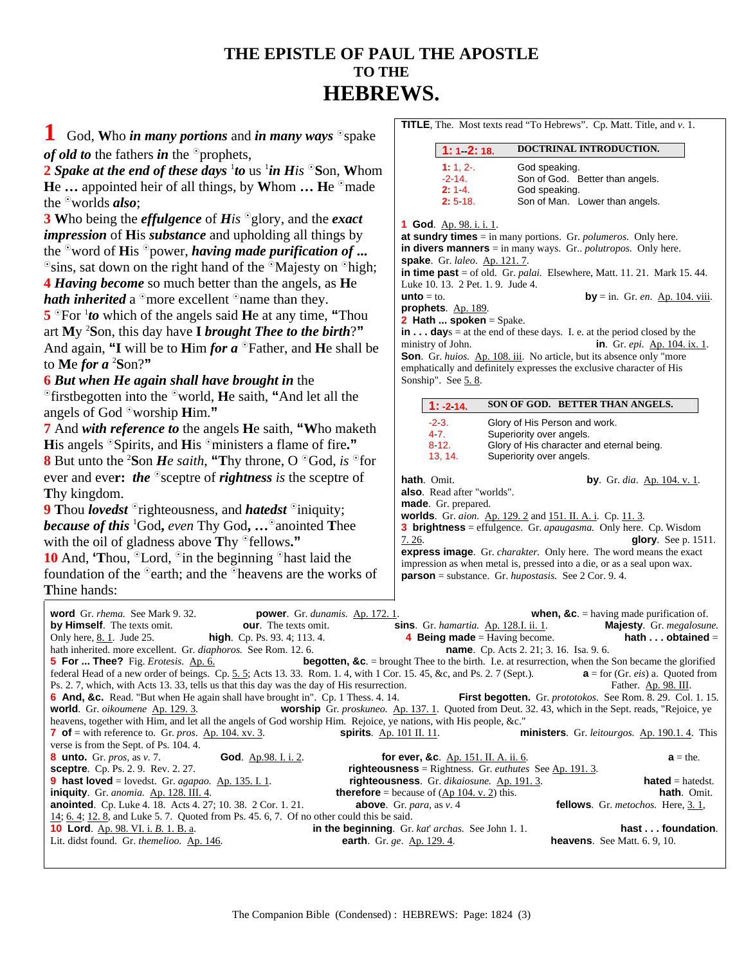### **THE EPISTLE OF PAUL THE APOSTLE TO THE HEBREWS.**

<span id="page-2-0"></span>**1** God, Who *in many portions* and *in many ways* <sup>o</sup>spake *of old to* the fathers *in* the <sup>o</sup>prophets,

**TITLE**, The. Most texts read "To Hebrews". Cp. Matt. Title, and *v*. 1.

| God, Who in many portions and in many ways $\circ$ spake                                                                                                                                 |                                                                                                                                                             |
|------------------------------------------------------------------------------------------------------------------------------------------------------------------------------------------|-------------------------------------------------------------------------------------------------------------------------------------------------------------|
| <i>of old to the fathers in the</i> $^{\circ}$ prophets,                                                                                                                                 | DOCTRINAL INTRODUCTION.<br>$1: 1 - 2: 18.$                                                                                                                  |
| <i>l</i> Spake at the end of these days <sup>1</sup> to us <sup>1</sup> in His $\mathrm{^{\circ} Son},$ Whom                                                                             | $1: 1, 2-.$<br>God speaking.                                                                                                                                |
| <b>He</b> appointed heir of all things, by Whom $\ldots$ He $\textdegree$ made                                                                                                           | $-2 - 14.$<br>Son of God. Better than angels.<br>2:14.<br>God speaking.                                                                                     |
| he <sup>o</sup> worlds <i>also</i> ;                                                                                                                                                     | Son of Man. Lower than angels.<br>$2:5.18$ .                                                                                                                |
| Who being the <i>effulgence</i> of <i>His</i> $^{\circ}$ glory, and the <i>exact</i>                                                                                                     | 1 God. Ap. 98. i. i. 1.                                                                                                                                     |
| <i>mpression</i> of His <i>substance</i> and upholding all things by                                                                                                                     | at sundry times $=$ in many portions. Gr. <i>polumeros</i> . Only here.                                                                                     |
| he $^{\circ}$ word of <b>H</b> is $^{\circ}$ power, <i>having made purification of</i>                                                                                                   | in divers manners $=$ in many ways. Gr. <i>polutropos</i> . Only here.                                                                                      |
| $\gamma$ sins, sat down on the right hand of the $\gamma$ Majesty on $\gamma$ high;                                                                                                      | spake. Gr. laleo. Ap. 121.7.<br>in time past $=$ of old. Gr. <i>palai</i> . Elsewhere, Matt. 11. 21. Mark 15. 44.                                           |
| <i>Having become</i> so much better than the angels, as He                                                                                                                               | Luke 10. 13. 2 Pet. 1. 9. Jude 4.                                                                                                                           |
| <i>ath inherited</i> a $^{\circ}$ more excellent $^{\circ}$ name than they.                                                                                                              | $unto = to.$<br><b>by</b> = in. Gr. en. $\Delta p$ . 104. viii.                                                                                             |
| $\mathbf{S}^{\circ}$ For $^1$ to which of the angels said He at any time, "Thou                                                                                                          | prophets. Ap. 189.<br><b>2 Hath  spoken</b> = Spake.                                                                                                        |
| In true My <sup>2</sup> Son, this day have <b>I</b> brought Thee to the birth?"                                                                                                          | $\mathbf{in} \dots \mathbf{days} = \mathbf{at}$ the end of these days. I. e. at the period closed by the                                                    |
| And again, "I will be to $\lim$ for $a$ $\circ$ Father, and He shall be                                                                                                                  | ministry of John.<br><b>in.</b> Gr. <i>epi</i> . Ap. 104. ix. 1.                                                                                            |
| o <b>Me <i>for a</i> 'S</b> on? <b>''</b>                                                                                                                                                | Son. Gr. huios. Ap. 108. iii. No article, but its absence only "more<br>emphatically and definitely expresses the exclusive character of His                |
| But when He again shall have brought in the                                                                                                                                              | Sonship". See 5.8.                                                                                                                                          |
| $\mathcal{C}$ firstbegotten into the $\mathcal{C}$ world, <b>H</b> e saith, "And let all the                                                                                             | SON OF GOD. BETTER THAN ANGELS.                                                                                                                             |
| ingels of God $\degree$ worship <b>H</b> im."                                                                                                                                            | $1: -2: 14.$                                                                                                                                                |
| And with reference to the angels He saith, "Who maketh"                                                                                                                                  | $-23.$<br>Glory of His Person and work.<br>47.<br>Superiority over angels.                                                                                  |
| <b>H</b> is angels $\textdegree$ Spirits, and <b>H</b> is $\textdegree$ ministers a flame of fire."                                                                                      | 8.12.<br>Glory of His character and eternal being.                                                                                                          |
| But unto the <sup>2</sup> Son <i>He saith</i> , "Thy throne, O $^{\circ}$ God, <i>is</i> $^{\circ}$ for                                                                                  | 13, 14.<br>Superiority over angels.                                                                                                                         |
| ever and ever: the $\circ$ sceptre of rightness is the sceptre of                                                                                                                        | hath. Omit.<br><b>by</b> . Gr. dia. Ap. 104. v. 1.                                                                                                          |
| Thy kingdom.                                                                                                                                                                             | also. Read after "worlds".                                                                                                                                  |
| Thou <i>lovedst</i> $\partial$ righteousness, and <i>hatedst</i> $\partial$ iniquity;                                                                                                    | made. Gr. prepared.<br><b>worlds.</b> Gr. <i>aion.</i> Ap. 129. 2 and 151. II. A. i. Cp. 11. 3.                                                             |
| <b>Solution</b> <i>i</i> God, <i>even</i> Thy God, $\circ$ anointed Thee                                                                                                                 | <b>3 brightness</b> = effulgence. Gr. <i>apaugasma</i> . Only here. Cp. Wisdom                                                                              |
| with the oil of gladness above Thy $^{\circ}$ fellows."                                                                                                                                  | 7.26.<br>glory. See $p. 1511$ .                                                                                                                             |
| <b>0</b> And, 'Thou, $\mathrm{{}^{^\circ}\!Lord}$ , $\mathrm{{}^{^\circ}\!in}$ the beginning $\mathrm{{}^{^\circ}\!hast}$ laid the                                                       | <b>express image.</b> Gr. <i>charakter</i> . Only here. The word means the exact<br>impression as when metal is, pressed into a die, or as a seal upon wax. |
| oundation of the $\degree$ earth; and the $\degree$ heavens are the works of                                                                                                             | parson = substance. Gr. hupostasis. See 2 Cor. 9.4.                                                                                                         |
| Thine hands:                                                                                                                                                                             |                                                                                                                                                             |
| word Gr. rhema. See Mark 9.32.<br><b>power</b> . Gr. dunamis. Ap. 172. 1.                                                                                                                | <b>when, &amp;c.</b> = having made purification of.                                                                                                         |
| by Himself. The texts omit.<br><b>our.</b> The texts omit.                                                                                                                               | sins. Gr. hamartia. Ap. 128.I. ii. 1.<br>Majesty. Gr. megalosune.                                                                                           |
| high. Cp. Ps. 93. 4; 113. 4.<br>Only here, <u>8. 1</u> . Jude 25.<br>hath inherited. more excellent. Gr. diaphoros. See Rom. 12. 6.                                                      | hath $\dots$ obtained $=$<br><b>4 Being made</b> = Having become.<br><b>name</b> . Cp. Acts 2. 21; 3. 16. Isa. 9. 6.                                        |
| <b>5 For  Thee?</b> Fig. <i>Erotesis.</i> Ap. 6.                                                                                                                                         | <b>begotten, &amp;c.</b> = brought Thee to the birth. I.e. at resurrection, when the Son became the glorified                                               |
| federal Head of a new order of beings. Cp. 5. 5; Acts 13. 33. Rom. 1. 4, with 1 Cor. 15. 45, &c, and Ps. 2. 7 (Sept.).                                                                   | $\mathbf{a}$ = for (Gr. <i>eis</i> ) a. Quoted from                                                                                                         |
| Ps. 2. 7, which, with Acts 13. 33, tells us that this day was the day of His resurrection.<br><b>6 And, &amp;c.</b> Read. "But when He again shall have brought in". Cp. 1 Thess. 4. 14. | Father. Ap. 98. III.<br>First begotten. Gr. prototokos. See Rom. 8. 29. Col. 1. 15.                                                                         |
| <b>world</b> . Gr. oikoumene Ap. 129.3.                                                                                                                                                  | worship Gr. proskuneo. Ap. 137. 1. Quoted from Deut. 32. 43, which in the Sept. reads, "Rejoice, ye                                                         |
| heavens, together with Him, and let all the angels of God worship Him. Rejoice, ye nations, with His people, &c."                                                                        |                                                                                                                                                             |

heavens, together with Him, and let all the angels of God worship Him. Rejoice, ye nations, with  $\overline{7}$  of = with reference to. Gr. *pros.* Ap. 104. xv. 3. **spirits**. Ap. 101 II. 11. **7 of** = with reference to. Gr. *pros*. Ap. 104. xv. 3. **spirits***.* Ap. 101 II. 11. **ministers**. Gr. *leitourgos.* Ap. 190.1. 4. This verse is from the Sept. of Ps. 104. 4. **8 unto.** Gr. *pros,* as *v.* 7. **God**. Ap.98. I. i. 2. **for ever, &c**. Ap. 151. II. A. ii. 6. **a** = the. **sceptre**. Cp. Ps. 2. 9. Rev. 2. 27. **righteousness** = Rightness. Gr. *euthutes* See Ap. 191. 3. **9 hast loved** = lovedst. Gr. *agapao.* Ap. 135. I. 1. **righteousness**. Gr. *dikaiosune.* Ap. 191. 3. **hated** = hatedst. **iniquity**. Gr. *anomia.* Ap. 128. III. 4. **therefore** = because of (Ap 104. v. 2) this. **hath**. Omit. **anointed**. Cp. Luke 4. 18. Acts 4. 27; 10. 38. 2 Cor. 1. 21. **above**. Gr. *para,* as *v*. 4 **fellows**. Gr. *metochos.* Here, [3. 1,](#page-4-0) [14;](#page-5-0) [6. 4;](#page-9-0) [12. 8,](#page-21-0) and Luke 5. 7. Quoted from Ps. 45. 6, 7. Of no other could this be said. **10 Lord**. Ap. 98. VI. i. *B.* 1. B. a. **in the beginning**. Gr. *kat*' *archas.* See John 1. 1. **hast . . . foundation**. Lit. didst found. Gr. *themelioo.* Ap. 146. **earth**. Gr. *ge*. Ap. 129. 4. **heavens**. See Matt. 6. 9, 10.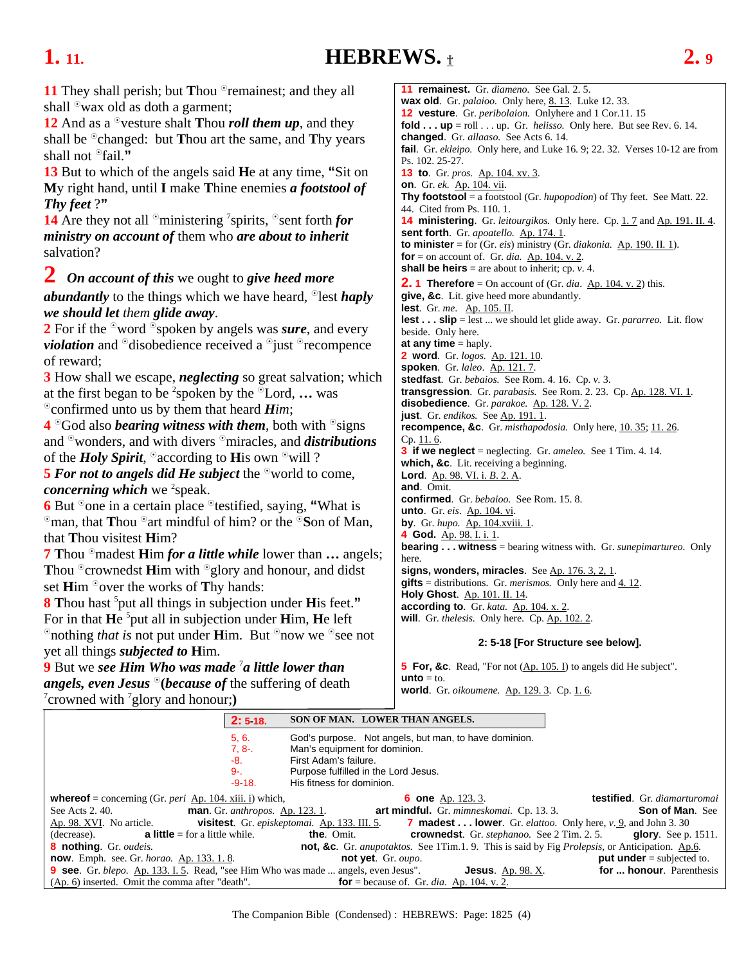### <span id="page-3-0"></span>**1. 11. HEBREWS.** † **2. 9**

**11** They shall perish; but **T**hou <sup>o</sup>remainest; and they all shall  $\mathcal{O}_{\mathbf{W}^{\otimes}}$  wax old as doth a garment;

**12** And as a <sup>o</sup>vesture shalt **T**hou *roll them up*, and they shall be <sup>o</sup>changed: but **T**hou art the same, and **T**hy years shall not <sup>o</sup>fail."

**13** But to which of the angels said **H**e at any time, **"**Sit on **M**y right hand, until **I** make **T**hine enemies *a footstool of Thy feet* ?**"** 

**14** Are they not all <sup>o</sup>ministering <sup>7</sup> spirits, <sup>o</sup>sent forth *for ministry on account of* them who *are about to inherit* salvation?

**2** *On account of this* we ought to *give heed more* 

*abundantly* to the things which we have heard, <sup>o</sup>lest *haply we should let them glide away*.

**2** For if the <sup>o</sup>word <sup>o</sup>spoken by angels was *sure*, and every *violation* and <sup>o</sup>disobedience received a <sup>o</sup>just <sup>o</sup>recompence of reward;

**3** How shall we escape, *neglecting* so great salvation; which at the first began to be <sup>2</sup>spoken by the <sup>o</sup>Lord, ... was  $\degree$  confirmed unto us by them that heard *Him*;

**4** <sup>o</sup>God also *bearing witness with them*, both with <sup>o</sup>signs and <sup>o</sup>wonders, and with divers <sup>o</sup>miracles, and *distributions* of the *Holy Spirit*,  $\Omega$  according to His own  $\Omega$  will ?

**5 For not to angels did He subject** the <sup>o</sup>world to come, *concerning which* we <sup>2</sup>speak.

**6** But <sup>o</sup> one in a certain place <sup>o</sup> testified, saying, "What is <sup>o</sup>man, that **T**hou <sup>o</sup>art mindful of him? or the <sup>o</sup>Son of Man, that **T**hou visitest **H**im?

**7 Thou** <sup>o</sup>madest **H**im *for a little while* lower than **…** angels; **Thou <sup>c</sup>rownedst <b>H**im with <sup>e</sup>glory and honour, and didst set **Him** <sup>o</sup> over the works of **Thy hands:** 

**8 T**hou hast 5 put all things in subjection under **H**is feet.**"** For in that He <sup>5</sup> put all in subjection under Him, He left  $\degree$  nothing *that is* not put under **H**im. But  $\degree$  now we  $\degree$  see not yet all things *subjected to* **H**im.

**9** But we see Him Who was made <sup>7</sup> a little lower than *angels, even Jesus*  $\Theta$  *(because of the suffering of death)* crowned with 7 glory and honour;**)** 

**11 remainest.** Gr. *diameno.* See Gal. 2. 5. **wax old**. Gr. *palaioo.* Only here, [8. 13.](#page-13-0) Luke 12. 33. **12 vesture**. Gr. *peribolaion.* Onlyhere and 1 Cor.11. 15 **fold ... up** = roll  $\dots$  up. Gr. *helisso*. Only here. But see Rev. 6. 14. **changed**. Gr. *allaaso.* See Acts 6. 14. **fail**. Gr. *ekleipo.* Only here, and Luke 16. 9; 22. 32. Verses 10-12 are from Ps. 102. 25-27. **13 to**. Gr. *pros.* Ap. 104. xv. 3. **on**. Gr. *ek.* Ap. 104. vii. **Thy footstool** = a footstool (Gr. *hupopodion*) of Thy feet. See Matt. 22. 44. Cited from Ps. 110. 1. **14 ministering**. Gr. *leitourgikos*. Only here. Cp[. 1. 7](#page-2-0) and Ap. 191. II. 4. sent forth. Gr. *apoatello.* Ap. 174. 1. **to minister** = for (Gr. *eis*) ministry (Gr. *diakonia.* Ap. 190. II*.* 1). **for**  $=$  on account of. Gr. *dia*. <u>Ap. 104. v. 2</u>. **shall be heirs** = are about to inherit; cp.  $v$ . 4. **2. 1 Therefore** = On account of (Gr. *dia*. Ap. 104. v. 2) this. **give, &c**. Lit. give heed more abundantly. **lest**. Gr. *me*. Ap. 105. II. **lest . . . slip** = lest ... we should let glide away. Gr. *pararreo.* Lit. flow beside. Only here. **at any time** = haply. **2 word**. Gr. *logos.* Ap. 121. 10. **spoken**. Gr. *laleo*. Ap. 121. 7. **stedfast**. Gr. *bebaios.* See Rom. 4. 16. Cp. *v.* 3. **transgression**. Gr. *parabasis.* See Rom. 2. 23. Cp. Ap. 128. VI. 1. **disobedience**. Gr. *parakoe.* Ap. 128. V. 2. **just**. Gr. *endikos.* See Ap. 191. 1. **recompence, &c**. Gr. *misthapodosia.* Only here, [10. 35;](#page-17-0) [11. 26.](#page-19-0)  Cp. [11. 6.](#page-18-0)  **3 if we neglect** = neglecting. Gr. *ameleo.* See 1 Tim. 4. 14. **which, &c**. Lit. receiving a beginning. **Lord**. Ap. 98. VI. i. *B*. 2. A. **and**. Omit. **confirmed**. Gr. *bebaioo.* See Rom. 15. 8. **unto**. Gr. *eis*. Ap. 104. vi. **by**. Gr. *hupo.* Ap. 104.xviii. 1. **4 God.** Ap. 98. I. i. 1. **bearing . . . witness** = bearing witness with. Gr. *sunepimartureo.* Only here. **signs, wonders, miracles**. See Ap. 176. 3, 2, 1. **gifts** = distributions. Gr. *merismos.* Only here and [4. 12.](#page-6-0) **Holy Ghost**. Ap. 101. II. 14. **according to**. Gr. *kata.* Ap. 104. x. 2. **will**. Gr. *thelesis.* Only here. Cp. Ap. 102. 2.

### **2: 5-18 [For Structure see below].**

**5 For, &c.** Read, "For not (Ap. 105. I) to angels did He subject".  $$ **world**. Gr. *oikoumene.* Ap. 129. 3. Cp. [1. 6.](#page-2-0) 

|                                                                                                                            | $2:5.18$ . |                                      | SON OF MAN. LOWER THAN ANGELS.                           |                                                                                                       |
|----------------------------------------------------------------------------------------------------------------------------|------------|--------------------------------------|----------------------------------------------------------|-------------------------------------------------------------------------------------------------------|
|                                                                                                                            | 5, 6.      |                                      | God's purpose. Not angels, but man, to have dominion.    |                                                                                                       |
|                                                                                                                            | $7, 8-$ .  | Man's equipment for dominion.        |                                                          |                                                                                                       |
|                                                                                                                            | -8.        | First Adam's failure.                |                                                          |                                                                                                       |
|                                                                                                                            | $9 - 1$    | Purpose fulfilled in the Lord Jesus. |                                                          |                                                                                                       |
|                                                                                                                            | $-918.$    | His fitness for dominion.            |                                                          |                                                                                                       |
| <b>whereof</b> = concerning (Gr. <i>peri</i> $\Delta p$ . 104. xiii. i) which,                                             |            |                                      | <b>6 one</b> Ap. 123. 3.                                 | testified. Gr. diamarturomai                                                                          |
| See Acts 2.40. <b>man.</b> Gr. anthropos. Ap. 123. 1. <b>art mindful.</b> Gr. minneskomai. Cp. 13. 3.                      |            |                                      |                                                          | <b>Son of Man.</b> See                                                                                |
| Ap. 98. XVI. No article. <b>visitest</b> . Gr. <i>episkeptomai</i> . Ap. 133. III. 5.                                      |            |                                      |                                                          | <b>7 madest lower</b> . Gr. <i>elattoo</i> . Only here, $v$ , 9, and John 3, 30                       |
| (decrease). <b>a little</b> = for a little while.                                                                          |            |                                      |                                                          | <b>the.</b> Omit. <b>crownedst.</b> Gr. <i>stephanoo.</i> See 2 Tim. 2. 5. <b>qlory.</b> See p. 1511. |
| <b>8 nothing.</b> Gr. oudeis.                                                                                              |            |                                      |                                                          | not, &c. Gr. anupotaktos. See 1Tim.1.9. This is said by Fig Prolepsis, or Anticipation. Ap.6.         |
| <b>now</b> . Emph. see. Gr. <i>horao</i> . Ap. 133. 1. 8.                                                                  |            |                                      | not yet. $Gr. \omega$                                    | <b>put under</b> $=$ subjected to.                                                                    |
| <b>9 see.</b> Gr. <i>blepo.</i> Ap. 133. I. 5. Read, "see Him Who was made  angels, even Jesus". <b>Jesus</b> . Ap. 98. X. |            |                                      |                                                          | for  honour. Parenthesis                                                                              |
| (Ap. 6) inserted. Omit the comma after "death".                                                                            |            |                                      | <b>for</b> = because of. Gr. <i>dia</i> . Ap. 104. v. 2. |                                                                                                       |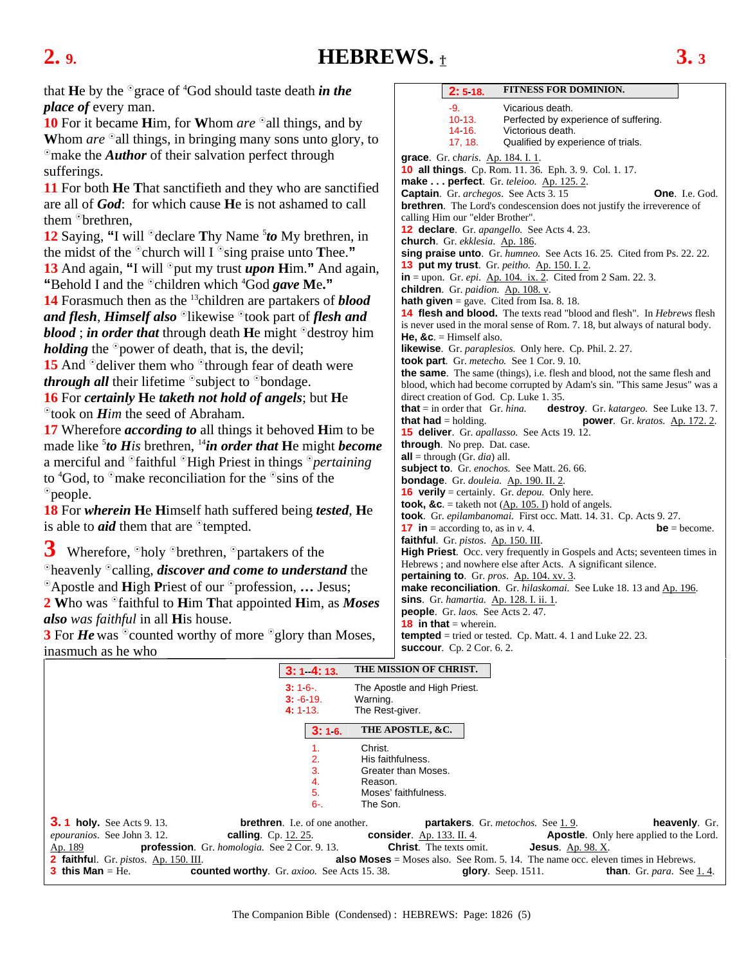### <span id="page-4-0"></span>**2. 9. HEBREWS.** † **3. 3**

that **H**e by the <sup>o</sup>grace of <sup>4</sup>God should taste death *in the place of* every man.

**10** For it became **H**im, for **Whom** *are* <sup>o</sup> all things, and by Whom *are* all things, in bringing many sons unto glory, to <sup>o</sup>make the *Author* of their salvation perfect through sufferings.

**11** For both **H**e **T**hat sanctifieth and they who are sanctified are all of *God*: for which cause **H**e is not ashamed to call them <sup>o</sup>brethren.

**12** Saying, "I will <sup>o</sup>declare Thy Name <sup>5</sup>to My brethren, in the midst of the  $\degree$ church will I  $\degree$ sing praise unto **Thee.**" **13** And again, "I will <sup>o</sup>put my trust *upon* **H**im." And again, "Behold I and the <sup>o</sup>children which <sup>4</sup>God *gave* Me."

**14** Forasmuch then as the 13children are partakers of *blood and flesh, Himself also* <sup>*o*</sup>likewise <sup>*o*</sup>took part of *flesh and blood* ; *in order that* through death **H**e might  $\partial$  destroy him *holding* the <sup>o</sup>power of death, that is, the devil;

**15** And  $\degree$  deliver them who  $\degree$  through fear of death were *through all* their lifetime <sup>S</sup>subject to <sup>S</sup>bondage.

**16** For *certainly* **H**e *taketh not hold of angels*; but **H**e took on *Him* the seed of Abraham.

**17** Wherefore *according to* all things it behoved **H**im to be made like 5 *to His* brethren, 14*in order that* **H**e might *become* a merciful and <sup>o</sup>faithful <sup>o</sup>High Priest in things <sup>o</sup>pertaining to  ${}^4$ God, to  ${}^{\circ}$ make reconciliation for the  ${}^{\circ}$ sins of the <sup>o</sup>people.

**18** For *wherein* **H**e **H**imself hath suffered being *tested*, **H**e is able to  $\vec{a}$  them that are  $\partial$  tempted.

3 Wherefore,  $\partial$  holy  $\partial$  brethren,  $\partial$  partakers of the <sup>o</sup>heavenly <sup>o</sup>calling, *discover and come to understand* the <sup>o</sup>Apostle and **High Priest of our <sup>o</sup>profession, ...** Jesus; 2 Who was  $\partial$ faithful to **H**im That appointed **H**im, as *Moses also was faithful* in all **H**is house.

**3** For *He* was <sup>o</sup>counted worthy of more <sup>o</sup>glory than Moses, inasmuch as he who

| 2:518.                                         | <b>FITNESS FOR DOMINION.</b>                                                                                                                          |
|------------------------------------------------|-------------------------------------------------------------------------------------------------------------------------------------------------------|
| -9.<br>10 13.<br>14 16.<br>17, 18.             | Vicarious death.<br>Perfected by experience of suffering.<br>Victorious death.<br>Qualified by experience of trials.                                  |
| grace. Gr. charis. Ap. 184. I. 1.              |                                                                                                                                                       |
|                                                | 10 all things. Cp. Rom. 11. 36. Eph. 3. 9. Col. 1. 17.                                                                                                |
|                                                | make perfect. Gr. teleioo. Ap. 125. 2.                                                                                                                |
|                                                | <b>Captain.</b> Gr. <i>archegos</i> . See Acts 3.15<br><b>One.</b> I.e. God.                                                                          |
|                                                | <b>brethren</b> . The Lord's condescension does not justify the irreverence of                                                                        |
| calling Him our "elder Brother".               |                                                                                                                                                       |
|                                                | <b>12 declare</b> . Gr. apangello. See Acts 4. 23.                                                                                                    |
| church. Gr. ekklesia. Ap. 186.                 |                                                                                                                                                       |
|                                                | sing praise unto. Gr. humneo. See Acts 16.25. Cited from Ps. 22.22.                                                                                   |
|                                                | 13 put my trust. Gr. peitho. Ap. 150. I. 2.                                                                                                           |
|                                                | $in =$ upon. Gr. <i>epi.</i> Ap. 104. ix. 2. Cited from 2 Sam. 22. 3.                                                                                 |
| children. Gr. paidion. Ap. 108. v.             |                                                                                                                                                       |
|                                                | <b>hath given</b> = gave. Cited from Isa. 8. 18.                                                                                                      |
|                                                | <b>14 flesh and blood.</b> The texts read "blood and flesh". In <i>Hebrews</i> flesh                                                                  |
|                                                | is never used in the moral sense of Rom. 7. 18, but always of natural body.                                                                           |
| He, &c. $=$ Himself also.                      |                                                                                                                                                       |
|                                                | likewise. Gr. paraplesios. Only here. Cp. Phil. 2. 27.                                                                                                |
|                                                | took part. Gr. metecho. See 1 Cor. 9. 10.                                                                                                             |
|                                                | the same. The same (things), i.e. flesh and blood, not the same flesh and<br>blood, which had become corrupted by Adam's sin. "This same Jesus" was a |
|                                                | direct creation of God. Cp. Luke 1.35.                                                                                                                |
| <b>that</b> = in order that $\pi$ . hina.      | <b>destroy</b> . Gr. <i>katargeo</i> . See Luke 13.7.                                                                                                 |
| <b>that had</b> = holding.                     | <b>power.</b> Gr. kratos. Ap. 172. 2.                                                                                                                 |
| through. No prep. Dat. case.                   | <b>15 deliver</b> . Gr. apallasso. See Acts 19. 12.                                                                                                   |
| <b>all</b> = through (Gr. <i>dia</i> ) all.    |                                                                                                                                                       |
|                                                | subject to. Gr. enochos. See Matt. 26. 66.                                                                                                            |
|                                                | bondage. Gr. douleia. Ap. 190. II. 2.                                                                                                                 |
|                                                | <b>16 verily</b> = certainly. Gr. <i>depou</i> . Only here.                                                                                           |
|                                                | took, &c. = taketh not $(\underline{Ap. 105. I})$ hold of angels.                                                                                     |
|                                                | took. Gr. epilambanomai. First occ. Matt. 14. 31. Cp. Acts 9. 27.                                                                                     |
| <b>17</b> in = according to, as in v. 4.       | $be = become.$                                                                                                                                        |
| faithful. Gr. pistos. Ap. 150. III.            |                                                                                                                                                       |
|                                                | High Priest. Occ. very frequently in Gospels and Acts; seventeen times in                                                                             |
|                                                | Hebrews; and nowhere else after Acts. A significant silence.                                                                                          |
|                                                | pertaining to. Gr. pros. Ap. 104. xv. 3.                                                                                                              |
|                                                | make reconciliation. Gr. hilaskomai. See Luke 18. 13 and Ap. 196.                                                                                     |
| <b>sins</b> . Gr. hamartia. Ap. 128. I. ii. 1. |                                                                                                                                                       |
| <b>people.</b> Gr. laos. See Acts 2.47.        |                                                                                                                                                       |
| <b>18 in that</b> = wherein.                   |                                                                                                                                                       |
|                                                | <b>tempted</b> = tried or tested. Cp. Matt. 4. 1 and Luke 22. 23.                                                                                     |
| <b>succour.</b> Cp. 2 Cor. 6. 2.               |                                                                                                                                                       |

|                                                                                                                                                                                                                                                                                                                                 | $3:1$ 4:13.                           | THE MISSION OF CHRIST.                                                                                                                                                                                                                                                                                                                                                        |
|---------------------------------------------------------------------------------------------------------------------------------------------------------------------------------------------------------------------------------------------------------------------------------------------------------------------------------|---------------------------------------|-------------------------------------------------------------------------------------------------------------------------------------------------------------------------------------------------------------------------------------------------------------------------------------------------------------------------------------------------------------------------------|
|                                                                                                                                                                                                                                                                                                                                 | $3:16-.$<br>$3: -6.19$ .<br>4:113.    | The Apostle and High Priest.<br>Warning.<br>The Rest-giver.                                                                                                                                                                                                                                                                                                                   |
|                                                                                                                                                                                                                                                                                                                                 | 3:16.                                 | THE APOSTLE, &C.                                                                                                                                                                                                                                                                                                                                                              |
|                                                                                                                                                                                                                                                                                                                                 | 2.<br>3.<br>4.<br>5.<br>$6 -$         | Christ.<br>His faithfulness.<br>Greater than Moses.<br>Reason.<br>Moses' faithfulness.<br>The Son.                                                                                                                                                                                                                                                                            |
| <b>3.1 holy.</b> See Acts 9.13.<br><i>epouranios.</i> See John 3.12.<br><b>calling</b> . Cp. 12. 25.<br><b>profession</b> . Gr. <i>homologia</i> . See 2 Cor. 9.13.<br>Ap. 189<br><b>2 faithful.</b> Gr. <i>pistos.</i> Ap. 150. III.<br><b>3 this Man</b> $=$ He.<br><b>counted worthy.</b> Gr. <i>axioo.</i> See Acts 15, 38. | <b>brethren.</b> I.e. of one another. | <b>partakers.</b> Gr. metochos. See 1.9.<br>heavenly. Gr.<br><b>Apostle.</b> Only here applied to the Lord.<br><b>consider</b> . Ap. 133. II. 4.<br><b>Christ</b> . The texts omit.<br><b>Jesus.</b> Ap. 98. X.<br><b>also Moses</b> = Moses also. See Rom. 5. 14. The name occ. eleven times in Hebrews.<br>glory. Seep. $1511$ .<br><b>than.</b> Gr. <i>para</i> . See 1.4. |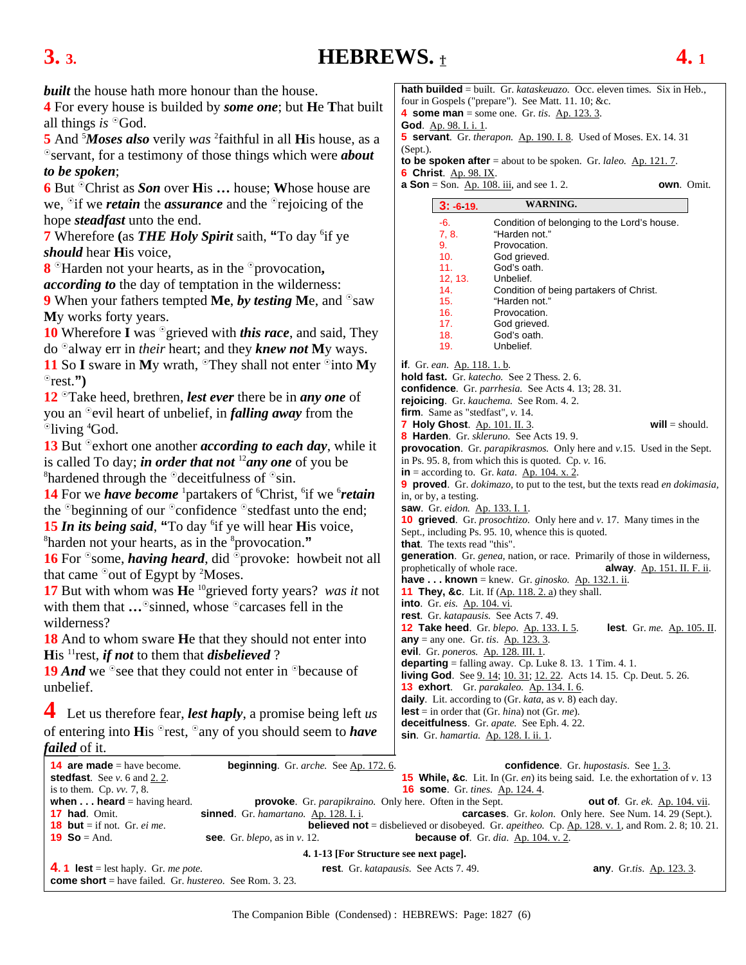### <span id="page-5-0"></span>**3. 3. HEBREWS.** † **4. 1**

*built* the house hath more honour than the house.

**4** For every house is builded by *some one*; but **H**e **T**hat built all things *is* <sup>o</sup>God.

5 And <sup>5</sup>*Moses also* verily *was* <sup>2</sup>faithful in all **H**is house, as a servant, for a testimony of those things which were *about to be spoken*;

**6** But <sup>o</sup>Christ as *Son* over **His ...** house; Whose house are we,  $\partial$  if we *retain* the *assurance* and the  $\partial$  rejoicing of the hope *steadfast* unto the end.

7 Wherefore (as THE Holy Spirit saith, "To day <sup>6</sup>if ye *should* hear **H**is voice,

**8** Harden not your hearts, as in the <sup>o</sup>provocation, *according to* the day of temptation in the wilderness:

**9** When your fathers tempted Me, by testing Me, and <sup>o</sup>saw **M**y works forty years.

**10** Wherefore **I** was <sup>o</sup> grieved with *this race*, and said, They do alway err in *their* heart; and they *knew not* **M**y ways.

**11** So **I** sware in My wrath, <sup>o</sup>They shall not enter <sup>o</sup>into My rest.**")**

**12** Take heed, brethren, *lest ever* there be in *any one* of you an <sup>o</sup>evil heart of unbelief, in *falling away* from the <sup>o</sup>living <sup>4</sup>God.

**13** But <sup>o</sup> exhort one another *according to each day*, while it is called To day; *in order that not*  $\binom{12}{2}$ *any one* of you be <sup>8</sup> hardened through the  $\partial$  deceitfulness of  $\partial$ sin.

14 For we *have become* <sup>1</sup> partakers of <sup>6</sup>Christ, <sup>6</sup>if we <sup>6</sup>retain the  $\delta$ beginning of our  $\delta$  confidence  $\delta$  stedfast unto the end; **15** *In its being said*, "To day <sup>6</sup> if ye will hear **H**is voice,  $\frac{8}{3}$  harden not your bearts, as in the <sup>8</sup> provocation."

harden not your hearts, as in the <sup>8</sup>provocation."

**16** For <sup>o</sup> some, *having heard*, did <sup>o</sup> provoke: howbeit not all that came  $\delta$  out of Egypt by <sup>2</sup>Moses.

**17** But with whom was **H**e 10grieved forty years? *was it* not with them that **…**<sup>o</sup>sinned, whose <sup>o</sup>carcases fell in the wilderness?

**18** And to whom sware **H**e that they should not enter into **His** <sup>11</sup> rest, *if not* to them that *disbelieved* ?

**19** *And* we <sup>o</sup>see that they could not enter in <sup>o</sup>because of unbelief.

**4** Let us therefore fear, *lest haply*, a promise being left *us* of entering into **H**is <sup>o</sup>rest, <sup>o</sup>any of you should seem to *have failed* of it.

**hath builded** = built. Gr. *kataskeuazo.* Occ. eleven times. Six in Heb., four in Gospels ("prepare"). See Matt. 11. 10; &c. **4 some man** = some one. Gr. *tis*. Ap. 123. 3. **God**. Ap. 98. I. i. 1. **5 servant**. Gr. *therapon.* Ap. 190. I. 8. Used of Moses. EX. 14. 31 (Sept.). **to be spoken after** = about to be spoken. Gr. *laleo.* Ap. 121. 7. **6 Christ**. Ap. 98. IX. **a Son** = Son. <u>Ap. 108. iii</u>, and se[e 1. 2.](#page-2-0) **own**. Omit. **3: -6-19. WARNING.** 

|                                                                                                                                                 | 3: -6 19.                                   | WARNING.                                                                          |                                                                                          |  |  |  |
|-------------------------------------------------------------------------------------------------------------------------------------------------|---------------------------------------------|-----------------------------------------------------------------------------------|------------------------------------------------------------------------------------------|--|--|--|
|                                                                                                                                                 | $-6.$                                       | Condition of belonging to the Lord's house.                                       |                                                                                          |  |  |  |
|                                                                                                                                                 | 7, 8.                                       | "Harden not."                                                                     |                                                                                          |  |  |  |
|                                                                                                                                                 | 9.                                          | Provocation.                                                                      |                                                                                          |  |  |  |
|                                                                                                                                                 | 10.                                         | God grieved.                                                                      |                                                                                          |  |  |  |
|                                                                                                                                                 | 11.                                         | God's oath.                                                                       |                                                                                          |  |  |  |
|                                                                                                                                                 | 12, 13.                                     | Unbelief.                                                                         |                                                                                          |  |  |  |
|                                                                                                                                                 | 14.                                         | Condition of being partakers of Christ.                                           |                                                                                          |  |  |  |
|                                                                                                                                                 | 15.                                         | "Harden not."                                                                     |                                                                                          |  |  |  |
|                                                                                                                                                 | 16.                                         | Provocation.                                                                      |                                                                                          |  |  |  |
|                                                                                                                                                 | 17.<br>18.                                  | God grieved.<br>God's oath.                                                       |                                                                                          |  |  |  |
|                                                                                                                                                 | 19.                                         | Unbelief.                                                                         |                                                                                          |  |  |  |
|                                                                                                                                                 |                                             |                                                                                   |                                                                                          |  |  |  |
|                                                                                                                                                 | <b>if</b> . Gr. ean. <u>Ap. 118. 1. b</u> . |                                                                                   |                                                                                          |  |  |  |
|                                                                                                                                                 |                                             | <b>hold fast.</b> Gr. katecho. See 2 Thess. 2. 6.                                 |                                                                                          |  |  |  |
|                                                                                                                                                 |                                             | confidence. Gr. parrhesia. See Acts 4. 13; 28. 31.                                |                                                                                          |  |  |  |
|                                                                                                                                                 |                                             | rejoicing. Gr. kauchema. See Rom. 4.2.                                            |                                                                                          |  |  |  |
|                                                                                                                                                 | firm. Same as "stedfast", v. 14.            |                                                                                   |                                                                                          |  |  |  |
|                                                                                                                                                 | <b>7 Holy Ghost.</b> Ap. 101. II. 3.        |                                                                                   | $will = should.$                                                                         |  |  |  |
|                                                                                                                                                 |                                             | 8 Harden. Gr. skleruno. See Acts 19.9.                                            |                                                                                          |  |  |  |
|                                                                                                                                                 |                                             |                                                                                   | <b>provocation</b> . Gr. <i>parapikrasmos</i> . Only here and $v.15$ . Used in the Sept. |  |  |  |
|                                                                                                                                                 |                                             | in Ps. 95. 8, from which this is quoted. Cp. $\nu$ . 16.                          |                                                                                          |  |  |  |
|                                                                                                                                                 |                                             | $in =$ according to. Gr. kata. $A_p$ . 104. x. 2.                                 |                                                                                          |  |  |  |
|                                                                                                                                                 | in, or by, a testing.                       |                                                                                   | 9 proved. Gr. dokimazo, to put to the test, but the texts read en dokimasia,             |  |  |  |
|                                                                                                                                                 | saw. Gr. eidon. Ap. 133. I. 1.              |                                                                                   |                                                                                          |  |  |  |
|                                                                                                                                                 |                                             |                                                                                   | <b>10 grieved</b> . Gr. <i>prosochtizo</i> . Only here and v. 17. Many times in the      |  |  |  |
|                                                                                                                                                 |                                             | Sept., including Ps. 95. 10, whence this is quoted.                               |                                                                                          |  |  |  |
|                                                                                                                                                 | <b>that.</b> The texts read "this".         |                                                                                   |                                                                                          |  |  |  |
|                                                                                                                                                 |                                             |                                                                                   |                                                                                          |  |  |  |
| generation. Gr. genea, nation, or race. Primarily of those in wilderness,<br>prophetically of whole race.<br><b>alway</b> . Ap. 151. II. F. ii. |                                             |                                                                                   |                                                                                          |  |  |  |
| <b>have  known</b> = knew. Gr. <i>ginosko.</i> Ap. 132.1. ii.                                                                                   |                                             |                                                                                   |                                                                                          |  |  |  |
| <b>11 They, &amp;c.</b> Lit. If (Ap. 118. 2. a) they shall.                                                                                     |                                             |                                                                                   |                                                                                          |  |  |  |
|                                                                                                                                                 | into. Gr. eis. Ap. 104. vi.                 |                                                                                   |                                                                                          |  |  |  |
|                                                                                                                                                 |                                             | rest. Gr. katapausis. See Acts 7.49.                                              |                                                                                          |  |  |  |
|                                                                                                                                                 |                                             | 12 Take heed. Gr. blepo. Ap. 133. I. 5.                                           | <b>lest</b> . Gr. me. Ap. 105. II.                                                       |  |  |  |
|                                                                                                                                                 |                                             | $any = any one$ . Gr. tis. Ap. 123. 3.                                            |                                                                                          |  |  |  |
|                                                                                                                                                 |                                             | evil. Gr. poneros. Ap. 128. III. 1.                                               |                                                                                          |  |  |  |
|                                                                                                                                                 |                                             | <b>departing</b> = falling away. Cp. Luke 8. 13. 1 Tim. 4. 1.                     |                                                                                          |  |  |  |
|                                                                                                                                                 |                                             | <b>living God.</b> See 9. 14; 10. 31; 12. 22. Acts 14. 15. Cp. Deut. 5. 26.       |                                                                                          |  |  |  |
|                                                                                                                                                 |                                             | 13 exhort. Gr. parakaleo. Ap. 134. I. 6.                                          |                                                                                          |  |  |  |
|                                                                                                                                                 |                                             | <b>daily</b> . Lit. according to $(Gr. \text{ kata}, \text{ as } v. 8)$ each day. |                                                                                          |  |  |  |
|                                                                                                                                                 |                                             | <b>lest</b> = in order that (Gr. <i>hina</i> ) not (Gr. <i>me</i> ).              |                                                                                          |  |  |  |
|                                                                                                                                                 |                                             | deceitfulness. Gr. apate. See Eph. 4. 22.                                         |                                                                                          |  |  |  |
|                                                                                                                                                 |                                             | <b>sin</b> . Gr. hamartia. Ap. 128. I. ii. 1.                                     |                                                                                          |  |  |  |

| <b>14 are made</b> = have become.                                     | <b>beginning</b> . Gr. <i>arche</i> . See Ap. 172. 6. |                                                                         | <b>confidence.</b> Gr. hupostasis. See 1.3.                                                                    |  |  |
|-----------------------------------------------------------------------|-------------------------------------------------------|-------------------------------------------------------------------------|----------------------------------------------------------------------------------------------------------------|--|--|
| <b>stedfast</b> . See $v$ . 6 and 2. 2.                               |                                                       |                                                                         | <b>15 While, &amp;c.</b> Lit. In (Gr. <i>en</i> ) its being said. I.e. the exhortation of $v$ . 13             |  |  |
| is to them. Cp. $vv$ . 7, 8.                                          |                                                       | <b>16 some.</b> Gr. tines. Ap. 124.4.                                   |                                                                                                                |  |  |
| when $\dots$ heard = having heard.                                    |                                                       | <b>provoke.</b> Gr. <i>parapikraino</i> . Only here. Often in the Sept. | <b>out of.</b> Gr. ek. Ap. 104. vii.                                                                           |  |  |
| <b>17 had.</b> Omit.                                                  | <b>sinned</b> . Gr. hamartano. Ap. 128. I. i.         |                                                                         | <b>carcases.</b> Gr. <i>kolon</i> . Only here. See Num. 14. 29 (Sept.).                                        |  |  |
| <b>18 but</b> = if not. Gr. <i>ei me</i> .                            |                                                       |                                                                         | <b>believed not</b> = disbelieved or disobeyed. Gr. <i>apeitheo.</i> Cp. Ap. 128. v. 1, and Rom. 2. 8; 10. 21. |  |  |
| <b>19 So</b> = And.                                                   | see. Gr. blepo, as in $v$ . 12.                       | because of. Gr. dia. Ap. $104. v. 2$ .                                  |                                                                                                                |  |  |
| 4. 1-13 [For Structure see next page].                                |                                                       |                                                                         |                                                                                                                |  |  |
| <b>4.1 lest</b> = lest haply. Gr. me pote.                            |                                                       | rest. Gr. katapausis. See Acts 7.49.                                    | <b>any.</b> Gr.tis. Ap. 123.3.                                                                                 |  |  |
| <b>come short</b> = have failed. Gr. <i>hustereo.</i> See Rom. 3. 23. |                                                       |                                                                         |                                                                                                                |  |  |

The Companion Bible (Condensed) : HEBREWS: Page: 1827 (6)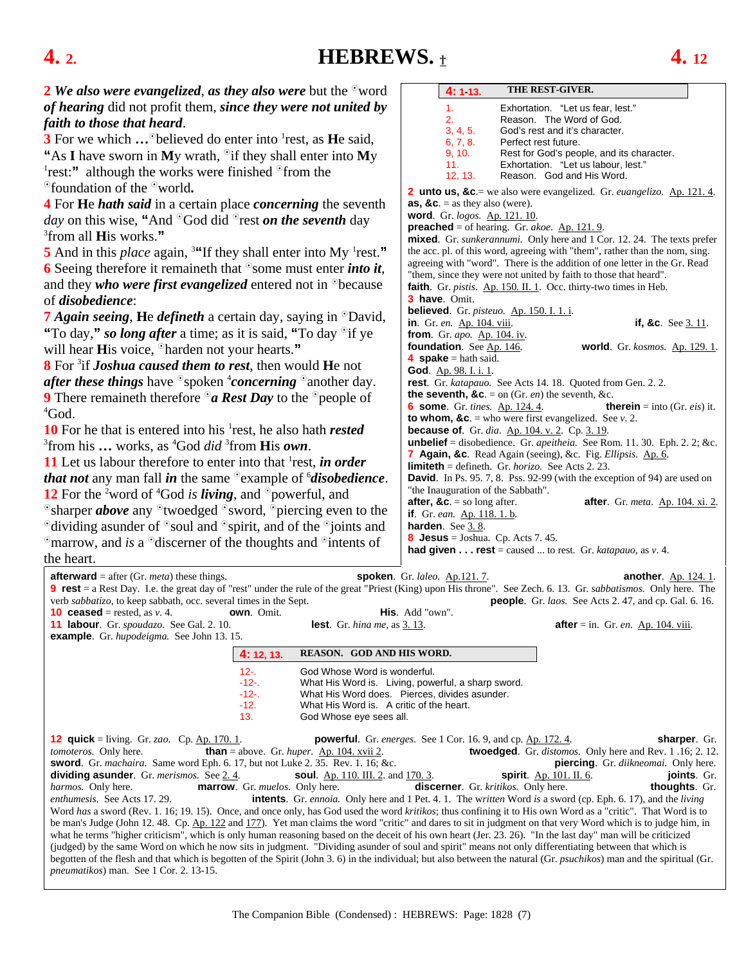### <span id="page-6-0"></span>**4. 2. HEBREWS.**  $\pm$  **4.** 12

| THE REST-GIVER.<br>2 We also were evangelized, as they also were but the $\degree$ word<br>4:113.<br>of hearing did not profit them, since they were not united by<br>1 <sub>1</sub><br>Exhortation. "Let us fear, lest."<br>2.<br>Reason. The Word of God.<br>faith to those that heard.<br>3, 4, 5.<br>God's rest and it's character.<br><b>3</b> For we which $\ldots$ <sup>o</sup> believed do enter into <sup>1</sup> rest, as <b>H</b> e said,<br>6, 7, 8.<br>Perfect rest future.<br>Rest for God's people, and its character.<br>9, 10.<br>"As I have sworn in My wrath, $\partial$ if they shall enter into My<br>11.<br>Exhortation. "Let us labour, lest."<br><sup>1</sup> rest:" although the works were finished $\degree$ from the<br>12, 13.<br>Reason. God and His Word.<br><sup>o</sup> foundation of the <sup>o</sup> world.<br>2 unto us, &c.= we also were evangelized. Gr. euangelizo. Ap. 121.4.<br>4 For He <i>hath said</i> in a certain place <i>concerning</i> the seventh<br>as, &c. = as they also (were).<br>word. Gr. logos. Ap. 121. 10.<br>day on this wise, "And <sup>o</sup> God did <sup>o</sup> rest on the seventh day<br><b>preached</b> = of hearing. Gr. akoe. $\Delta p$ . 121. 9.<br><sup>3</sup> from all <b>H</b> is works."<br>mixed. Gr. sunkerannumi. Only here and 1 Cor. 12. 24. The texts prefer<br>5 And in this <i>place</i> again, <sup>3"</sup> If they shall enter into My <sup>1</sup> rest."<br>the acc. pl. of this word, agreeing with "them", rather than the nom, sing.<br>agreeing with "word". There is the addition of one letter in the Gr. Read<br>6 Seeing therefore it remained that $\delta$ some must enter <i>into it</i> ,<br>"them, since they were not united by faith to those that heard".<br>and they who were first evangelized entered not in $\Phi$ because<br>faith. Gr. pistis. Ap. 150. II. 1. Occ. thirty-two times in Heb.<br>3 have. Omit.<br>of <i>disobedience</i> : |  |  |  |  |  |
|--------------------------------------------------------------------------------------------------------------------------------------------------------------------------------------------------------------------------------------------------------------------------------------------------------------------------------------------------------------------------------------------------------------------------------------------------------------------------------------------------------------------------------------------------------------------------------------------------------------------------------------------------------------------------------------------------------------------------------------------------------------------------------------------------------------------------------------------------------------------------------------------------------------------------------------------------------------------------------------------------------------------------------------------------------------------------------------------------------------------------------------------------------------------------------------------------------------------------------------------------------------------------------------------------------------------------------------------------------------------------------------------------------------------------------------------------------------------------------------------------------------------------------------------------------------------------------------------------------------------------------------------------------------------------------------------------------------------------------------------------------------------------------------------------------------------------------------------------------------------------------------------------------------------------------------------------------------|--|--|--|--|--|
|                                                                                                                                                                                                                                                                                                                                                                                                                                                                                                                                                                                                                                                                                                                                                                                                                                                                                                                                                                                                                                                                                                                                                                                                                                                                                                                                                                                                                                                                                                                                                                                                                                                                                                                                                                                                                                                                                                                                                              |  |  |  |  |  |
|                                                                                                                                                                                                                                                                                                                                                                                                                                                                                                                                                                                                                                                                                                                                                                                                                                                                                                                                                                                                                                                                                                                                                                                                                                                                                                                                                                                                                                                                                                                                                                                                                                                                                                                                                                                                                                                                                                                                                              |  |  |  |  |  |
|                                                                                                                                                                                                                                                                                                                                                                                                                                                                                                                                                                                                                                                                                                                                                                                                                                                                                                                                                                                                                                                                                                                                                                                                                                                                                                                                                                                                                                                                                                                                                                                                                                                                                                                                                                                                                                                                                                                                                              |  |  |  |  |  |
|                                                                                                                                                                                                                                                                                                                                                                                                                                                                                                                                                                                                                                                                                                                                                                                                                                                                                                                                                                                                                                                                                                                                                                                                                                                                                                                                                                                                                                                                                                                                                                                                                                                                                                                                                                                                                                                                                                                                                              |  |  |  |  |  |
|                                                                                                                                                                                                                                                                                                                                                                                                                                                                                                                                                                                                                                                                                                                                                                                                                                                                                                                                                                                                                                                                                                                                                                                                                                                                                                                                                                                                                                                                                                                                                                                                                                                                                                                                                                                                                                                                                                                                                              |  |  |  |  |  |
|                                                                                                                                                                                                                                                                                                                                                                                                                                                                                                                                                                                                                                                                                                                                                                                                                                                                                                                                                                                                                                                                                                                                                                                                                                                                                                                                                                                                                                                                                                                                                                                                                                                                                                                                                                                                                                                                                                                                                              |  |  |  |  |  |
|                                                                                                                                                                                                                                                                                                                                                                                                                                                                                                                                                                                                                                                                                                                                                                                                                                                                                                                                                                                                                                                                                                                                                                                                                                                                                                                                                                                                                                                                                                                                                                                                                                                                                                                                                                                                                                                                                                                                                              |  |  |  |  |  |
|                                                                                                                                                                                                                                                                                                                                                                                                                                                                                                                                                                                                                                                                                                                                                                                                                                                                                                                                                                                                                                                                                                                                                                                                                                                                                                                                                                                                                                                                                                                                                                                                                                                                                                                                                                                                                                                                                                                                                              |  |  |  |  |  |
|                                                                                                                                                                                                                                                                                                                                                                                                                                                                                                                                                                                                                                                                                                                                                                                                                                                                                                                                                                                                                                                                                                                                                                                                                                                                                                                                                                                                                                                                                                                                                                                                                                                                                                                                                                                                                                                                                                                                                              |  |  |  |  |  |
|                                                                                                                                                                                                                                                                                                                                                                                                                                                                                                                                                                                                                                                                                                                                                                                                                                                                                                                                                                                                                                                                                                                                                                                                                                                                                                                                                                                                                                                                                                                                                                                                                                                                                                                                                                                                                                                                                                                                                              |  |  |  |  |  |
|                                                                                                                                                                                                                                                                                                                                                                                                                                                                                                                                                                                                                                                                                                                                                                                                                                                                                                                                                                                                                                                                                                                                                                                                                                                                                                                                                                                                                                                                                                                                                                                                                                                                                                                                                                                                                                                                                                                                                              |  |  |  |  |  |
|                                                                                                                                                                                                                                                                                                                                                                                                                                                                                                                                                                                                                                                                                                                                                                                                                                                                                                                                                                                                                                                                                                                                                                                                                                                                                                                                                                                                                                                                                                                                                                                                                                                                                                                                                                                                                                                                                                                                                              |  |  |  |  |  |
|                                                                                                                                                                                                                                                                                                                                                                                                                                                                                                                                                                                                                                                                                                                                                                                                                                                                                                                                                                                                                                                                                                                                                                                                                                                                                                                                                                                                                                                                                                                                                                                                                                                                                                                                                                                                                                                                                                                                                              |  |  |  |  |  |
|                                                                                                                                                                                                                                                                                                                                                                                                                                                                                                                                                                                                                                                                                                                                                                                                                                                                                                                                                                                                                                                                                                                                                                                                                                                                                                                                                                                                                                                                                                                                                                                                                                                                                                                                                                                                                                                                                                                                                              |  |  |  |  |  |
|                                                                                                                                                                                                                                                                                                                                                                                                                                                                                                                                                                                                                                                                                                                                                                                                                                                                                                                                                                                                                                                                                                                                                                                                                                                                                                                                                                                                                                                                                                                                                                                                                                                                                                                                                                                                                                                                                                                                                              |  |  |  |  |  |
| believed. Gr. pisteuo. Ap. 150. I. 1. i.<br><b>7 Again seeing, He defineth</b> a certain day, saying in <sup>o</sup> David,<br>in. Gr. en. Ap. 104. viii.<br>if, &c. See $3.11$ .                                                                                                                                                                                                                                                                                                                                                                                                                                                                                                                                                                                                                                                                                                                                                                                                                                                                                                                                                                                                                                                                                                                                                                                                                                                                                                                                                                                                                                                                                                                                                                                                                                                                                                                                                                            |  |  |  |  |  |
| "To day," so long after a time; as it is said, "To day <sup>o</sup> if ye<br>from. Gr. apo. Ap. 104. iv.                                                                                                                                                                                                                                                                                                                                                                                                                                                                                                                                                                                                                                                                                                                                                                                                                                                                                                                                                                                                                                                                                                                                                                                                                                                                                                                                                                                                                                                                                                                                                                                                                                                                                                                                                                                                                                                     |  |  |  |  |  |
| foundation. See Ap. 146.<br><b>world</b> . Gr. kosmos. Ap. 129. 1.<br>will hear His voice, <sup>o</sup> harden not your hearts."                                                                                                                                                                                                                                                                                                                                                                                                                                                                                                                                                                                                                                                                                                                                                                                                                                                                                                                                                                                                                                                                                                                                                                                                                                                                                                                                                                                                                                                                                                                                                                                                                                                                                                                                                                                                                             |  |  |  |  |  |
| 4 spake $=$ hath said.<br>8 For <sup>3</sup> if <i>Joshua caused them to rest</i> , then would He not                                                                                                                                                                                                                                                                                                                                                                                                                                                                                                                                                                                                                                                                                                                                                                                                                                                                                                                                                                                                                                                                                                                                                                                                                                                                                                                                                                                                                                                                                                                                                                                                                                                                                                                                                                                                                                                        |  |  |  |  |  |
| God. Ap. 98. I. i. 1.<br><i>after these things</i> have $\delta$ spoken $\delta$ <i>concerning</i> $\delta$ another day.<br>rest. Gr. katapauo. See Acts 14. 18. Quoted from Gen. 2. 2.                                                                                                                                                                                                                                                                                                                                                                                                                                                                                                                                                                                                                                                                                                                                                                                                                                                                                                                                                                                                                                                                                                                                                                                                                                                                                                                                                                                                                                                                                                                                                                                                                                                                                                                                                                      |  |  |  |  |  |
| the seventh, &c. = on (Gr. en) the seventh, &c.<br><b>9</b> There remaine th therefore $\partial a$ <b>Rest Day</b> to the $\partial$ people of                                                                                                                                                                                                                                                                                                                                                                                                                                                                                                                                                                                                                                                                                                                                                                                                                                                                                                                                                                                                                                                                                                                                                                                                                                                                                                                                                                                                                                                                                                                                                                                                                                                                                                                                                                                                              |  |  |  |  |  |
| <b>therein</b> = into (Gr. <i>eis</i> ) it.<br><b>6 some.</b> Gr. tines. Ap. 124.4.                                                                                                                                                                                                                                                                                                                                                                                                                                                                                                                                                                                                                                                                                                                                                                                                                                                                                                                                                                                                                                                                                                                                                                                                                                                                                                                                                                                                                                                                                                                                                                                                                                                                                                                                                                                                                                                                          |  |  |  |  |  |
| <sup>4</sup> God.<br><b>to whom, &amp;c.</b> = who were first evangelized. See $v$ . 2.                                                                                                                                                                                                                                                                                                                                                                                                                                                                                                                                                                                                                                                                                                                                                                                                                                                                                                                                                                                                                                                                                                                                                                                                                                                                                                                                                                                                                                                                                                                                                                                                                                                                                                                                                                                                                                                                      |  |  |  |  |  |
| 10 For he that is entered into his <sup>1</sup> rest, he also hath <i>rested</i><br><b>because of.</b> Gr. dia. Ap. 104. v. 2. Cp. 3. 19.<br>unbelief = disobedience. Gr. apeitheia. See Rom. 11. 30. Eph. 2. 2; &c.                                                                                                                                                                                                                                                                                                                                                                                                                                                                                                                                                                                                                                                                                                                                                                                                                                                                                                                                                                                                                                                                                                                                                                                                                                                                                                                                                                                                                                                                                                                                                                                                                                                                                                                                         |  |  |  |  |  |
| <sup>3</sup> from his  works, as <sup>4</sup> God <i>did</i> <sup>3</sup> from <b>H</b> is <i>own</i> .<br>7 Again, &c. Read Again (seeing), &c. Fig. Ellipsis. Ap. 6.                                                                                                                                                                                                                                                                                                                                                                                                                                                                                                                                                                                                                                                                                                                                                                                                                                                                                                                                                                                                                                                                                                                                                                                                                                                                                                                                                                                                                                                                                                                                                                                                                                                                                                                                                                                       |  |  |  |  |  |
| 11 Let us labour therefore to enter into that $\frac{1}{1}$ rest, in order<br><b>limiteth</b> = defineth. Gr. <i>horizo</i> . See Acts 2. 23.                                                                                                                                                                                                                                                                                                                                                                                                                                                                                                                                                                                                                                                                                                                                                                                                                                                                                                                                                                                                                                                                                                                                                                                                                                                                                                                                                                                                                                                                                                                                                                                                                                                                                                                                                                                                                |  |  |  |  |  |
| <i>that not</i> any man fall <i>in</i> the same <sup>o</sup> example of <i>disobedience</i> .<br><b>David.</b> In Ps. 95. 7, 8. Pss. 92-99 (with the exception of 94) are used on                                                                                                                                                                                                                                                                                                                                                                                                                                                                                                                                                                                                                                                                                                                                                                                                                                                                                                                                                                                                                                                                                                                                                                                                                                                                                                                                                                                                                                                                                                                                                                                                                                                                                                                                                                            |  |  |  |  |  |
| "the Inauguration of the Sabbath".<br>12 For the <sup>2</sup> word of <sup>4</sup> God <i>is <b>living</b></i> , and $\degree$ powerful, and                                                                                                                                                                                                                                                                                                                                                                                                                                                                                                                                                                                                                                                                                                                                                                                                                                                                                                                                                                                                                                                                                                                                                                                                                                                                                                                                                                                                                                                                                                                                                                                                                                                                                                                                                                                                                 |  |  |  |  |  |
| <b>after, &amp;c.</b> = so long after.<br><b>after.</b> Gr. meta. Ap. 104. xi. 2.<br>$\circ$ sharper <i>above</i> any $\circ$ twoedged $\circ$ sword, $\circ$ piercing even to the<br>if. Gr. ean. Ap. 118. 1. b.                                                                                                                                                                                                                                                                                                                                                                                                                                                                                                                                                                                                                                                                                                                                                                                                                                                                                                                                                                                                                                                                                                                                                                                                                                                                                                                                                                                                                                                                                                                                                                                                                                                                                                                                            |  |  |  |  |  |
| $^{\circ}$ dividing asunder of $^{\circ}$ soul and $^{\circ}$ spirit, and of the $^{\circ}$ joints and<br>harden. See $3.8$ .                                                                                                                                                                                                                                                                                                                                                                                                                                                                                                                                                                                                                                                                                                                                                                                                                                                                                                                                                                                                                                                                                                                                                                                                                                                                                                                                                                                                                                                                                                                                                                                                                                                                                                                                                                                                                                |  |  |  |  |  |
| <b>8</b> Jesus = Joshua. Cp. Acts 7.45.<br>$\degree$ marrow, and is a $\degree$ discerner of the thoughts and $\degree$ intents of                                                                                                                                                                                                                                                                                                                                                                                                                                                                                                                                                                                                                                                                                                                                                                                                                                                                                                                                                                                                                                                                                                                                                                                                                                                                                                                                                                                                                                                                                                                                                                                                                                                                                                                                                                                                                           |  |  |  |  |  |
| <b>had given  rest</b> = caused  to rest. Gr. $katapauo$ , as $v. 4$ .<br>the heart.                                                                                                                                                                                                                                                                                                                                                                                                                                                                                                                                                                                                                                                                                                                                                                                                                                                                                                                                                                                                                                                                                                                                                                                                                                                                                                                                                                                                                                                                                                                                                                                                                                                                                                                                                                                                                                                                         |  |  |  |  |  |
|                                                                                                                                                                                                                                                                                                                                                                                                                                                                                                                                                                                                                                                                                                                                                                                                                                                                                                                                                                                                                                                                                                                                                                                                                                                                                                                                                                                                                                                                                                                                                                                                                                                                                                                                                                                                                                                                                                                                                              |  |  |  |  |  |
| <b>afterward</b> = after (Gr. <i>meta</i> ) these things.<br>spoken. Gr. laleo. Ap.121.7.<br><b>another.</b> Ap. 124. 1.<br>9 rest = a Rest Day. I.e. the great day of "rest" under the rule of the great "Priest (King) upon His throne". See Zech. 6. 13. Gr. sabbatismos. Only here. The                                                                                                                                                                                                                                                                                                                                                                                                                                                                                                                                                                                                                                                                                                                                                                                                                                                                                                                                                                                                                                                                                                                                                                                                                                                                                                                                                                                                                                                                                                                                                                                                                                                                  |  |  |  |  |  |
| verb sabbatizo, to keep sabbath, occ. several times in the Sept.<br>people. Gr. laos. See Acts 2.47, and cp. Gal. 6.16.                                                                                                                                                                                                                                                                                                                                                                                                                                                                                                                                                                                                                                                                                                                                                                                                                                                                                                                                                                                                                                                                                                                                                                                                                                                                                                                                                                                                                                                                                                                                                                                                                                                                                                                                                                                                                                      |  |  |  |  |  |
| His. Add "own".<br><b>10 ceased</b> = rested, as $v. 4$ .<br>own. Omit.                                                                                                                                                                                                                                                                                                                                                                                                                                                                                                                                                                                                                                                                                                                                                                                                                                                                                                                                                                                                                                                                                                                                                                                                                                                                                                                                                                                                                                                                                                                                                                                                                                                                                                                                                                                                                                                                                      |  |  |  |  |  |
| <b>11 labour</b> . Gr. spoudazo. See Gal. 2. 10.<br><b>lest</b> . Gr. hina me, as $3.13$ .<br><b>after</b> = in. Gr. en. Ap. 104. viii.                                                                                                                                                                                                                                                                                                                                                                                                                                                                                                                                                                                                                                                                                                                                                                                                                                                                                                                                                                                                                                                                                                                                                                                                                                                                                                                                                                                                                                                                                                                                                                                                                                                                                                                                                                                                                      |  |  |  |  |  |
| example. Gr. hupodeigma. See John 13. 15.                                                                                                                                                                                                                                                                                                                                                                                                                                                                                                                                                                                                                                                                                                                                                                                                                                                                                                                                                                                                                                                                                                                                                                                                                                                                                                                                                                                                                                                                                                                                                                                                                                                                                                                                                                                                                                                                                                                    |  |  |  |  |  |
| REASON. GOD AND HIS WORD.<br>4: 12, 13.                                                                                                                                                                                                                                                                                                                                                                                                                                                                                                                                                                                                                                                                                                                                                                                                                                                                                                                                                                                                                                                                                                                                                                                                                                                                                                                                                                                                                                                                                                                                                                                                                                                                                                                                                                                                                                                                                                                      |  |  |  |  |  |
| $12 -$<br>God Whose Word is wonderful.                                                                                                                                                                                                                                                                                                                                                                                                                                                                                                                                                                                                                                                                                                                                                                                                                                                                                                                                                                                                                                                                                                                                                                                                                                                                                                                                                                                                                                                                                                                                                                                                                                                                                                                                                                                                                                                                                                                       |  |  |  |  |  |
| $-12-$ .<br>What His Word is. Living, powerful, a sharp sword.<br>$-12-$ .<br>What His Word does. Pierces, divides asunder.                                                                                                                                                                                                                                                                                                                                                                                                                                                                                                                                                                                                                                                                                                                                                                                                                                                                                                                                                                                                                                                                                                                                                                                                                                                                                                                                                                                                                                                                                                                                                                                                                                                                                                                                                                                                                                  |  |  |  |  |  |
| $-12.$<br>What His Word is. A critic of the heart.                                                                                                                                                                                                                                                                                                                                                                                                                                                                                                                                                                                                                                                                                                                                                                                                                                                                                                                                                                                                                                                                                                                                                                                                                                                                                                                                                                                                                                                                                                                                                                                                                                                                                                                                                                                                                                                                                                           |  |  |  |  |  |
| 13.<br>God Whose eye sees all.                                                                                                                                                                                                                                                                                                                                                                                                                                                                                                                                                                                                                                                                                                                                                                                                                                                                                                                                                                                                                                                                                                                                                                                                                                                                                                                                                                                                                                                                                                                                                                                                                                                                                                                                                                                                                                                                                                                               |  |  |  |  |  |
| sharper. Gr.                                                                                                                                                                                                                                                                                                                                                                                                                                                                                                                                                                                                                                                                                                                                                                                                                                                                                                                                                                                                                                                                                                                                                                                                                                                                                                                                                                                                                                                                                                                                                                                                                                                                                                                                                                                                                                                                                                                                                 |  |  |  |  |  |
| <b>12 quick</b> = living. Gr. <i>zao</i> . Cp. Ap. 170. 1.<br><b>powerful.</b> Gr. <i>energes.</i> See 1 Cor. 16. 9, and cp. $\Delta p$ . 172. 4.<br>tomoteros. Only here.<br><b>than</b> = above. Gr. huper. $\Delta p$ . 104. xvii 2.<br><b>twoedged.</b> Gr. <i>distomos</i> . Only here and Rev. 1.16; 2.12.                                                                                                                                                                                                                                                                                                                                                                                                                                                                                                                                                                                                                                                                                                                                                                                                                                                                                                                                                                                                                                                                                                                                                                                                                                                                                                                                                                                                                                                                                                                                                                                                                                             |  |  |  |  |  |
| sword. Gr. machaira. Same word Eph. 6. 17, but not Luke 2. 35. Rev. 1. 16; &c.<br>piercing. Gr. diikneomai. Only here.                                                                                                                                                                                                                                                                                                                                                                                                                                                                                                                                                                                                                                                                                                                                                                                                                                                                                                                                                                                                                                                                                                                                                                                                                                                                                                                                                                                                                                                                                                                                                                                                                                                                                                                                                                                                                                       |  |  |  |  |  |
| dividing asunder. Gr. merismos. See 2.4.<br><b>soul.</b> Ap. 110. III. 2. and 170. 3.<br>spirit. Ap. 101. II. 6.<br>joints. Gr.                                                                                                                                                                                                                                                                                                                                                                                                                                                                                                                                                                                                                                                                                                                                                                                                                                                                                                                                                                                                                                                                                                                                                                                                                                                                                                                                                                                                                                                                                                                                                                                                                                                                                                                                                                                                                              |  |  |  |  |  |
| harmos. Only here.<br>discerner. Gr. kritikos. Only here.<br>thoughts. Gr.<br>marrow. Gr. muelos. Only here.<br>enthumesis. See Acts 17.29.                                                                                                                                                                                                                                                                                                                                                                                                                                                                                                                                                                                                                                                                                                                                                                                                                                                                                                                                                                                                                                                                                                                                                                                                                                                                                                                                                                                                                                                                                                                                                                                                                                                                                                                                                                                                                  |  |  |  |  |  |
| <b>intents</b> . Gr. ennoia. Only here and 1 Pet. 4. 1. The written Word is a sword (cp. Eph. 6. 17), and the living<br>Word has a sword (Rev. 1. 16; 19. 15). Once, and once only, has God used the word kritikos; thus confining it to His own Word as a "critic". That Word is to                                                                                                                                                                                                                                                                                                                                                                                                                                                                                                                                                                                                                                                                                                                                                                                                                                                                                                                                                                                                                                                                                                                                                                                                                                                                                                                                                                                                                                                                                                                                                                                                                                                                         |  |  |  |  |  |
| be man's Judge (John 12. 48. Cp. Ap. 122 and 177). Yet man claims the word "critic" and dares to sit in judgment on that very Word which is to judge him, in                                                                                                                                                                                                                                                                                                                                                                                                                                                                                                                                                                                                                                                                                                                                                                                                                                                                                                                                                                                                                                                                                                                                                                                                                                                                                                                                                                                                                                                                                                                                                                                                                                                                                                                                                                                                 |  |  |  |  |  |
| what he terms "higher criticism", which is only human reasoning based on the deceit of his own heart (Jer. 23. 26). "In the last day" man will be criticized                                                                                                                                                                                                                                                                                                                                                                                                                                                                                                                                                                                                                                                                                                                                                                                                                                                                                                                                                                                                                                                                                                                                                                                                                                                                                                                                                                                                                                                                                                                                                                                                                                                                                                                                                                                                 |  |  |  |  |  |
| (judged) by the same Word on which he now sits in judgment. "Dividing asunder of soul and spirit" means not only differentiating between that which is<br>begotten of the flesh and that which is begotten of the Spirit (John 3. 6) in the individual; but also between the natural (Gr. psuchikos) man and the spiritual (Gr.                                                                                                                                                                                                                                                                                                                                                                                                                                                                                                                                                                                                                                                                                                                                                                                                                                                                                                                                                                                                                                                                                                                                                                                                                                                                                                                                                                                                                                                                                                                                                                                                                              |  |  |  |  |  |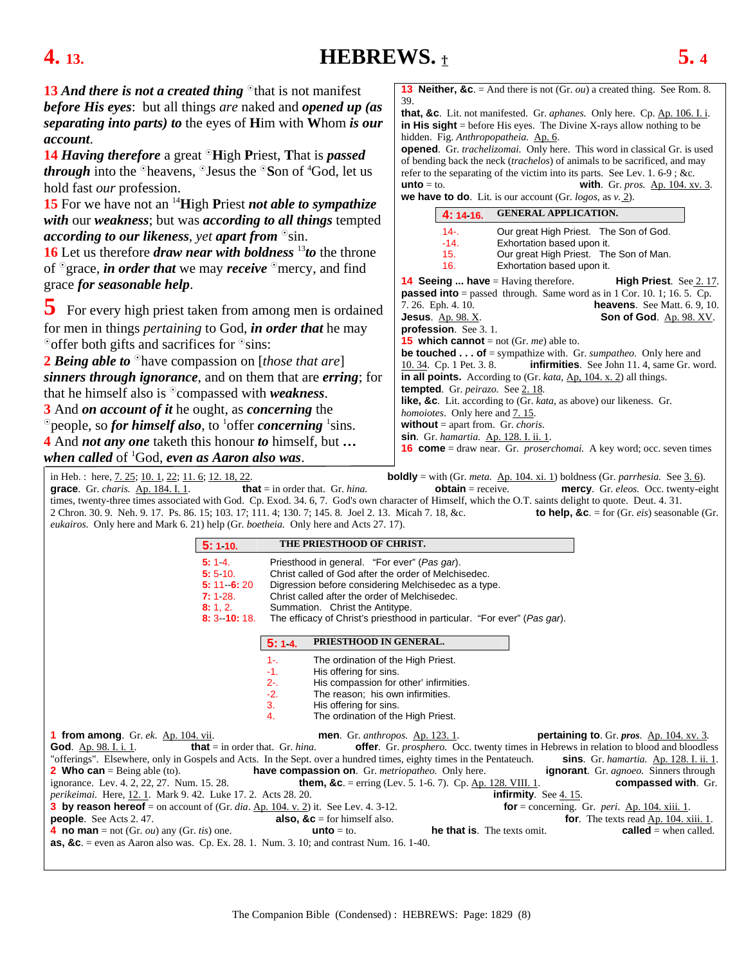### <span id="page-7-0"></span>**4. 13. HEBREWS.** † **5. 4**

**13** And there is not a created thing <sup>o</sup>that is not manifest *before His eyes*: but all things *are* naked and *opened up (as separating into parts) to* the eyes of **H**im with **W**hom *is our account*.

**14** *Having therefore* a great  $\Omega$ **High Priest, That is** *passed through* into the <sup>o</sup>heavens, <sup>o</sup>Jesus the <sup>o</sup>Son of <sup>4</sup>God, let us hold fast *our* profession.

**15** For we have not an 14**H**igh **P**riest *not able to sympathize with* our *weakness*; but was *according to all things* tempted *according to our likeness, yet apart from*  $\delta$ sin.

**16** Let us therefore *draw near with boldness* <sup>13</sup>*to* the throne of <sup>o</sup>grace, *in order that* we may *receive* <sup>o</sup>mercy, and find grace *for seasonable help*.

**5** For every high priest taken from among men is ordained for men in things *pertaining* to God, *in order that* he may  $\degree$  offer both gifts and sacrifices for  $\degree$  sins:

**2** *Being able to*  $\Omega$  have compassion on [*those that are*] *sinners through ignorance*, and on them that are *erring*; for that he himself also is <sup>o</sup>compassed with *weakness*.

**3** And *on account of it* he ought, as *concerning* the

<sup>o</sup> people, so *for himself also*, to <sup>1</sup>offer *concerning* <sup>1</sup>sins. **4** And *not any one* taketh this honour *to* himself, but **…** 

*when called* of 1 God, *even as Aaron also was*.

**13 Neither, &c**. = And there is not (Gr. *ou*) a created thing. See Rom. 8. 39.

**that, &c**. Lit. not manifested. Gr. *aphanes.* Only here. Cp. Ap. 106. I. i. **in His sight** = before His eyes. The Divine X-rays allow nothing to be hidden. Fig. *Anthropopatheia.* Ap. 6.

**opened**. Gr. *trachelizomai.* Only here. This word in classical Gr. is used of bending back the neck (*trachelos*) of animals to be sacrificed, and may refer to the separating of the victim into its parts. See Lev. 1. 6-9 ; &c. **unto** = to. **with**. Gr. *pros.* <u>Ap. 104. xv. 3</u>. **we have to do**. Lit. is our account (Gr. *logos,* as *v.* [2\).](#page-6-0)

| $\mathbf{W}$ in $\mathbf{W}$ is $\mathbf{W}$ . Ext. is our account (Or. $\mathcal{W}_{\mathcal{S}}(v_{\beta}, \mathbf{w})$ is $\mathcal{V}$ . $\mathcal{L}$ ).                 |  |  |  |  |
|--------------------------------------------------------------------------------------------------------------------------------------------------------------------------------|--|--|--|--|
| <b>GENERAL APPLICATION.</b><br>4: 14 16.                                                                                                                                       |  |  |  |  |
| Our great High Priest. The Son of God.<br>$14 -$<br>$-14.$<br>Exhortation based upon it.<br>Our great High Priest. The Son of Man.<br>15.<br>Exhortation based upon it.<br>16. |  |  |  |  |
| <b>14 Seeing  have</b> = Having therefore.<br><b>High Priest.</b> See 2.17.                                                                                                    |  |  |  |  |
| <b>passed into</b> = passed through. Same word as in 1 Cor. 10. 1; 16. 5. Cp.                                                                                                  |  |  |  |  |
| 7.26. Eph. 4.10.<br><b>heavens.</b> See Matt. $6.9, 10$ .                                                                                                                      |  |  |  |  |
| <b>Jesus.</b> Ap. 98. X.<br><b>Son of God.</b> Ap. 98. XV.                                                                                                                     |  |  |  |  |
| <b>profession</b> . See $3.1$ .                                                                                                                                                |  |  |  |  |
| <b>15</b> which cannot = not (Gr. $me$ ) able to.                                                                                                                              |  |  |  |  |
| <b>be touched of</b> = sympathize with. Gr. <i>sumpatheo</i> . Only here and                                                                                                   |  |  |  |  |
| 10. 34. Cp. 1 Pet. 3. 8. <b>infirmities</b> . See John 11. 4, same Gr. word.                                                                                                   |  |  |  |  |
| in all points. According to $(Gr. \text{ kata}, \underline{Ap}, 104. \text{ x}, 2)$ all things.                                                                                |  |  |  |  |
| <b>tempted.</b> Gr. <i>peirazo</i> . See 2.18.                                                                                                                                 |  |  |  |  |
| <b>like, &amp;c</b> . Lit. according to (Gr. <i>kata</i> , as above) our likeness. Gr.                                                                                         |  |  |  |  |
| <i>homoiotes.</i> Only here and 7.15.                                                                                                                                          |  |  |  |  |
| <b>without</b> = apart from. Gr. <i>choris</i> .                                                                                                                               |  |  |  |  |
| sin. Gr. hamartia. Ap. 128. I. ii. 1.                                                                                                                                          |  |  |  |  |
| <b>16 come</b> = draw near. Gr. <i>proserchomai</i> . A key word; occ. seven times                                                                                             |  |  |  |  |

in Heb. : here, [7. 25;](#page-12-0) [10. 1](#page-15-0)[, 22;](#page-16-0) [11. 6;](#page-18-0) [12. 18, 22.](#page-22-0) **boldly** = with (Gr. *meta.* Ap. 104. xi. 1) boldness (Gr. *parrhesia.* See [3. 6\)](#page-5-0). **grace**. Gr. *charis.* Ap. 184. I. 1. **that** = in order that. Gr. *hina.* **obtain** = receive. **mercy**. Gr. *eleos.* Occ. twenty-eight times, twenty-three times associated with God. Cp. Exod. 34. 6, 7. God's own character of Himself, which the O.T. saints delight to quote. Deut. 4. 31. 2 Chron. 30. 9. Neh. 9. 17. Ps. 86. 15; 103. 17; 111. 4; 130. 7; 145. 8. Joel 2. 13. Micah 7. 18, &c. **to help, &c**. = for (Gr. *eis*) seasonable (Gr. *eukairos.* Only here and Mark 6. 21) help (Gr. *boetheia.* Only here and Acts 27. 17).

|                                                                                                                                                                                                                              | 5:110.                                                                      | THE PRIESTHOOD OF CHRIST.                                                                                                                                                                                                                                                                                                    |                                    |                             |                                                                                                        |
|------------------------------------------------------------------------------------------------------------------------------------------------------------------------------------------------------------------------------|-----------------------------------------------------------------------------|------------------------------------------------------------------------------------------------------------------------------------------------------------------------------------------------------------------------------------------------------------------------------------------------------------------------------|------------------------------------|-----------------------------|--------------------------------------------------------------------------------------------------------|
|                                                                                                                                                                                                                              | 5:14.<br>5:5.10.<br>$5: 11 \quad 6: 20$<br>7:128.<br>8:1,2.<br>$8:3$ 10:18. | Priesthood in general. "For ever" (Pas gar).<br>Christ called of God after the order of Melchisedec.<br>Digression before considering Melchisedec as a type.<br>Christ called after the order of Melchisedec.<br>Summation. Christ the Antitype.<br>The efficacy of Christ's priesthood in particular. "For ever" (Pas gar). |                                    |                             |                                                                                                        |
|                                                                                                                                                                                                                              | 5:14.                                                                       | PRIESTHOOD IN GENERAL.                                                                                                                                                                                                                                                                                                       |                                    |                             |                                                                                                        |
|                                                                                                                                                                                                                              | $1 -$<br>$-1.$<br>$2 -$<br>$-2.$<br>3.<br>4.                                | The ordination of the High Priest.<br>His offering for sins.<br>His compassion for other' infirmities.<br>The reason; his own infirmities.<br>His offering for sins.<br>The ordination of the High Priest.                                                                                                                   |                                    |                             |                                                                                                        |
| <b>1 from among.</b> Gr. ek. Ap. 104. vii.                                                                                                                                                                                   |                                                                             | <b>men.</b> Gr. <i>anthropos.</i> Ap. 123. 1.                                                                                                                                                                                                                                                                                |                                    |                             | <b>pertaining to.</b> Gr. $pros$ . Ap. 104. xv. 3.                                                     |
| <b>God.</b> Ap. 98. I. i. 1.                                                                                                                                                                                                 | <b>that</b> = in order that. Gr. <i>hina</i> .                              |                                                                                                                                                                                                                                                                                                                              |                                    |                             | <b>offer.</b> Gr. <i>prosphero.</i> Occ. twenty times in Hebrews in relation to blood and bloodless    |
| "offerings". Elsewhere, only in Gospels and Acts. In the Sept. over a hundred times, eighty times in the Pentateuch.<br><b>2 Who can</b> = Being able (to). <b>have compassion on</b> . Gr. <i>metriopatheo</i> . Only here. |                                                                             |                                                                                                                                                                                                                                                                                                                              |                                    |                             | <b>sins</b> . Gr. hamartia. Ap. 128. I. ii. 1.<br><b>ignorant.</b> Gr. <i>agnoeo</i> . Sinners through |
| ignorance. Lev. 4. 2, 22, 27. Num. 15. 28.                                                                                                                                                                                   |                                                                             | <b>them, &amp;c.</b> = erring (Lev. 5. 1-6. 7). Cp. Ap. 128. VIII. 1.                                                                                                                                                                                                                                                        |                                    |                             | compassed with. Gr.                                                                                    |
| perikeimai. Here, 12.1. Mark 9.42. Luke 17.2. Acts 28.20.                                                                                                                                                                    |                                                                             |                                                                                                                                                                                                                                                                                                                              |                                    | <b>infirmity.</b> See 4.15. |                                                                                                        |
| <b>3 by reason hereof</b> = on account of (Gr. dia. Ap. 104. v. 2) it. See Lev. 4. 3-12.                                                                                                                                     |                                                                             |                                                                                                                                                                                                                                                                                                                              |                                    |                             | for $=$ concerning. Gr. <i>peri.</i> Ap. 104. xiii. 1.                                                 |
| <b>people.</b> See Acts 2.47.                                                                                                                                                                                                |                                                                             | <b>also, <math>\&amp;c</math></b> = for himself also.                                                                                                                                                                                                                                                                        |                                    |                             | <b>for.</b> The texts read $\Delta p$ , 104, xiii, 1.                                                  |
| 4 no man = not (Gr. <i>ou</i> ) any (Gr. <i>tis</i> ) one.                                                                                                                                                                   |                                                                             | <b>unto</b> $=$ to.                                                                                                                                                                                                                                                                                                          | <b>he that is.</b> The texts omit. |                             | <b>called</b> = when called.                                                                           |
| <b>as, &amp;c.</b> = even as Aaron also was. Cp. Ex. 28. 1. Num. 3. 10; and contrast Num. 16. 1-40.                                                                                                                          |                                                                             |                                                                                                                                                                                                                                                                                                                              |                                    |                             |                                                                                                        |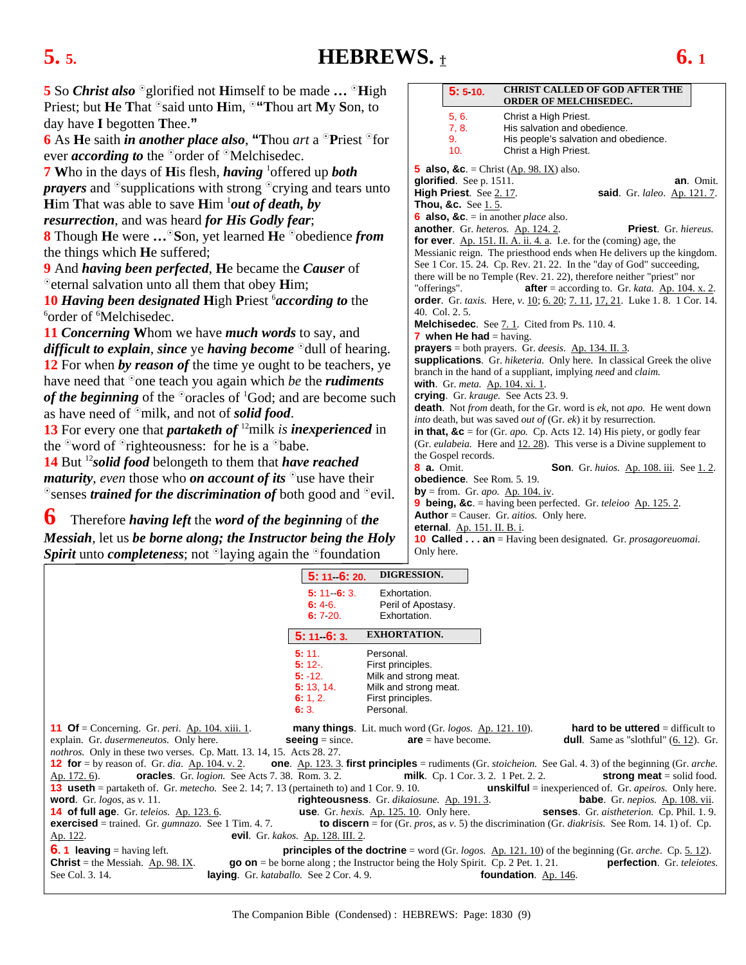### <span id="page-8-0"></span>**5.** 5. **HEBREWS.**  $\pm$  **6.** 1

| <b>5</b> So <i>Christ also</i> $^{\circ}$ glorified not <b>H</b> imself to be made $^{\circ}$ <b>H</b> igh | <b>CHRIST CALLED OF GOD AFTER THE</b><br>5:5:10.                                                                                                                    |  |  |
|------------------------------------------------------------------------------------------------------------|---------------------------------------------------------------------------------------------------------------------------------------------------------------------|--|--|
| Priest; but He That <sup>o</sup> said unto Him, <sup>o</sup> "Thou art My Son, to                          | <b>ORDER OF MELCHISEDEC.</b>                                                                                                                                        |  |  |
| day have I begotten Thee."                                                                                 | 5, 6.<br>Christ a High Priest.<br>7, 8.<br>His salvation and obedience.                                                                                             |  |  |
| 6 As He saith <i>in another place also</i> , "Thou <i>art</i> a $\partial$ Priest $\partial$ for           | His people's salvation and obedience.<br>9.                                                                                                                         |  |  |
| ever <i>according to</i> the $^{\circ}$ order of $^{\circ}$ Melchisedec.                                   | 10.<br>Christ a High Priest.                                                                                                                                        |  |  |
| <b>7</b> Who in the days of His flesh, <i>having</i> <sup>1</sup> offered up <i>both</i>                   | <b>5 also, &amp;c.</b> = Christ $(\underline{Ap. 98. IX})$ also.                                                                                                    |  |  |
| <i>prayers</i> and $\circ$ supplications with strong $\circ$ crying and tears unto                         | glorified. See p. 1511.<br>an. Omit.<br>High Priest. See 2.17.<br>said. Gr. laleo. Ap. 121.7.                                                                       |  |  |
| <b>Him That was able to save Him</b> $\frac{1}{ }$ <i>out of death, by</i>                                 | <b>Thou, &amp;c.</b> See 1.5.                                                                                                                                       |  |  |
| resurrection, and was heard for His Godly fear;                                                            | 6 also, &c. = in another <i>place</i> also.                                                                                                                         |  |  |
| <b>8</b> Though He were  Son, yet learned He <sup>o</sup> obedience from                                   | Priest. Gr. hiereus.<br><b>another.</b> Gr. heteros. Ap. 124. 2.<br>for ever. $Ap. 151.$ II. A. ii. 4. a. I.e. for the (coming) age, the                            |  |  |
| the things which <b>He</b> suffered;                                                                       | Messianic reign. The priesthood ends when He delivers up the kingdom.                                                                                               |  |  |
| 9 And having been perfected, He became the Causer of                                                       | See 1 Cor. 15. 24. Cp. Rev. 21. 22. In the "day of God" succeeding,                                                                                                 |  |  |
| <sup>o</sup> eternal salvation unto all them that obey <b>H</b> im;                                        | there will be no Temple (Rev. 21, 22), therefore neither "priest" nor<br>"offerings".<br><b>after</b> = according to. Gr. <i>kata</i> . Ap. 104. x. 2.              |  |  |
| <b>10 Having been designated High Priest <i>'according to the</i></b>                                      | <b>order</b> . Gr. taxis. Here, v. 10; 6. 20; 7. 11, 17, 21. Luke 1. 8. 1 Cor. 14.                                                                                  |  |  |
| <sup>6</sup> order of <sup>6</sup> Melchisedec.                                                            | 40. Col. 2. 5.                                                                                                                                                      |  |  |
| <b>11 Concerning Whom we have much words to say, and</b>                                                   | <b>Melchisedec.</b> See 7.1. Cited from Ps. 110.4.<br><b>7</b> when He had $=$ having.                                                                              |  |  |
| <i>difficult to explain, since ye having become</i> $\partial$ dull of hearing.                            | <b>prayers</b> = both prayers. Gr. deesis. $\Delta p$ . 134. II. 3.                                                                                                 |  |  |
| 12 For when by reason of the time ye ought to be teachers, ye                                              | supplications. Gr. hiketeria. Only here. In classical Greek the olive<br>branch in the hand of a suppliant, implying <i>need</i> and <i>claim</i> .                 |  |  |
| have need that $\delta$ one teach you again which <i>be</i> the <i>rudiments</i>                           | with. Gr. meta. Ap. 104. xi. 1.                                                                                                                                     |  |  |
| of the beginning of the $\degree$ oracles of $\degree$ God; and are become such                            | crying. Gr. krauge. See Acts 23.9.                                                                                                                                  |  |  |
| as have need of $\mathcal{S}_{m}$ milk, and not of solid food.                                             | <b>death</b> . Not from death, for the Gr. word is ek, not apo. He went down<br><i>into</i> death, but was saved <i>out of</i> (Gr. <i>ek</i> ) it by resurrection. |  |  |
| 13 For every one that <i>partaketh of</i> <sup>12</sup> milk <i>is inexperienced</i> in                    | in that, $\&c$ = for (Gr. <i>apo</i> . Cp. Acts 12. 14) His piety, or godly fear                                                                                    |  |  |
| the $\degree$ word of $\degree$ righteousness: for he is a $\degree$ babe.                                 | (Gr. eulabeia. Here and 12.28). This verse is a Divine supplement to                                                                                                |  |  |
| 14 But <sup>12</sup> solid food belongeth to them that have reached                                        | the Gospel records.<br><b>8 a.</b> Omit.                                                                                                                            |  |  |
| <i>maturity, even those who on account of its</i> $\partial$ use have their                                | <b>Son.</b> Gr. huios. Ap. 108. iii. See 1. 2.<br>obedience. See Rom. 5. 19.                                                                                        |  |  |
| $\circ$ senses <i>trained for the discrimination of</i> both good and $\circ$ evil.                        | by = from. Gr. apo. $\Delta p$ . 104. iv.                                                                                                                           |  |  |
|                                                                                                            | <b>9 being, &amp;c.</b> = having been perfected. Gr. <i>teleioo</i> $\Delta p$ . 125. 2.                                                                            |  |  |
| 6<br>Therefore having left the word of the beginning of the                                                | <b>Author</b> = Causer. Gr. $aitios$ . Only here.<br>eternal. Ap. 151. II. B. i.                                                                                    |  |  |
| Messiah, let us be borne along; the Instructor being the Holy                                              | <b>10 Called  an</b> = Having been designated. Gr. <i>prosagoreuomai</i> .                                                                                          |  |  |

*Messiah*, let us *be borne along; the Instructor being the Holy Spirit* unto *completeness*; not <sup>o</sup>laying again the <sup>o</sup>foundation

|                                                                                                                                                                                            | $5: 11 \cdot 6: 20.$                      | <b>DIGRESSION.</b>                                                                    |                                                                                                                                               |
|--------------------------------------------------------------------------------------------------------------------------------------------------------------------------------------------|-------------------------------------------|---------------------------------------------------------------------------------------|-----------------------------------------------------------------------------------------------------------------------------------------------|
|                                                                                                                                                                                            | $5: 11 \quad 6: 3.$                       | Exhortation.                                                                          |                                                                                                                                               |
|                                                                                                                                                                                            | 6:46.                                     | Peril of Apostasy.                                                                    |                                                                                                                                               |
|                                                                                                                                                                                            | <b>6:</b> 7 20.                           | Exhortation.                                                                          |                                                                                                                                               |
|                                                                                                                                                                                            | $5: 11 \quad 6: 3.$                       | <b>EXHORTATION.</b>                                                                   |                                                                                                                                               |
|                                                                                                                                                                                            | 5:11.                                     | Personal.                                                                             |                                                                                                                                               |
|                                                                                                                                                                                            | $5:12-$                                   | First principles.                                                                     |                                                                                                                                               |
|                                                                                                                                                                                            | $5: -12.$                                 | Milk and strong meat.                                                                 |                                                                                                                                               |
|                                                                                                                                                                                            | 5: 13, 14.                                | Milk and strong meat.                                                                 |                                                                                                                                               |
|                                                                                                                                                                                            | 6: 1, 2.                                  | First principles.                                                                     |                                                                                                                                               |
|                                                                                                                                                                                            | 6:3.                                      | Personal.                                                                             |                                                                                                                                               |
| <b>11 Of</b> = Concerning. Gr. <i>peri</i> . Ap. 104. xiii. 1.                                                                                                                             |                                           | <b>many things</b> . Lit. much word (Gr. logos. Ap. 121. 10).                         | <b>hard to be uttered</b> $=$ difficult to                                                                                                    |
| explain. Gr. <i>dusermeneutos</i> . Only here.                                                                                                                                             | <b>seeing</b> = since.                    | $are = have become.$                                                                  | <b>dull</b> . Same as "slothful" $(6. 12)$ . Gr.                                                                                              |
| <i>nothros.</i> Only in these two verses. Cp. Matt. 13. 14, 15. Acts 28. 27.                                                                                                               |                                           |                                                                                       |                                                                                                                                               |
| 12 for = by reason of. Gr. dia. $\Delta p$ . 104. v. 2. one. $\Delta p$ . 123. 3. first principles = rudiments (Gr. <i>stoicheion</i> . See Gal. 4. 3) of the beginning (Gr. <i>arche.</i> |                                           |                                                                                       |                                                                                                                                               |
| <b>oracles</b> . Gr. <i>logion</i> . See Acts 7.38. Rom. 3.2. <b>milk</b> . Cp. 1 Cor. 3.2. 1 Pet. 2.2.<br>Ap. 172. 6).                                                                    |                                           |                                                                                       | <b>strong meat</b> = solid food.                                                                                                              |
| <b>13 useth</b> = partaketh of. Gr. <i>metecho.</i> See 2. 14; 7. 13 (pertaineth to) and 1 Cor. 9. 10.                                                                                     |                                           |                                                                                       | <b>unskilful</b> = inexperienced of. Gr. <i>apeiros</i> . Only here.                                                                          |
| <b>word.</b> Gr. <i>logos</i> , as $v$ . 11.                                                                                                                                               |                                           | righteousness. Gr. dikaiosune. Ap. 191. 3.                                            | <b>babe</b> . Gr. <i>nepios.</i> Ap. 108. vii.                                                                                                |
| <b>14 of full age.</b> Gr. teleios. Ap. 123. 6. <b>use.</b> Gr. hexis. Ap. 125. 10. Only here. <b>Senses.</b> Gr. aistheterion. Cp. Phil. 1.9.                                             |                                           |                                                                                       |                                                                                                                                               |
| <b>exercised</b> = trained. Gr. <i>gumnazo</i> . See 1 Tim. 4. 7.                                                                                                                          |                                           |                                                                                       | <b>to discern</b> = for (Gr. <i>pros</i> , as $v$ . 5) the discrimination (Gr. <i>diakrisis</i> . See Rom. 14. 1) of. Cp.                     |
| Ap. 122.                                                                                                                                                                                   | <b>evil</b> . Gr. kakos. Ap. 128. III. 2. |                                                                                       |                                                                                                                                               |
| <b>6.1 leaving</b> = having left.                                                                                                                                                          |                                           |                                                                                       | <b>principles of the doctrine</b> = word (Gr. <i>logos.</i> $\underline{\text{Ap. 121. 10}}$ ) of the beginning (Gr. <i>arche.</i> Cp. 5.12). |
| <b>Christ</b> = the Messiah. Ap. 98. IX.                                                                                                                                                   |                                           | $\bf{g}$ on = be borne along; the Instructor being the Holy Spirit. Cp. 2 Pet. 1. 21. | perfection. Gr. teleiotes.                                                                                                                    |
| laying. Gr. kataballo. See 2 Cor. 4.9.<br>See Col. 3. 14.                                                                                                                                  |                                           |                                                                                       | foundation. Ap. 146.                                                                                                                          |

Only here.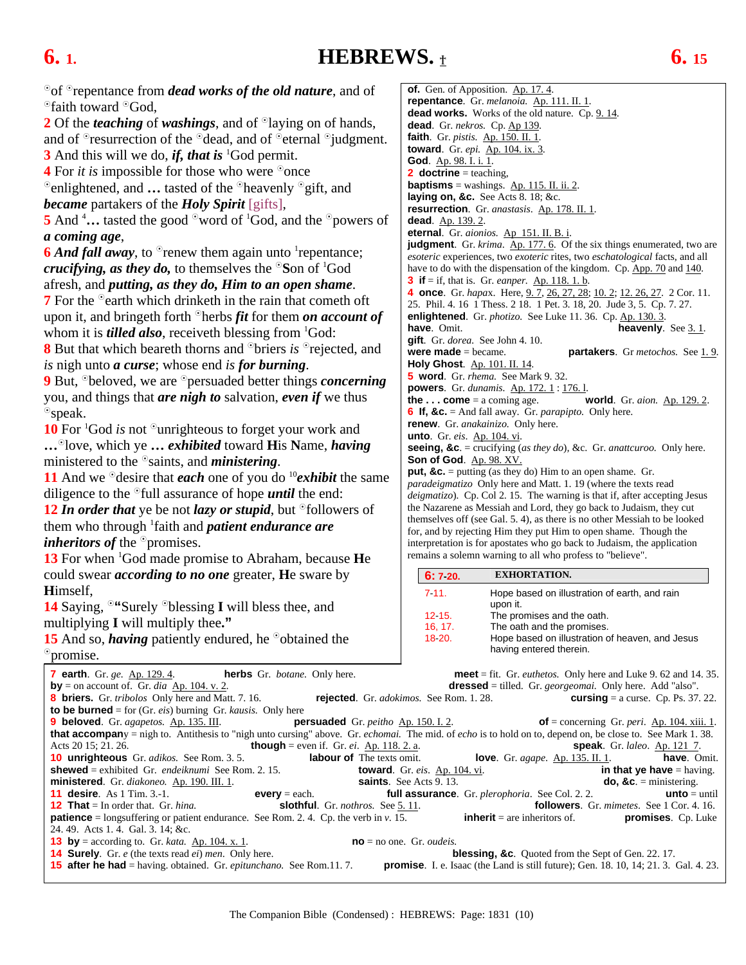<span id="page-9-0"></span>**6. 1. HEBREWS.** † **6. 15**

| <sup>o</sup> of <sup>o</sup> repentance from <i>dead works of the old nature</i> , and of                                                                      | of. Gen. of Apposition. Ap. 17.4.<br>repentance. Gr. melanoia. Ap. 111. II. 1.                                                                      |
|----------------------------------------------------------------------------------------------------------------------------------------------------------------|-----------------------------------------------------------------------------------------------------------------------------------------------------|
| <sup>o</sup> faith toward <sup>o</sup> God,                                                                                                                    | dead works. Works of the old nature. Cp. 9.14.                                                                                                      |
| 2 Of the <i>teaching</i> of <i>washings</i> , and of <sup>o</sup> laying on of hands,                                                                          | dead. Gr. nekros. Cp. Ap 139.                                                                                                                       |
| and of <sup>o</sup> resurrection of the <sup>o</sup> dead, and of <sup>o</sup> eternal <sup>o</sup> judgment.                                                  | faith. Gr. <i>pistis.</i> Ap. 150. II. 1.                                                                                                           |
| 3 And this will we do, <i>if, that is</i> <sup>1</sup> God permit.                                                                                             | toward. Gr. epi. Ap. 104. ix. 3.                                                                                                                    |
| <b>4</b> For <i>it is</i> impossible for those who were $\degree$ once                                                                                         | God. Ap. 98. I. i. 1.<br><b>2</b> doctrine = teaching,                                                                                              |
| $^{\circ}$ enlightened, and  tasted of the $^{\circ}$ heavenly $^{\circ}$ gift, and                                                                            | <b>baptisms</b> = washings. $\Delta p$ . 115. II. ii. 2.                                                                                            |
| <b>became</b> partakers of the <b>Holy Spirit</b> [gifts],                                                                                                     | laying on, &c. See Acts 8. 18; &c.                                                                                                                  |
|                                                                                                                                                                | resurrection. Gr. anastasis. Ap. 178. II. 1.                                                                                                        |
| 5 And $\frac{4}{1}$ tasted the good $\frac{6}{1}$ word of $\frac{1}{3}$ God, and the $\frac{6}{1}$ powers of                                                   | dead. Ap. 139.2.<br>eternal. Gr. aionios. Ap 151. II. B. i.                                                                                         |
| a coming age,                                                                                                                                                  | judgment. Gr. krima. Ap. 177. 6. Of the six things enumerated, two are                                                                              |
| <b>6</b> And fall away, to $^{\circ}$ renew them again unto <sup>1</sup> repentance;                                                                           | esoteric experiences, two exoteric rites, two eschatological facts, and all                                                                         |
| <i>crucifying, as they do, to themselves the</i> $\degree$ Son of $\degree$ God                                                                                | have to do with the dispensation of the kingdom. Cp. App. 70 and 140.                                                                               |
| afresh, and <i>putting</i> , as they do, Him to an open shame.                                                                                                 | <b>3</b> if $=$ if, that is. Gr. <i>eanper</i> . <u>Ap. 118. 1. b</u> .<br>4 once. Gr. hapax. Here, 9. 7, 26, 27, 28; 10. 2; 12. 26, 27. 2 Cor. 11. |
| <b>7</b> For the <sup>o</sup> earth which drinketh in the rain that cometh oft                                                                                 | 25. Phil. 4. 16 1 Thess. 2 18. 1 Pet. 3. 18, 20. Jude 3, 5. Cp. 7. 27.                                                                              |
| upon it, and bringeth forth $\partial$ herbs <i>fit</i> for them <i>on account of</i>                                                                          | enlightened. Gr. <i>photizo</i> . See Luke 11. 36. Cp. Ap. 130. 3.                                                                                  |
| whom it is <i>tilled also</i> , receive th blessing from ${}^{1}$ God:                                                                                         | have. Omit.<br><b>heavenly.</b> See $3.1$ .                                                                                                         |
| <b>8</b> But that which beareth thorns and <sup>o</sup> briers is <sup>o</sup> rejected, and                                                                   | gift. Gr. dorea. See John 4. 10.<br>were $made = became$ .                                                                                          |
| is nigh unto <b><i>a</i></b> curse; whose end is for burning.                                                                                                  | partakers. Gr metochos. See 1.9.<br>Holy Ghost. Ap. 101. II. 14.                                                                                    |
| <b>9</b> But, <sup>o</sup> beloved, we are <sup>o</sup> persuaded better things <i>concerning</i>                                                              | <b>5 word</b> . Gr. <i>rhema</i> . See Mark 9.32.                                                                                                   |
|                                                                                                                                                                | <b>powers</b> . Gr. dunamis. Ap. 172. 1 : 176. 1.                                                                                                   |
| you, and things that <i>are nigh to</i> salvation, <i>even</i> if we thus                                                                                      | <b>the  come</b> = a coming age.<br>world. Gr. aion. Ap. 129.2.                                                                                     |
| $^{\circ}$ speak.                                                                                                                                              | <b>6 If, &amp;c.</b> = And fall away. Gr. <i>parapipto</i> . Only here.<br>renew. Gr. anakainizo. Only here.                                        |
| 10 For ${}^{1}$ God <i>is</i> not ${}^{\circ}$ unrighteous to forget your work and                                                                             | <b>unto</b> . Gr. eis. Ap. 104. vi.                                                                                                                 |
| <sup>o</sup> love, which ye <i>exhibited</i> toward <b>H</b> is Name, <i>having</i>                                                                            | seeing, &c. = crucifying (as they do), &c. Gr. anattcuroo. Only here.                                                                               |
| ministered to the $\delta$ saints, and <i>ministering</i> .                                                                                                    | Son of God. Ap. 98. XV.                                                                                                                             |
| 11 And we $\partial$ desire that <i>each</i> one of you do $\partial$ <i>exhibit</i> the same                                                                  | <b>put, &amp;c.</b> = putting (as they do) Him to an open shame. Gr.<br>paradeigmatizo Only here and Matt. 1. 19 (where the texts read              |
| diligence to the $\degree$ full assurance of hope <i>until</i> the end:                                                                                        | <i>deigmatizo</i> ). Cp. Col 2. 15. The warning is that if, after accepting Jesus                                                                   |
| 12 In order that ye be not lazy or stupid, but $\partial$ followers of                                                                                         | the Nazarene as Messiah and Lord, they go back to Judaism, they cut                                                                                 |
| them who through <sup>1</sup> faith and <i>patient endurance are</i>                                                                                           | themselves off (see Gal. 5.4), as there is no other Messiah to be looked                                                                            |
| <i>inheritors of the</i> $^{\circ}$ promises.                                                                                                                  | for, and by rejecting Him they put Him to open shame. Though the<br>interpretation is for apostates who go back to Judaism, the application         |
| <b>13</b> For when <sup>1</sup> God made promise to Abraham, because He                                                                                        | remains a solemn warning to all who profess to "believe".                                                                                           |
| could swear <i>according to no one</i> greater, He sware by                                                                                                    | <b>EXHORTATION.</b>                                                                                                                                 |
| Himself,                                                                                                                                                       | 6:7 20.                                                                                                                                             |
|                                                                                                                                                                | 7.11.<br>Hope based on illustration of earth, and rain<br>upon it.                                                                                  |
| <b>14</b> Saying, $\degree$ "Surely $\degree$ blessing I will bless thee, and                                                                                  | 12 15.<br>The promises and the oath.                                                                                                                |
| multiplying I will multiply thee."                                                                                                                             | 16, 17.<br>The oath and the promises.                                                                                                               |
| 15 And so, <i>having</i> patiently endured, he $\delta$ obtained the                                                                                           | 18 20.<br>Hope based on illustration of heaven, and Jesus<br>having entered therein.                                                                |
| <sup>o</sup> promise.                                                                                                                                          |                                                                                                                                                     |
| 7 earth. Gr. ge. Ap. 129. 4.<br><b>herbs</b> Gr. <i>botane</i> . Only here.                                                                                    | <b>meet</b> = fit. Gr. <i>euthetos</i> . Only here and Luke 9. 62 and 14. 35.                                                                       |
| <b>by</b> = on account of. Gr. <i>dia</i> $\Delta p$ . 104. v. 2.                                                                                              | <b>dressed</b> = tilled. Gr. <i>georgeomai</i> . Only here. Add "also".                                                                             |
| 8 briers. Gr. tribolos Only here and Matt. 7. 16.<br><b>to be burned</b> = for $(Gr. eis)$ burning $Gr. kausis.$ Only here                                     | rejected. Gr. adokimos. See Rom. 1. 28.<br><b>cursing</b> = a curse. Cp. Ps. 37. 22.                                                                |
| 9 beloved. Gr. agapetos. Ap. 135. III.<br><b>persuaded</b> Gr. peitho Ap. 150. I. 2.                                                                           | of = concerning Gr. peri. $Ap. 104. xiii. 1$ .                                                                                                      |
| that accompany = nigh to. Antithesis to "nigh unto cursing" above. Gr. echomai. The mid. of echo is to hold on to, depend on, be close to. See Mark 1.38.      |                                                                                                                                                     |
| Acts 20 15; 21. 26.<br><b>though</b> = even if. Gr. <i>ei</i> . $\underline{Ap}$ . 118. 2. a.                                                                  | <b>speak.</b> Gr. laleo. Ap. 121 7.                                                                                                                 |
| <b>10 unrighteous</b> Gr. <i>adikos</i> . See Rom. 3.5.<br><b>labour of</b> The texts omit.<br><b>shewed</b> = exhibited Gr. <i>endeiknumi</i> See Rom. 2. 15. | love. Gr. agape. Ap. 135. II. 1.<br>have. Omit.                                                                                                     |
| ministered. Gr. diakoneo. Ap. 190. III. 1.                                                                                                                     | toward. Gr. eis. Ap. 104. vi.<br>in that ye have $=$ having.<br><b>saints</b> . See Acts 9.13.<br>do, &c. $=$ ministering.                          |
| <b>11 desire.</b> As 1 Tim. 3.-1.<br>every $=$ each.                                                                                                           | full assurance. Gr. plerophoria. See Col. 2.2.<br>$unto = until$                                                                                    |
| <b>12 That</b> = In order that. Gr. $hina$ .<br><b>slothful.</b> Gr. <i>nothros.</i> See 5.11.                                                                 | <b>followers.</b> Gr. <i>mimetes</i> . See 1 Cor. 4. 16.                                                                                            |
| <b>patience</b> = longsuffering or patient endurance. See Rom. 2. 4. Cp. the verb in $v$ . 15.<br>24. 49. Acts 1. 4. Gal. 3. 14; &c.                           | <b>inherit</b> = are inheritors of.<br>promises. Cp. Luke                                                                                           |
| <b>13 by</b> = according to. Gr. <i>kata</i> . $\underline{Ap. 104. x. 1}$ .                                                                                   | $no = no$ one. Gr. <i>oudeis</i> .                                                                                                                  |
| <b>14 Surely</b> . Gr. e (the texts read ei) men. Only here.                                                                                                   | <b>blessing, &amp;c.</b> Quoted from the Sept of Gen. 22. 17.                                                                                       |
| <b>15 after he had</b> = having. obtained. Gr. <i>epitunchano</i> . See Rom.11.7.                                                                              | <b>promise</b> . I. e. Isaac (the Land is still future); Gen. 18. 10, 14; 21. 3. Gal. 4. 23.                                                        |
|                                                                                                                                                                |                                                                                                                                                     |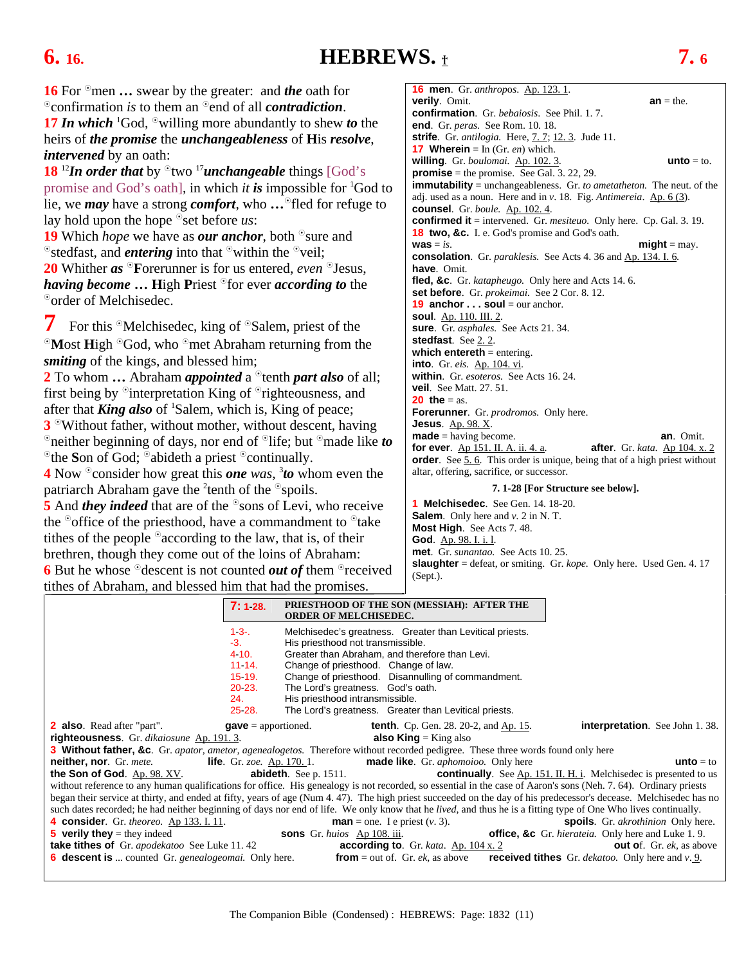### <span id="page-10-0"></span>**6. 16. HEBREWS.** † **7. 6**

**16** For <sup>o</sup>men **…** swear by the greater: and *the* oath for <sup>o</sup> confirmation *is* to them an <sup>o</sup> end of all *contradiction*. 17 *In which* <sup>1</sup>God, <sup>o</sup>willing more abundantly to shew *to* the heirs of *the promise* the *unchangeableness* of **H**is *resolve*, *intervened* by an oath:

**18** <sup>12</sup>*In order that* by  $\Omega$ <sup>0</sup>two <sup>17</sup>*unchangeable* things [God's promise and God's oath], in which *it is* impossible for 1 God to lie, we *may* have a strong *comfort*, who ... The for refuge to lay hold upon the hope  $\circ$ set before *us*:

**19** Which *hope* we have as *our anchor*, both <sup>o</sup>sure and  $\Phi$ stedfast, and *entering* into that  $\Phi$  within the  $\Phi$ veil; **20** Whither *as* **F**orerunner is for us entered, *even* Jesus, *having become* ... High Priest <sup>o</sup>for ever *according to* the <sup>o</sup>order of Melchisedec.

**7** For this <sup>o</sup>Melchisedec, king of <sup>o</sup>Salem, priest of the <sup>o</sup>Most **High** <sup>o</sup>God, who <sup>o</sup>met Abraham returning from the *smiting* of the kings, and blessed him;

**2** To whom **…** Abraham *appointed* a <sup>o</sup>tenth *part also* of all; first being by  $\delta$  interpretation King of  $\delta$  righteousness, and after that *King also* of <sup>1</sup>Salem, which is, King of peace; **3** Without father, without mother, without descent, having <sup>o</sup>neither beginning of days, nor end of <sup>o</sup>life; but <sup>o</sup>made like *to* <sup>o</sup>the **S**on of God; <sup>o</sup>abideth a priest <sup>o</sup>continually.

**4** Now <sup>o</sup>consider how great this **one** was, <sup>3</sup> to whom even the patriarch Abraham gave the <sup>2</sup> tenth of the  $\degree$ spoils.

**5** And *they indeed* that are of the <sup>o</sup>sons of Levi, who receive the  $\degree$  office of the priesthood, have a commandment to  $\degree$  take tithes of the people  $\delta$  according to the law, that is, of their brethren, though they come out of the loins of Abraham:

**6** But he whose <sup>o</sup>descent is not counted *out of* them <sup>o</sup>received tithes of Abraham, and blessed him that had the promises.

**16 men**. Gr. *anthrop*o*s*. Ap. 123. 1. **verily**. Omit. **an** = the. **confirmation**. Gr. *bebaiosis*. See Phil. 1. 7. **end**. Gr. *peras.* See Rom. 10. 18. **strife**. Gr. *antilogia.* Here, [7. 7;](#page-11-0) [12. 3.](#page-21-0) Jude 11. **17 Wherein** =  $\text{In (Gr. } en)$  which. **willing**. Gr. *boulomai.* Ap. 102. 3. **unto** = to. **promise** = the promise. See Gal. 3. 22, 29. **immutability** = unchangeableness. Gr. *to ametatheton.* The neut. of the adj. used as a noun. Here and in *v*. 18. Fig. *Antimereia*. Ap. 6 (3). **counsel**. Gr. *boule.* Ap. 102. 4. **confirmed it** = intervened. Gr. *mesiteuo.* Only here. Cp. Gal. 3. 19. **18 two, &c.** I. e. God's promise and God's oath.  $\mathbf{w}\mathbf{a}\mathbf{s} = i\mathbf{s}$ . **consolation**. Gr. *paraklesis.* See Acts 4. 36 and Ap. 134. I. 6. **have**. Omit. **fled, &c**. Gr. *katapheugo.* Only here and Acts 14. 6. **set before**. Gr. *prokeimai.* See 2 Cor. 8. 12. **19 anchor . . . soul** = our anchor. **soul**. Ap. 110. III. 2. **sure**. Gr. *asphales.* See Acts 21. 34. **stedfast**. See [2. 2.](#page-3-0) **which entereth** = entering. **into**. Gr. *eis.* Ap. 104. vi. **within**. Gr. *esoteros.* See Acts 16. 24. **veil**. See Matt. 27. 51. **20 the**  $=$  as. **Forerunner**. Gr. *prodromos.* Only here. **Jesus**. Ap. 98. X. **made** = having become.<br>**for ever**. <u>Ap 151. II. A. ii. 4. a</u>. **after**. Gr. kata. <u>Ap 104. x. 2</u> **for ever**.  $\underline{Ap}$  151. II. A. ii. 4. a. **order**. See 5.6. This order is unique, being that of a high priest without altar, offering, sacrifice, or successor.

### **7. 1-28 [For Structure see below].**

**1 Melchisedec**. See Gen. 14. 18-20. **Salem**. Only here and *v.* 2 in N. T. **Most High**. See Acts 7. 48. **God**. Ap. 98. I. i. l. **met**. Gr. *sunantao.* See Acts 10. 25. **slaughter** = defeat, or smiting. Gr. *kope.* Only here. Used Gen. 4. 17 (Sept.).

|                                                                   | 7:128.    | PRIESTHOOD OF THE SON (MESSIAH): AFTER THE<br><b>ORDER OF MELCHISEDEC.</b>                                                                                             |
|-------------------------------------------------------------------|-----------|------------------------------------------------------------------------------------------------------------------------------------------------------------------------|
|                                                                   | $1 - 3 -$ | Melchisedec's greatness. Greater than Levitical priests.                                                                                                               |
|                                                                   | $-3.$     | His priesthood not transmissible.                                                                                                                                      |
|                                                                   | 4 10.     | Greater than Abraham, and therefore than Levi.                                                                                                                         |
|                                                                   | 11.14.    | Change of priesthood. Change of law.                                                                                                                                   |
|                                                                   | 15 19.    | Change of priesthood. Disannulling of commandment.                                                                                                                     |
|                                                                   | 20 23.    | The Lord's greatness. God's oath.                                                                                                                                      |
|                                                                   | 24.       | His priesthood intransmissible.                                                                                                                                        |
|                                                                   | 25 28.    | The Lord's greatness. Greater than Levitical priests.                                                                                                                  |
| <b>2 also.</b> Read after "part".                                 |           | <b>interpretation.</b> See John 1.38.<br><b>tenth.</b> Cp. Gen. 28. 20-2, and Ap. 15.<br>$gave =$ apportioned.                                                         |
| righteousness. Gr. dikaiosune Ap. 191.3.                          |           | <b>also King</b> = King also                                                                                                                                           |
|                                                                   |           | <b>3 Without father, &amp;c.</b> Gr. apator, ametor, agenealogetos. Therefore without recorded pedigree. These three words found only here                             |
| <b>neither, nor</b> . Gr. mete.                                   |           | <b>life</b> . Gr. zoe. Ap. 170. 1. <b>made like</b> . Gr. <i>aphomoioo</i> . Only here<br><b>unto</b> $=$ to                                                           |
| the Son of God. Ap. 98. XV.                                       |           | <b>abideth</b> . See p. 1511.<br><b>continually</b> . See Ap. 151. II. H. i. Melchisedec is presented to us                                                            |
|                                                                   |           | without reference to any human qualifications for office. His genealogy is not recorded, so essential in the case of Aaron's sons (Neh. 7.64). Ordinary priests        |
|                                                                   |           | began their service at thirty, and ended at fifty, years of age (Num 4.47). The high priest succeeded on the day of his predecessor's decease. Melchisedec has no      |
|                                                                   |           | such dates recorded; he had neither beginning of days nor end of life. We only know that he <i>lived</i> , and thus he is a fitting type of One Who lives continually. |
| 4 consider. Gr. theoreo. Ap 133. I. 11.                           |           | <b>spoils.</b> Gr. <i>akrothinion</i> Only here.<br><b>man</b> = one. I e priest $(v, 3)$ .                                                                            |
| <b>5</b> verily they = they indeed                                |           | <b>office, &amp;c</b> Gr. <i>hierateia</i> . Only here and Luke 1.9.<br><b>sons</b> Gr. huios Ap 108. iii.                                                             |
| <b>take tithes of</b> Gr. apodekatoo See Luke 11.42               |           | according to. Gr. kata. $Ap. 104 x. 2$<br><b>out o</b> f. Gr. $ek$ , as above                                                                                          |
| <b>6 descent is</b> counted Gr. <i>genealogeomai</i> . Only here. |           | <b>from</b> = out of. Gr. <i>ek</i> , as above<br><b>received tithes</b> Gr. $dekatoo$ . Only here and $v$ . 9.                                                        |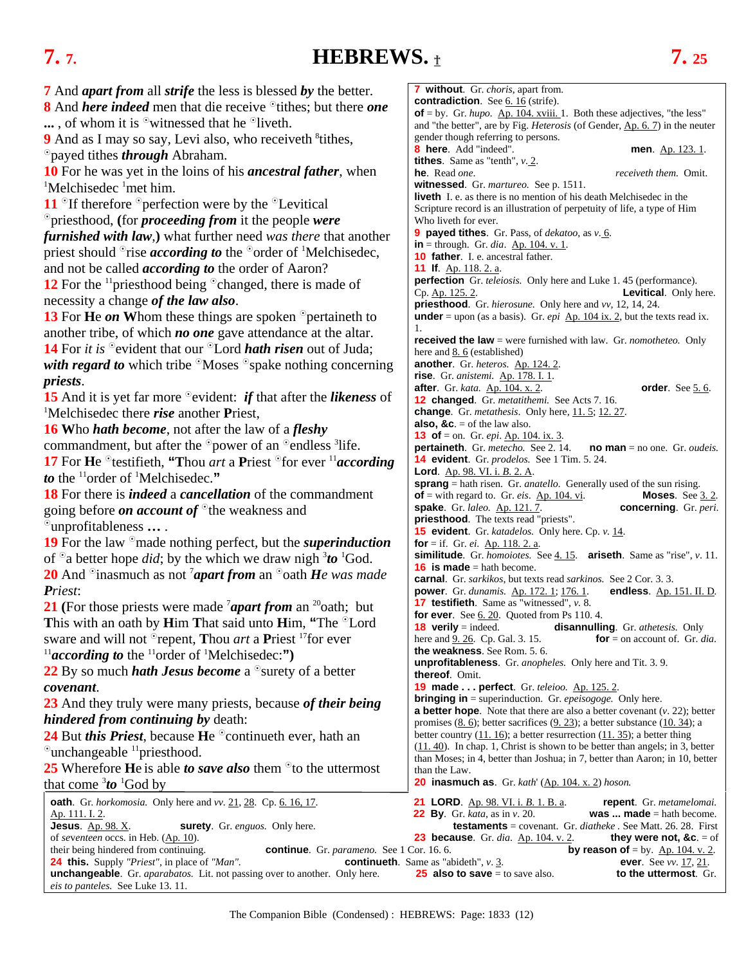### <span id="page-11-0"></span>**7. 7. HEBREWS.** † **7. 25**

**7** And *apart from* all *strife* the less is blessed *by* the better. **8** And *here indeed* men that die receive <sup>o</sup>tithes; but there *one*  $\ldots$ , of whom it is  $\delta$  witnessed that he  $\delta$  liveth. **9** And as I may so say, Levi also, who receiveth <sup>8</sup>tithes, payed tithes *through* Abraham. **<sup>10</sup>** For he was yet in the loins of his *ancestral father*, when 1 Melchisedec <sup>1</sup>met him. **11**  $\textdegree$ If therefore  $\textdegree$  perfection were by the  $\textdegree$ Levitical priesthood, **(**for *proceeding from* it the people *were furnished with law*,**)** what further need *was there* that another priest should <sup>o</sup>rise *according to* the <sup>o</sup>order of <sup>1</sup>Melchisedec, and not be called *according to* the order of Aaron? **12** For the <sup>11</sup> priesthood being  $\degree$  changed, there is made of necessity a change *of the law also*. **13** For **He** *on* Whom these things are spoken <sup>o</sup>pertaineth to another tribe, of which *no one* gave attendance at the altar. **14** For *it* is <sup>o</sup> evident that our <sup>o</sup> Lord *hath risen* out of Juda; *with regard to* which tribe <sup>o</sup>Moses <sup>o</sup>spake nothing concerning *priests*. **15** And it is yet far more  $\degree$  evident: *if* that after the *likeness* of Melchisedec there *rise* another **P**riest, **16 W**ho *hath become*, not after the law of a *fleshy* commandment, but after the  $\degree$ power of an  $\degree$ endless <sup>3</sup>life. **17** For **He**  $\circ$  testifieth, "Thou *art* a Priest  $\circ$  for ever <sup>11</sup> *according to* the 11order of 1 Melchisedec.**" 18** For there is *indeed* a *cancellation* of the commandment going before *on account of* <sup>o</sup>the weakness and unprofitableness **…** . **19** For the law made nothing perfect, but the *superinduction* of  $\Omega$  better hope *did*; by the which we draw nigh  ${}^{3}$ to  ${}^{1}$ God. **20** And <sup>o</sup>inasmuch as not <sup>7</sup>*apart from* an <sup>o</sup>oath *He was made Priest*: **21** (For those priests were made <sup>7</sup>*apart from* an <sup>20</sup>oath; but **This with an oath by <b>H**im **That said unto Him, "The <sup>O</sup>Lord**" sware and will not <sup>o</sup>repent, **Thou** *art* a **Priest** <sup>17</sup> for ever  $^{11}$ **according to** the  $^{11}$ order of  $^{1}$ Melchisedec:") **22** By so much *hath Jesus become* a <sup>o</sup> surety of a better *covenant*. **23** And they truly were many priests, because *of their being hindered from continuing by* death: **24** But *this Priest*, because He <sup>o</sup>continueth ever, hath an  $^{\circ}$ unchangeable  $^{11}$ priesthood. **25** Wherefore **H**e is able *to save also* them <sup>o</sup>to the uttermost that come  $3$ *to* <sup>1</sup>God by **oath**. Gr. *horkomosia*. Only here and *vv.* 21, [28.](#page-12-0) Cp[. 6. 16, 17.](#page-10-0) **21 LORD**. Ap. 98. VI. i. *B*. 1. B. a. **repent**. Gr. *metamelomai.* Ap. 111. I. 2. **22 By**. Gr. *kata*, as in *v*. 20. **was ... made** = hath become. **Jesus**. Ap. 98. X. **surety**. Gr. *enguos.* Only here. **testaments** = covenant. Gr. *diatheke .* See Matt. 26. 28. First of *seventeen* occs. in Heb. (Ap. 10).<br> **23** because. Gr. *dia*. Ap. 104. v. 2. **they were not, &c**. = of their being hindered from continuing. **23 23 23 24 24 24 24 25 24 25 25 25 25 25 25 25** their being. Gr. *parameno*. See 1 Cor. 16. 6. **24 this.** Supply *"Priest"*, in place of *"Man"*. **continueth**. Same as "abideth", *v*[. 3.](#page-10-0) **ever**. See *vv.* 17, 21. **unchangeable**. Gr. *aparabatos.* Lit. not passing over to another. Only here. **25 also to save** = to sa **unchangeable**. Gr. *aparabatos.* Lit. not passing over to another. Only here. **25 also to save** = to save also. *eis to panteles.* See Luke 13. 11. **7 without**. Gr. *choris*, apart from. **contradiction**. See [6. 16](#page-10-0) (strife). **of** = by. Gr. *hupo.* <u>Ap. 104. xviii.</u> 1. Both these adjectives, "the less" Who liveth for ever. **11 If**. Ap. 118. 2. a. 1. **thereof**. Omit. than the Law.

and "the better", are by Fig. *Heterosis* (of Gender, Ap. 6. 7) in the neuter gender though referring to persons. **8 here**. Add "indeed". **men**. Ap. 123. 1. **tithes**. Same as "tenth", *v*[. 2.](#page-10-0)  **he**. Read *one*. *receiveth them.* Omit. **witnessed**. Gr. *martureo.* See p. 1511. **liveth** I. e. as there is no mention of his death Melchisedec in the Scripture record is an illustration of perpetuity of life, a type of Him **9 payed tithes**. Gr. Pass, of *dekatoo,* as *v.* [6.](#page-10-0)  **in** = through. Gr. *dia*. <u>Ap. 104. v. 1</u>. **10 father**. I. e. ancestral father. **perfection** Gr. *teleiosis.* Only here and Luke 1. 45 (performance). Cp. Ap. 125. 2. **Levitical**. Only here. **priesthood**. Gr. *hierosune.* Only here and *vv,* 12, 14, 24. **under** = upon (as a basis). Gr.  $epi$   $\overrightarrow{Ap}$ . 104 ix. 2, but the texts read ix. **received the law** = were furnished with law. Gr. *nomotheteo.* Only here an[d 8. 6](#page-12-0) (established) **another**. Gr. *heteros.* Ap. 124. 2. **rise**. Gr. *anistemi.* Ap. 178. I. 1. **after**. Gr. *kata.* **Ap. 104. x. 2. order**. See 5. 6. **12 changed**. Gr. *metatithemi.* See Acts 7. 16. **change**. Gr. *metathesis*. Only here, [11. 5;](#page-18-0) [12. 27.](#page-23-0) **also, &c.**  $=$  of the law also. **13 of** = on. Gr. *epi*. <u>Ap. 104. ix. 3</u>. **pertaineth**. Gr. *metecho.* See [2. 14.](#page-4-0) **no man** = no one. Gr. *oudeis.* **14 evident**. Gr. *prodelos.* See 1 Tim. 5. 24. **Lord**. Ap. 98. VI. i. *B*. 2. A. **sprang** = hath risen. Gr. *anatello*. Generally used of the sun rising.<br>**of** = with regard to. Gr. *eis.* Ap. 104. vi. **Moses.** See 3.2.  $of$  = with regard to. Gr. *eis*.  $Ap. 104$ . vi. **spake**. Gr. *laleo.* Ap. 121. 7. **concerning**. Gr. *peri*. **priesthood**. The texts read "priests". **15 evident**. Gr. *katadelos.* Only here. Cp. *v.* 14. **for** = if. Gr. *ei*. Ap. 118. 2. a. **similitude**. Gr. *homoiotes.* Se[e 4. 15.](#page-7-0) **ariseth**. Same as "rise", *v*. 11. **16 is made** = hath become. **carnal**. Gr. *sarkikos*, but texts read *sarkinos.* See 2 Cor. 3. 3. **power**. Gr. *dunamis.* Ap. 172. 1; 176. 1. **endless**. Ap. 151. II. D*.* **17 testifieth**. Same as "witnessed", *v.* 8. **for ever.** Se[e 6. 20.](#page-10-0) Quoted from Ps 110. 4. **18 verily** = indeed. **disannulling**. Gr. *athetesis.* Only here and [9. 26.](#page-15-0) Cp. Gal. 3. 15. **for** = on account of. Gr. *dia*. **the weakness**. See Rom. 5. 6. **unprofitableness**. Gr. *anopheles.* Only here and Tit. 3. 9. **19 made . . . perfect**. Gr. *teleioo.* Ap. 125. 2. **bringing in** = superinduction. Gr. *epeisogoge.* Only here. **a better hope**. Note that there are also a better covenant (*v*. 22); better promises  $(8.6)$ ; better sacrifices  $(9.23)$ ; a better substance  $(10.34)$ ; a better country  $(11. 16)$ ; a better resurrection  $(11. 35)$ ; a better thing [\(11. 40\)](#page-20-0). In chap. 1*,* Christ is shown to be better than angels; in 3, better than Moses; in 4, better than Joshua; in 7, better than Aaron; in 10, better **20 inasmuch as**. Gr. *kath*' (Ap. 104. x. 2) *hoson.*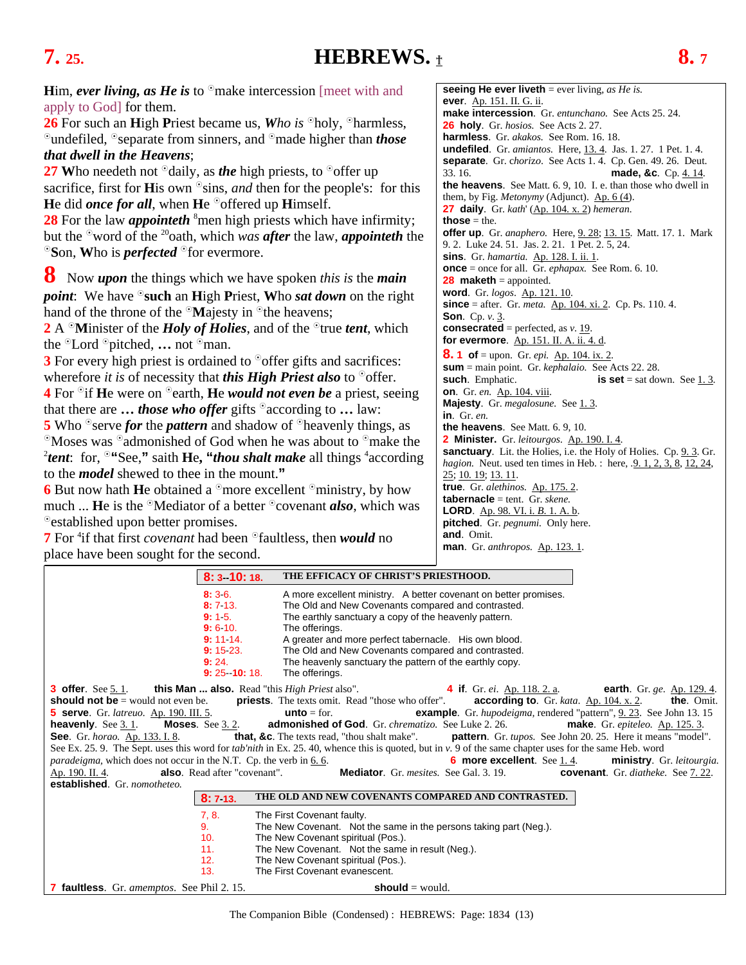### <span id="page-12-0"></span>**7.** 25. **HEBREWS.**  $_1$  **8.** 7

**26** For such an **High Priest became us, Who** is <sup>o</sup>holy, <sup>o</sup>harmless, <sup>o</sup>undefiled, <sup>o</sup>separate from sinners, and <sup>o</sup>made higher than *those that dwell in the Heavens*;

**27 W**ho needeth not  $\partial$  daily, as *the* high priests, to  $\partial$  offer up sacrifice, first for **H**is own  $\circ$ sins, *and* then for the people's: for this **He** did *once for all*, when **He**  $\degree$  offered up **H**imself.

28 For the law *appointeth* <sup>8</sup>men high priests which have infirmity; but the <sup>o</sup>word of the <sup>20</sup>oath, which *was after* the law, *appointeth* the  $\mathcal{S}$ Son, Who is *perfected*  $\mathcal{S}$ for evermore.

**8** Now *upon* the things which we have spoken *this is* the *main* 

*point***:** We have <sup> $\circ$ </sup> **such** an **H**igh **P**riest, **Who** *sat down* on the right hand of the throne of the  $\mathcal{M}$ ajesty in  $\mathcal{N}$  the heavens;

**2** A <sup>o</sup>Minister of the *Holy of Holies*, and of the <sup>o</sup>true *tent*, which the <sup>o</sup>Lord <sup>o</sup>pitched, ... not <sup>o</sup>man.

**3** For every high priest is ordained to <sup>o</sup>offer gifts and sacrifices: wherefore *it* is of necessity that *this High Priest also* to  $\degree$  offer. **4** For <sup>o</sup> if **H**e were on <sup>o</sup> earth, **H**e *would not even be* a priest, seeing that there are  $\ldots$  *those who offer* gifts  $\Omega$  according to  $\ldots$  law:

**5** Who <sup>o</sup> serve *for* the *pattern* and shadow of <sup>o</sup> heavenly things, as  $\degree$ Moses was  $\degree$ admonished of God when he was about to  $\degree$ make the *tent*: for, <sup>o</sup>"See," saith **He, "***thou shalt make* all things <sup>4</sup> according to the *model* shewed to thee in the mount.**"** 

**6** But now hath **H**e obtained a  $^{\circ}$  more excellent  $^{\circ}$  ministry, by how much ... **He** is the <sup>o</sup>Mediator of a better <sup>o</sup>covenant *also*, which was <sup>o</sup> established upon better promises.

**7** For <sup>4</sup> if that first *covenant* had been <sup>o</sup>faultless, then *would* no place have been sought for the second.

**seeing He ever liveth** = ever living, *as He is.*  **ever**. Ap. 151. II. G. ii. **make intercession**. Gr. *entunchano.* See Acts 25. 24. **26 holy**. Gr. *hosios.* See Acts 2. 27. **harmless**. Gr. *akakos.* See Rom. 16. 18. **undefiled**. Gr. *amiantos.* Here, [13. 4.](#page-23-0) Jas. 1. 27. 1 Pet. 1. 4. **separate**. Gr. c*hori*z*o*. See Acts 1. 4. Cp. Gen. 49. 26. Deut. 33. 16. **made, &c**. Cp. [4. 14.](#page-7-0)  **the heavens**. See Matt. 6. 9, 10. I. e. than those who dwell in them, by Fig. *Metonymy* (Adjunct). Ap. 6 (4). **27 daily**. Gr. *kath*' (Ap. 104. x. 2) *hemeran.*  **those** = the. **offer up**. Gr. *anaphero.* Here, [9. 28;](#page-15-0) [13. 15.](#page-24-0) Matt. 17. 1. Mark 9. 2. Luke 24. 51. Jas. 2. 21. 1 Pet. 2. 5, 24. **sins**. Gr. *hamartia.* Ap. 128. I. ii. 1. **once** = once for all. Gr. *ephapax.* See Rom. 6. 10. **28 maketh** = appointed. **word**. Gr. *logos*. Ap. 121. 10. **since** = after. Gr. *meta.* Ap. 104. xi. 2. Cp. Ps. 110. 4. **Son**. Cp. *v*[. 3.](#page-10-0)  **consecrated** = perfected, as *v*[. 19.](#page-11-0) **for evermore**. Ap. 151. II. A. ii. 4. d. **8. 1 of** = upon. Gr. *epi.* <u>Ap. 104. ix. 2</u>. **sum** = main point. Gr. *kephalaio.* See Acts 22. 28. **such**. Emphatic. **is set** = sat down. See [1. 3.](#page-2-0)  **on**. Gr. *en.* Ap. 104. viii. Majesty. Gr. *megalosune*. See 1.3. **in**. Gr. *en.* **the heavens**. See Matt. 6. 9, 10. **2 Minister.** Gr. *leitourgos.* Ap. 190. I. 4. **sanctuary**. Lit. the Holies, i.e. the Holy of Holies. Cp. 9.3. Gr. *hagion.* Neut. used ten times in Heb. : here, [.9. 1, 2, 3, 8,](#page-13-0) [12, 24,](#page-23-0) 25; 10*.* [19;](#page-16-0) [13. 11.](#page-24-0) **true**. Gr. *alethinos.* Ap. 175. 2. **tabernacle** = tent. Gr. *skene.* **LORD**. Ap. 98. VI. i. *B*. 1. A. b. **pitched**. Gr. *pegnumi.* Only here. **and**. Omit. **man**. Gr. *anthropos.* Ap. 123. 1.

| 8: 3 10: 18.                                                                                                                    | THE EFFICACY OF CHRIST'S PRIESTHOOD.                                                                                                                                                                                                                                                                                                                                                                                                                                                                                                                                                                                                                                                                                                                                                                                                                                                                                                                                                                                                                                                                                                                                                                                              |
|---------------------------------------------------------------------------------------------------------------------------------|-----------------------------------------------------------------------------------------------------------------------------------------------------------------------------------------------------------------------------------------------------------------------------------------------------------------------------------------------------------------------------------------------------------------------------------------------------------------------------------------------------------------------------------------------------------------------------------------------------------------------------------------------------------------------------------------------------------------------------------------------------------------------------------------------------------------------------------------------------------------------------------------------------------------------------------------------------------------------------------------------------------------------------------------------------------------------------------------------------------------------------------------------------------------------------------------------------------------------------------|
| 8:36.<br>8:713.<br>9:15.<br>9:6:10.<br>$9:11.14$ .<br>$9: 15 \, 23.$<br>9:24.<br>$9: 25 \cdot 10: 18.$                          | A more excellent ministry. A better covenant on better promises.<br>The Old and New Covenants compared and contrasted.<br>The earthly sanctuary a copy of the heavenly pattern.<br>The offerings.<br>A greater and more perfect tabernacle. His own blood.<br>The Old and New Covenants compared and contrasted.<br>The heavenly sanctuary the pattern of the earthly copy.<br>The offerings.                                                                                                                                                                                                                                                                                                                                                                                                                                                                                                                                                                                                                                                                                                                                                                                                                                     |
| <b>heavenly</b> . See $3.1$ .<br><b>also</b> . Read after "covenant".<br><u>Ap. 190. II. 4.</u><br>established. Gr. nomotheteo. | <b>3 offer.</b> See 5.1. <b>this Man  also.</b> Read "this <i>High Priest</i> also". <b>4 if.</b> Gr. ei. Ap. 118. 2. a. <b>earth</b> . Gr. ge. Ap. 129. 4.<br><b>should not be</b> = would not even be. <b>priests</b> . The texts omit. Read "those who offer". <b>according to</b> . Gr. kata. Ap. 104. x. 2. <b>the</b> . Omit.<br>5 serve. Gr. latreuo. Ap. 190. III. 5. <b>unto</b> = for. <b>unto</b> = for. <b>example</b> . Gr. <i>hupodeigma</i> , rendered "pattern", 9.23. See John 13.15<br><b>Moses.</b> See 3.2. <b>admonished of God.</b> Gr. <i>chrematizo</i> . See Luke 2. 26. <b>make</b> . Gr. <i>epiteleo.</i> Ap. 125. 3.<br>See. Gr. horao. Ap. 133. I. 8. <b>that, &amp;c.</b> The texts read, "thou shalt make". <b>pattern</b> . Gr. tupos. See John 20. 25. Here it means "model".<br>See Ex. 25. 9. The Sept. uses this word for <i>tab'nith</i> in Ex. 25. 40, whence this is quoted, but in v. 9 of the same chapter uses for the same Heb. word<br><b>6 more excellent</b> . See 1.4. <b>ministry</b> . Gr. leitourgia.<br><i>paradeigma</i> , which does not occur in the N.T. Cp. the verb in 6.6.<br><b>Mediator</b> . Gr. mesites. See Gal. 3. 19. <b>Covenant</b> . Gr. diatheke. See 7. 22. |
| 8:713.                                                                                                                          | THE OLD AND NEW COVENANTS COMPARED AND CONTRASTED.                                                                                                                                                                                                                                                                                                                                                                                                                                                                                                                                                                                                                                                                                                                                                                                                                                                                                                                                                                                                                                                                                                                                                                                |
| 7, 8.<br>9.<br>10.<br>11.<br>12.<br>13.                                                                                         | The First Covenant faulty.<br>The New Covenant. Not the same in the persons taking part (Neg.).<br>The New Covenant spiritual (Pos.).<br>The New Covenant. Not the same in result (Neg.).<br>The New Covenant spiritual (Pos.).<br>The First Covenant evanescent.                                                                                                                                                                                                                                                                                                                                                                                                                                                                                                                                                                                                                                                                                                                                                                                                                                                                                                                                                                 |
| 7 faultless. Gr. amemptos. See Phil 2. 15.                                                                                      | should $=$ would.                                                                                                                                                                                                                                                                                                                                                                                                                                                                                                                                                                                                                                                                                                                                                                                                                                                                                                                                                                                                                                                                                                                                                                                                                 |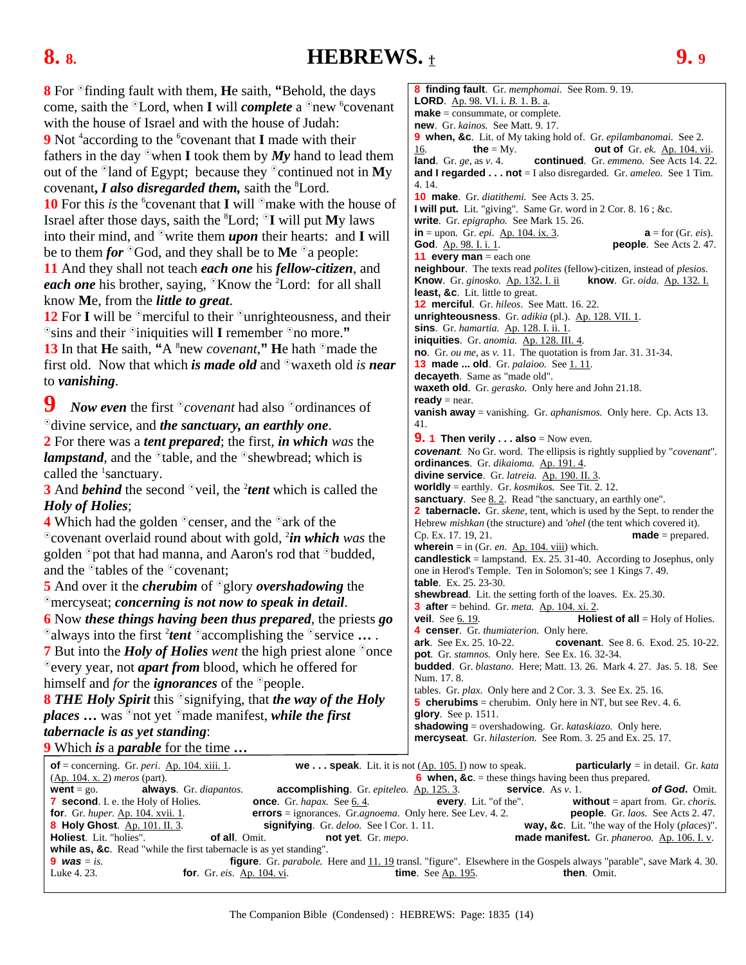### <span id="page-13-0"></span>**8. 8. HEBREWS.** † **9. 9**

made = prepared.

**8** For  $\Phi$  finding fault with them, **He** saith, "Behold, the days come, saith the <sup>o</sup>Lord, when **I** will *complete* a <sup>o</sup>new <sup>6</sup>covenant with the house of Israel and with the house of Judah: **9** Not <sup>4</sup> according to the <sup>6</sup> covenant that **I** made with their fathers in the day  $\Phi$  when **I** took them by My hand to lead them out of the  $\Omega$  and of Egypt; because they  $\Omega$  continued not in My covenant, *I also disregarded them*, saith the <sup>8</sup>Lord. **10** For this *is* the <sup>6</sup> covenant that **I** will  $\Omega$  make with the house of Israel after those days, saith the 8 Lord; **I** will put **M**y laws into their mind, and  $\degree$  write them **upon** their hearts: and **I** will be to them *for*  $\partial$ God, and they shall be to Me  $\partial$ a people: **11** And they shall not teach *each one* his *fellow-citizen*, and each one his brother, saying, <sup>o</sup>Know the <sup>2</sup>Lord: for all shall know **M**e, from the *little to great*. **12** For **I** will be  $\Omega$  merciful to their  $\Omega$  unrighteousness, and their <sup>o</sup>sins and their <sup>o</sup>iniquities will **I** remember <sup>o</sup>no more." **13** In that **He** saith, "A <sup>8</sup> new *covenant*," **He** hath <sup>o</sup> made the first old. Now that which *is made old* and <sup>o</sup>waxeth old *is near* to *vanishing*. *Now even* the first <sup>*c</sup>covenant* had also <sup>*c*</sup>ordinances of</sup> divine service, and *the sanctuary, an earthly one*. **2** For there was a *tent prepared*; the first, *in which was* the *lampstand*, and the  $\partial$  table, and the  $\partial$ shewbread; which is called the <sup>1</sup>sanctuary. **3** And *behind* the second <sup>o</sup>veil, the *leart* which is called the *Holy of Holies*; **4** Which had the golden  $^{\circ}$  censer, and the  $^{\circ}$  ark of the <sup>o</sup>covenant overlaid round about with gold, <sup>2</sup>in which was the golden  $\degree$  pot that had manna, and Aaron's rod that  $\degree$  budded, and the  $\delta$  tables of the  $\delta$  covenant; **5** And over it the *cherubim* of <sup>o</sup>glory *overshadowing* the mercyseat; *concerning is not now to speak in detail*. **6** Now *these things having been thus prepared*, the priests *go* <sup>•</sup> always into the first <sup>2</sup>tent<sup>•</sup> accomplishing the <sup>•</sup> service … . **7** But into the *Holy of Holies went* the high priest alone <sup>o</sup>once every year, not *apart from* blood, which he offered for himself and *for* the *ignorances* of the <sup>o</sup>people. **8** *THE Holy Spirit* this  $\delta$  signifying, that *the way of the Holy places* ... was <sup>o</sup>not yet <sup>o</sup>made manifest, *while the first tabernacle is as yet standing*: **9** Which *is* a *parable* for the time **… of** = concerning. Gr. *peri*. Ap. 104. xiii. 1. **we . . . speak**. Lit. it is not (Ap. 105. I) now to speak. **particularly** *=* in detail. Gr. *kata*  **8 finding fault**. Gr. *memphomai.* See Rom. 9. 19. **LORD**. Ap. 98. VI. i. *B.* 1. B. a. **make** = consummate, or complete. **new**. Gr. *kainos.* See Matt. 9. 17. **9 when, &c**. Lit. of My taking hold of. Gr. *epilambanomai*. See 2.<br>16. **the** = My. **out of** Gr. *ek.* Ap. 104. vi [16.](#page-4-0) **the** = My. **out of** Gr. *ek*. Ap. 104. vii. **continued**. Gr. *emmeno*. See Acts 14. 22. **and I regarded . . . not** = I also disregarded. Gr. *ameleo.* See 1 Tim. 4. 14. **10 make**. Gr. *diatithemi.* See Acts 3. 25. **I will put.** Lit. "giving". Same Gr. word in 2 Cor. 8. 16 ; &c. **write**. Gr. *epigrapho.* See Mark 15. 26. **in** = upon. Gr. *epi*. <u>Ap. 104. ix. 3</u>. **a** = for (Gr. *eis*).<br>**God**. <u>Ap. 98. I. i. 1</u>. **people**. See Acts 2. 47. **people**. See Acts 2. 47. **11 every man**  $=$  each one **neighbour**. The texts read *polites* (fellow)-citizen, instead of *plesios.*  **Know**. Gr. *ginosko.* Ap. 132. I. ii **know**. Gr. *oida.* Ap. 132. I. least, &c. Lit. little to great. **12 merciful**. Gr. *hileos*. See Matt. 16. 22. **unrighteousness**. Gr. *adikia* (pl.). Ap. 128. VII. 1. **sins**. Gr. *hamartia.* Ap. 128. I. ii. 1. **iniquities**. Gr. *anomia.* Ap. 128. III. 4. **no**. Gr. *ou me,* as *v.* 11. The quotation is from Jar. 31. 31-34. **13 made ... old**. Gr. *palaioo.* Se[e 1. 11.](#page-3-0)  **decayeth**. Same as "made old". **waxeth old**. Gr. *gerasko.* Only here and John 21.18. **ready** = near. **vanish away** = vanishing. Gr. *aphanismos.* Only here. Cp. Acts 13. 41. **9. 1 Then verily . . . also** = Now even. *covenant.* No Gr. word. The ellipsis is rightly supplied by "*covenant*"*.* **ordinances**. Gr. *dikaioma.* Ap. 191. 4. **divine service**. Gr. *latreia.* Ap. 190. II. 3. **worldly** = earthly. Gr. *kosmikos.* See Tit. 2. 12. **sanctuary**. See <u>8.2</u>. Read "the sanctuary, an earthly one". **2 tabernacle.** Gr. *skene,* tent, which is used by the Sept. to render the Hebrew *mishkan* (the structure) and *'ohel* (the tent which covered it).<br>Cn. Ex. 17, 19, 21. **made** = prepared **wherein**  $=$  in (Gr. *en.* Ap. 104. viii) which. **candlestick** = lampstand. Ex. 25. 31-40. According to Josephus, only one in Herod's Temple. Ten in Solomon's; see 1 Kings 7. 49. **table**. Ex. 25. 23-30. **shewbread**. Lit. the setting forth of the loaves. Ex. 25.30. **3 after** = behind. Gr. *meta.* <u>Ap. 104. xi. 2</u>. **veil.** See 6. 19. **Holice Holiest of all** = Holy of Holies. **4 censer**. Gr. *thumiaterion.* Only here. **ark**. See Ex. 25. 10-22. **covenant**. See 8. 6. Exod. 25. 10-22. **pot**. Gr*. stamnos.* Only here. See Ex. 16. 32-34. **budded**. Gr. *blastano.* Here; Matt. 13. 26. Mark 4. 27. Jas. 5. 18. See Num. 17. 8. tables. Gr. *plax*. Only here and 2 Cor. 3. 3. See Ex. 25. 16. **5 cherubims** = cherubim. Only here in NT*,* but see Rev. 4. 6. **glory**. See p. 1511. **shadowing** = overshadowing. Gr. *kataskiazo.* Only here. **mercyseat**. Gr. *hilasterion.* See Rom. 3. 25 and Ex. 25. 17.

(Ap. 104. x. 2) *meros* (part). **6 when, &c**. = these things having been thus prepared. **went** = go. **always**. Gr. *diapantos.* **accomplishing**. Gr. *epiteleo.* Ap. 125. 3. **service**. As *v*. 1. *of God***.**Omit. **7 second**. I. e. the Holy of Holies. **once**. Gr. *hapax.* See [6. 4.](#page-9-0) **every**. Lit. "of the". **without** = apart from. Gr. *choris.*  **for**. Gr. *huper*. Ap. 104. xvii. 1. **errors** = ignorances. Gr.*agnoema*. Only here. See Lev. 4. 2. **people**. Gr. *laos.* See Acts 2. 47.<br>**8 Holy Ghost**. Ap. 101. II. 3. **ignifying**. Gr. *deloo.* See 1 Cor. 1. 11. **way, & 8 Holy Ghost**. Ap. 101. II. 3. **signifying**. Gr. *deloo.* See l Cor. 1. 11. **way, &c**. Lit. "the way of the Holy (*pla*c*e*s)". **made manifest.** Gr. *phaneroo.* Ap. 106. I. v. **while as, &c**. Read "while the first tabernacle is as yet standing". **9** *was* = is. **figure**. Gr. *parabole*. Here and <u>11. 19</u> transl. "figure". Elsewhere in the Gospels always "parable", save Mark 4. 30. Luke 4. 23. **for.** Gr. eis. Ap. 104. vi. **time**. See Ap. 195. **then**. Omit.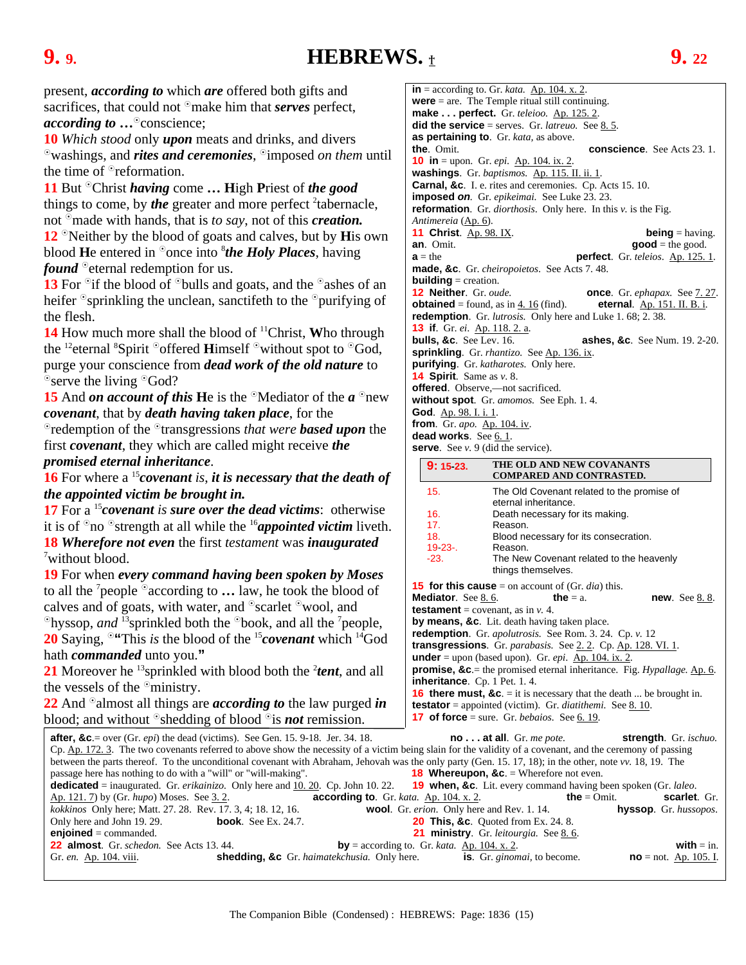### <span id="page-14-0"></span>**9. 9. HEBREWS.** † **9. 22**

present, *according to* which *are* offered both gifts and sacrifices, that could not <sup>o</sup>make him that *serves* perfect, *according to*  $\ldots$ <sup>o</sup>conscience;

**10** *Which stood* only *upon* meats and drinks, and divers  $\delta$  washings, and *rites and ceremonies*,  $\delta$  imposed *on them* until the time of  $\Phi$  reformation.

**11** But <sup>o</sup>Christ *having* come ... High Priest of *the good* things to come, by *the* greater and more perfect <sup>2</sup>tabernacle, not <sup>o</sup> made with hands, that is *to say*, not of this *creation*. **12** <sup>o</sup>Neither by the blood of goats and calves, but by **H**is own blood **H**e entered in <sup>o</sup>once into *<sup>8</sup>the Holy Places*, having *found* <sup>o</sup> eternal redemption for us.

**13** For <sup>o</sup> if the blood of <sup>o</sup> bulls and goats, and the <sup>o</sup> ashes of an heifer  $\delta$ sprinkling the unclean, sanctifeth to the  $\delta$ purifying of the flesh.

14 How much more shall the blood of <sup>11</sup>Christ, Who through the <sup>12</sup>eternal <sup>8</sup>Spirit <sup>o</sup>offered **H**imself <sup>o</sup>without spot to <sup>o</sup>God, purge your conscience from *dead work of the old nature* to  $\degree$ serve the living  $\degree$ God?

**15** And *on account of this* He is the  $\Omega$ Mediator of the *a*  $\Omega$ <sub>new</sub> *covenant*, that by *death having taken place*, for the

redemption of the transgressions *that were based upon* the first *covenant*, they which are called might receive *the promised eternal inheritance*.

**16** For where a <sup>15</sup>*covenant is, it is neces the appointed victim be brought in.* 

**17** For a <sup>15</sup> covenant is sure over the dea it is of  $\partial$  no  $\partial$  strength at all while the <sup>16</sup>*a* **18** *Wherefore not even the first testament* <sup>7</sup>without blood.

**19** For when *every command having be* to all the <sup>7</sup> people <sup>o</sup> according to ... law, he took the blood of calves and of goats, with water, and  $\delta$ sc  $\Phi$ hyssop, *and* <sup>13</sup>sprinkled both the  $\Phi$ bool people, **20** Saying,  $\degree$  "This *is* the blood of the  $\degree$ 

hath *commanded* unto you.**"** 

**21** Moreover he  $^{13}$ sprinkled with blood the vessels of the  $\delta$  ministry.

**22** And <sup>o</sup> almost all things are *according* blood; and without  $\delta$  shedding of blood

**after, &c**. = over (Gr. *epi*) the dead (victims). See Cp. Ap. 172. 3. The two covenants referred to above show the necessity of a covenant, and the ceremony of  $\Omega$ between the parts thereof. To the unconditional cov passage here has nothing to do with a "will" or "will **dedicated** = inaugurated. Gr. *erikainizo*. Only he Ap. 121. 7) by (Gr. *hupo*) Moses. See [3. 2.](#page-4-0) **according to**. Gr. *kata.* Ap. 104. x. 2. **the** = Omit. **scarlet**. Gr. *kokkinos* Only here; Matt. 27. 28. Rev. 17. 3, 4; 18 Only here and John 19. 29. **book**. See **enjoined** = commanded. **22 almost**. Gr. *schedon*. See Acts 13. 44. Gr. *en.* **Ap. 104. viii. shedding,** 

 $in =$  according to. Gr. *kata.*  $\Delta p$ . 104. x. 2. **were** = are. The Temple ritual still continuing. **make . . . perfect.** Gr. *teleioo.* Ap. 125. 2. **did the service** = serves. Gr. *latreuo.* Se[e 8. 5.](#page-12-0) **as pertaining to**. Gr. *kata,* as above. **conscience**. See Acts 23. 1. **10 in** = upon. Gr. *epi*. Ap. 104. ix. 2. **washings**. Gr. *baptismos.* Ap. 115. II. ii. 1. **Carnal, &c**. I. e. rites and ceremonies. Cp. Acts 15. 10. **imposed** *on.* Gr. *epikeimai.* See Luke 23. 23. **reformation**. Gr. *diorthosis*. Only here. In this *v.* is the Fig. *Antimereia* (Ap. 6). **11 Christ**. Ap. 98. IX. **being** = having. **an**. Omit. **good** = the good. **a** = the **perfect**. Gr. *teleios*. <u>Ap. 125. 1</u>. **made, &c**. Gr. *cheiropoietos*. See Acts 7. 48. **building** = creation. **12 Neither**. Gr. *oude.* **once**. Gr. *ephapax*. See <u>7. 27</u>.<br>**obtained** = found, as in <u>4. 16</u> (find). **eternal**. <u>Ap. 151. II. B. i</u>. **obtained** = found, as in  $\frac{4.16}{1}$  (find). **redemption**. Gr. *lutrosis.* Only here and Luke 1. 68; 2. 38. **13 if**. Gr. *ei*. Ap. 118. 2. a. **bulls, &c**. See Lev. 16. **ashes, &c**. See Num. 19. 2-20. **sprinkling**. Gr. *rhantizo.* See Ap. 136. ix. **purifying**. Gr. *katharotes.* Only here. **14 Spirit**. Same as *v*. 8. **offered**. Observe,—not sacrificed. **without spot**. Gr. *amomos.* See Eph. 1. 4. **God**. Ap. 98. I. i. 1. **from**. Gr. *apo.* Ap. 104. iv. dead works. See 6.1. **serve**. See *v.* 9 (did the service).

| ssary that the death of                                                                                                                                                                           | 9:15.23.                                                                                                              | THE OLD AND NEW COVANANTS<br><b>COMPARED AND CONTRASTED.</b>       |                                     |
|---------------------------------------------------------------------------------------------------------------------------------------------------------------------------------------------------|-----------------------------------------------------------------------------------------------------------------------|--------------------------------------------------------------------|-------------------------------------|
|                                                                                                                                                                                                   | 15.                                                                                                                   | The Old Covenant related to the promise of                         |                                     |
| <i>ad victims</i> : otherwise                                                                                                                                                                     | 16.                                                                                                                   | eternal inheritance.<br>Death necessary for its making.            |                                     |
| <i>ppointed victim</i> liveth.                                                                                                                                                                    | 17.                                                                                                                   | Reason.                                                            |                                     |
| ent was <b>inaugurated</b>                                                                                                                                                                        | 18.<br>$19.23 -$                                                                                                      | Blood necessary for its consecration.<br>Reason.                   |                                     |
|                                                                                                                                                                                                   | $-23.$                                                                                                                | The New Covenant related to the heavenly                           |                                     |
| een spoken by Moses                                                                                                                                                                               |                                                                                                                       | things themselves.                                                 |                                     |
| he took the blood of                                                                                                                                                                              | <b>15 for this cause</b> = on account of (Gr. <i>dia</i> ) this.                                                      |                                                                    |                                     |
| carlet $\degree$ wool, and                                                                                                                                                                        | Mediator. See 8.6.                                                                                                    | the $= a$ .<br><b>testament</b> = covenant, as in $v$ . 4.         | <b>new.</b> See 8.8.                |
| k, and all the <sup>7</sup> people,                                                                                                                                                               | by means, &c. Lit. death having taken place.                                                                          |                                                                    |                                     |
| <i>covenant</i> which <sup>14</sup> God                                                                                                                                                           | redemption. Gr. apolutrosis. See Rom. 3. 24. Cp. v. 12<br>transgressions. Gr. parabasis. See 2.2. Cp. Ap. 128. VI. 1. |                                                                    |                                     |
|                                                                                                                                                                                                   |                                                                                                                       | <b>under</b> = upon (based upon). Gr. <i>epi</i> . Ap. 104. ix. 2. |                                     |
| both the $2$ tent, and all                                                                                                                                                                        | <b>promise, &amp;c</b> = the promised eternal inheritance. Fig. Hypallage. $\underline{Ap. 6}$ .                      |                                                                    |                                     |
| inheritance. Cp. 1 Pet. 1.4.                                                                                                                                                                      |                                                                                                                       |                                                                    |                                     |
| <b>16 there must, &amp;c.</b> = it is necessary that the death  be brought in.<br><i>g to</i> the law purged <i>in</i><br><b>testator</b> = appointed (victim). Gr. <i>diatithemi</i> . See 8.10. |                                                                                                                       |                                                                    |                                     |
| $\delta$ is <i>not</i> remission.                                                                                                                                                                 | <b>17 of force</b> = sure. Gr. <i>bebaios</i> . See 6.19.                                                             |                                                                    |                                     |
| Gen. 15. 9-18. Jer. 34. 18.<br>$no \dots$ at all. Gr. <i>me pote</i> .<br>strength. Gr. ischuo.                                                                                                   |                                                                                                                       |                                                                    |                                     |
| we show the necessity of a victim being slain for the validity of a covenant, and the ceremony of passing                                                                                         |                                                                                                                       |                                                                    |                                     |
| venant with Abraham, Jehovah was the only party (Gen. 15, 17, 18); in the other, note vv. 18, 19. The<br><b>18 Whereupon, &amp;c.</b> = Wherefore not even.<br>l-making".                         |                                                                                                                       |                                                                    |                                     |
| <b>19 when, &amp;c.</b> Lit. every command having been spoken (Gr. <i>laleo</i> .<br>ere and <u>10. 20</u> . Cp. John 10. 22.                                                                     |                                                                                                                       |                                                                    |                                     |
| according to. Gr. kata. Ap. 104. x. 2.<br><b>the</b> = $Omit$ .<br>scarlet. Gr.                                                                                                                   |                                                                                                                       |                                                                    |                                     |
| 3. 12, 16.                                                                                                                                                                                        | wool. Gr. erion. Only here and Rev. 1. 14.                                                                            |                                                                    | hyssop. Gr. hussopos.               |
| $E_{\rm X}$ , 24.7.                                                                                                                                                                               |                                                                                                                       | <b>20 This, &amp;c.</b> Quoted from Ex. 24. 8.                     |                                     |
| 21 ministry. Gr. leitourgia. See 8.6.<br>by = according to. Gr. kata. $\Delta p$ . 104. x. 2.                                                                                                     |                                                                                                                       |                                                                    |                                     |
| <b>. &amp;c</b> Gr. haimatekchusia. Only here $\qquad$ <b>is.</b> Gr. ginomal to become                                                                                                           |                                                                                                                       |                                                                    | with $=$ in.<br>$no = not$ An 105 L |
|                                                                                                                                                                                                   |                                                                                                                       |                                                                    |                                     |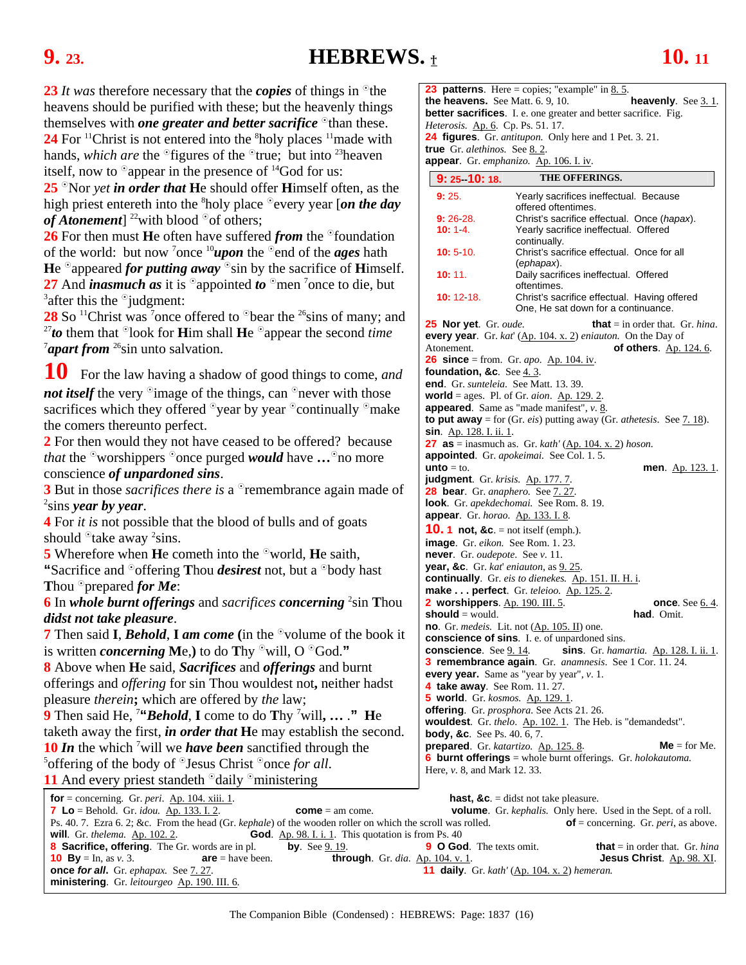### <span id="page-15-0"></span>**9. 23. HEBREWS.** † **10. 11**

**23** *It* was therefore necessary that the *copies* of things in <sup>o</sup>the heavens should be purified with these; but the heavenly things themselves with *one greater and better sacrifice* <sup>o</sup>than these. 24 For <sup>11</sup>Christ is not entered into the <sup>8</sup>holy places <sup>11</sup> made with hands, *which are* the <sup>o</sup>figures of the <sup>o</sup>true; but into <sup>23</sup>heaven

itself, now to  $\degree$  appear in the presence of  $^{14}$ God for us:

25 <sup>o</sup>Nor *yet* in order that He should offer Himself often, as the high priest entereth into the <sup>8</sup>holy place <sup>o</sup>every year [on the day *of Atonement*] <sup>22</sup>with blood  $\degree$  of others;

**26** For then must **H**e often have suffered *from* the <sup>o</sup>foundation of the world: but now <sup>7</sup>once <sup>10</sup>*upon* the <sup>0</sup> end of the *ages* hath He  $\degree$ appeared *for putting away*  $\degree$ sin by the sacrifice of **H**imself. **27** And *inasmuch as* it is  $^{\circ}$  appointed *to*  $^{\circ}$  men <sup>7</sup> once to die, but  $^3$  ofter this the  $^{\circ}$  indoment:  $^3$ after this the  $\degree$ judgment:

**28** So <sup>11</sup>Christ was <sup>7</sup>once offered to <sup>⊙</sup>bear the <sup>26</sup>sins of many; and <sup>27</sup>*to* them that <sup>⊙</sup>look for **H**im shall **H**e <sup>⊙</sup>appear the second *time* <sup>7</sup>apart from <sup>26</sup>sin unto salvation.

**10** For the law having a shadow of good things to come, *and not itself* the very <sup>o</sup>image of the things, can <sup>o</sup>never with those sacrifices which they offered  $\degree$ year by year  $\degree$ continually  $\degree$ make the comers thereunto perfect.

**2** For then would they not have ceased to be offered? because *that* the <sup>o</sup>worshippers <sup>o</sup>once purged *would* have ... <sup>o</sup>no more conscience *of unpardoned sins*.

**3** But in those *sacrifices there is* a <sup>0</sup> remembrance again made of sins *year by year*.

**4** For *it is* not possible that the blood of bulls and of goats should  $\delta$  take away <sup>2</sup> sins.

**5** Wherefore when **H**e cometh into the <sup>o</sup>world, **H**e saith, **"Sacrifice and "offering Thou** *desirest* not, but a "body hast" **Thou <sup>o</sup>prepared** *for Me***:** 

**6** In *whole burnt offerings* and *sacrifices concerning* <sup>2</sup> sin **T**hou *didst not take pleasure*.

**7** Then said **I**, *Behold*, **I** am come (in the <sup>o</sup>volume of the book it is written *concerning* Me, to do Thy  $\Omega$  will, O  $\Omega$ God."

**8** Above when **H**e said, *Sacrifices* and *offerings* and burnt offerings and *offering* for sin Thou wouldest not**,** neither hadst pleasure *therein***;** which are offered by *the* law;

**9** Then said He, 7 **"***Behold*, **I** come to do **T**hy 7 will**, …** .**" H**e taketh away the first, *in order that* **H**e may establish the second. **10** *In* the which <sup>7</sup> will we *have been* sanctified through the  ${}^{5}$  ${}^{5}$ offering of the body of  ${}^{0}$ Jesus Christ  ${}^{0}$ once *for all*. **11** And every priest standeth  $\partial$  daily  $\partial$  ministering

**23 patterns**. Here = copies; "example" in 8.5. **the heavens.** See Matt. 6. 9, 10. **heavenly**. Se[e 3. 1.](#page-4-0) **better sacrifices**. I. e. one greater and better sacrifice. Fig. *Heterosis.* Ap. 6. Cp. Ps. 51. 17. **24 figures**. Gr. *antitupon.* Only here and 1 Pet. 3. 21. **true** Gr. *alethinos.* Se[e 8. 2.](#page-12-0) **appear**. Gr. *emphanizo.* Ap. 106. I. iv.

|                                                                 | 9: 25–10: 18.                                   | <b>THE OFFERINGS.</b>                                                               |  |
|-----------------------------------------------------------------|-------------------------------------------------|-------------------------------------------------------------------------------------|--|
|                                                                 | 9:25.                                           | Yearly sacrifices ineffectual. Because                                              |  |
|                                                                 |                                                 | offered oftentimes.                                                                 |  |
|                                                                 | $9:26.28$ .                                     | Christ's sacrifice effectual. Once (hapax).                                         |  |
|                                                                 | 10:14.                                          | Yearly sacrifice ineffectual. Offered<br>continually.                               |  |
|                                                                 | 10:510.                                         | Christ's sacrifice effectual. Once for all<br>(ephapax).                            |  |
|                                                                 | 10:11.                                          | Daily sacrifices ineffectual. Offered<br>oftentimes.                                |  |
|                                                                 | 10:12:18.                                       | Christ's sacrifice effectual. Having offered<br>One, He sat down for a continuance. |  |
|                                                                 | 25 Nor yet. Gr. oude.                           | <b>that</b> = in order that. Gr. <i>hina</i> .                                      |  |
|                                                                 |                                                 | every year. Gr. kat' $(Ap. 104. x. 2)$ eniauton. On the Day of                      |  |
|                                                                 | Atonement.                                      | <b>of others.</b> Ap. 124. 6.                                                       |  |
|                                                                 |                                                 | <b>26 since</b> = from. Gr. <i>apo.</i> Ap. 104. iv.                                |  |
|                                                                 | foundation, &c. See 4.3.                        |                                                                                     |  |
|                                                                 | end. Gr. sunteleia. See Matt. 13. 39.           |                                                                                     |  |
|                                                                 |                                                 | <b>world</b> = ages. Pl. of Gr. <i>aion</i> . $\underline{Ap. 129.2}$ .             |  |
|                                                                 |                                                 | appeared. Same as "made manifest", v. 8.                                            |  |
|                                                                 |                                                 | to put away = for (Gr. eis) putting away (Gr. athetesis. See $7.18$ ).              |  |
|                                                                 | <b>sin</b> . Ap. 128. I. ii. 1.                 |                                                                                     |  |
|                                                                 |                                                 | 27 as = inasmuch as. Gr. kath' $(\underline{Ap. 104. x. 2})$ hoson.                 |  |
|                                                                 |                                                 | appointed. Gr. apokeimai. See Col. 1. 5.                                            |  |
|                                                                 | <b>unto</b> $=$ to.                             | <b>men.</b> Ap. 123. 1.                                                             |  |
|                                                                 | judgment. Gr. krisis. Ap. 177.7.                |                                                                                     |  |
|                                                                 | 28 bear. Gr. anaphero. See 7.27.                |                                                                                     |  |
|                                                                 |                                                 | look. Gr. apekdechomai. See Rom. 8. 19.                                             |  |
|                                                                 | <b>appear.</b> Gr. horao. Ap. 133. I. 8.        |                                                                                     |  |
|                                                                 | <b>10. 1 not, &amp;c.</b> = not itself (emph.). |                                                                                     |  |
|                                                                 | image. Gr. eikon. See Rom. 1. 23.               |                                                                                     |  |
|                                                                 | never. Gr. oudepote. See v. 11.                 |                                                                                     |  |
|                                                                 | year, &c. Gr. kat' eniauton, as 9.25.           |                                                                                     |  |
| <b>continually</b> . Gr. eis to dienekes. Ap. 151. II. H. i.    |                                                 |                                                                                     |  |
|                                                                 |                                                 | make perfect. Gr. teleioo. Ap. 125. 2.                                              |  |
|                                                                 | 2 worshippers. Ap. 190. III. 5.                 | <b>once</b> . See 6.4.                                                              |  |
|                                                                 | <b>should</b> = would.                          | had. Omit.                                                                          |  |
|                                                                 |                                                 | <b>no.</b> Gr. <i>medeis.</i> Lit. not $(\underline{Ap. 105. II})$ one.             |  |
|                                                                 |                                                 | <b>conscience of sins.</b> I. e. of unpardoned sins.                                |  |
|                                                                 | conscience. See 9.14.                           | sins. Gr. hamartia. Ap. 128. I. ii. 1.                                              |  |
| <b>3 remembrance again</b> . Gr. anamnesis. See 1 Cor. 11. 24.  |                                                 |                                                                                     |  |
|                                                                 |                                                 | every year. Same as "year by year", $v$ . 1.                                        |  |
|                                                                 | 4 take away. See Rom. 11. 27.                   |                                                                                     |  |
| 5 world. Gr. kosmos. Ap. 129. 1.                                |                                                 |                                                                                     |  |
|                                                                 | offering. Gr. prosphora. See Acts 21. 26.       |                                                                                     |  |
| wouldest. Gr. thelo. Ap. 102. 1. The Heb. is "demandedst".      |                                                 |                                                                                     |  |
|                                                                 | <b>body, &amp;c.</b> See Ps. 40. 6, 7.          |                                                                                     |  |
| prepared. Gr. katartizo. Ap. 125.8.<br>$Me = for Me.$           |                                                 |                                                                                     |  |
| 6 burnt offerings = whole burnt offerings. Gr. $holok automa$ . |                                                 |                                                                                     |  |
|                                                                 | Here, v. 8, and Mark 12, 33.                    |                                                                                     |  |
|                                                                 |                                                 |                                                                                     |  |

**for** = concerning. Gr. *peri*. <u>Ap. 104. xiii. 1</u>.<br> **hast, &c**. = didst not take pleasure.<br> **hast, &c.** = didst not take pleasure.<br> **hast, &c.** = didst not take pleasure.<br> **hast, &c.** = didst not take pleasure. *zome* = am come. **volume**. Gr. *kephalis.* Only here. Used in the Sept. of a roll. Ps. 40. 7. Ezra 6. 2; &c. From the head (Gr. *kephale*) of the wooden roller on which the scroll was rolled. **of** = concerning. Gr. *peri*, as above. **will**. Gr. *thelema*. <u>Ap. 102. 2</u>. **God.** Ap. 98. I. i. 1. This quotat **God.** Ap. 98. I. i. 1. This quotation is from Ps. 40 **8 Sacrifice, offering**. The Gr. words are in pl. **by**. See [9. 19.](#page-14-0) **9 O God**. The texts omit. **that** = in order that. Gr. *hina*  **10 By** = In, as *v.* 3. **are** = have been. **through**. Gr. *dia*. <u>Ap. 104. v. 1</u>. **Jesus Christ**. <u>Ap. 98. XI</u>. **once for all.** Gr. *ephapax.* See <u>7. 27</u>. **11 daily**. Gr. *kath'* (Ap. 104. x. 2) hemeran. *f***1 daily**. Gr. *kath'* (Ap. 104. x. 2) *hemeran.* **ministering**. Gr. *leitourgeo* Ap. 190. III. 6.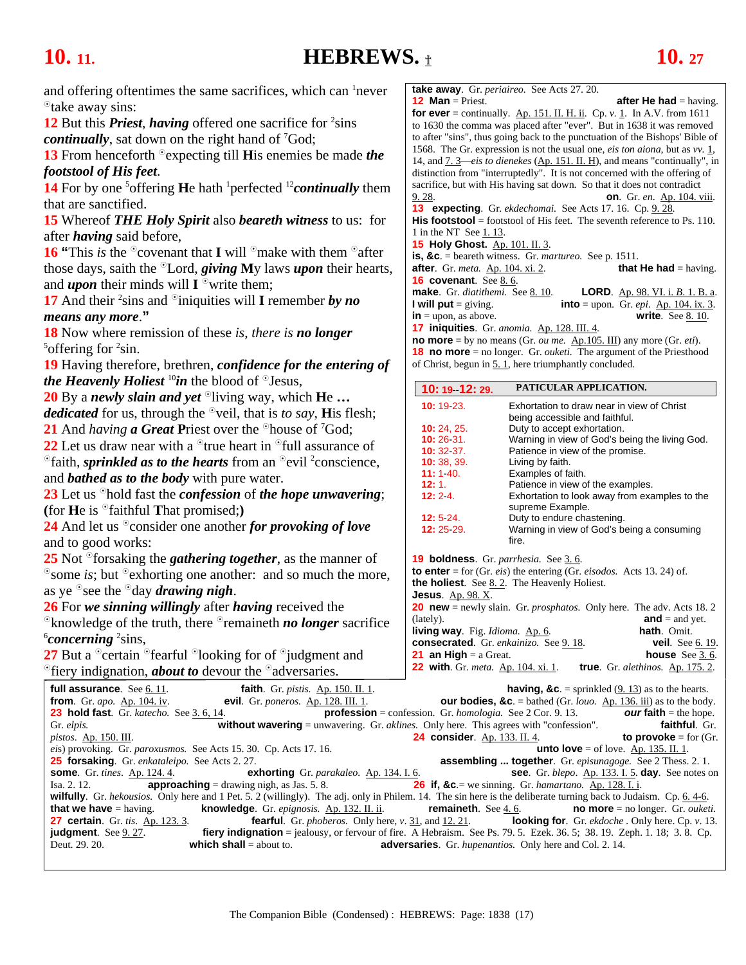# <span id="page-16-0"></span>**10. 11. HEBREWS.** † **10. 27**

and offering oftentimes the same sacrifices, which can <sup>1</sup>never take away sins:

12 But this *Priest*, *having* offered one sacrifice for <sup>2</sup>sins *continually*, sat down on the right hand of 7 God;

**13** From henceforth <sup>o</sup> expecting till **H**is enemies be made *the footstool of His feet*.

14 For by one <sup>5</sup> offering **H**e hath <sup>1</sup> perfected <sup>12</sup> *continually* them that are sanctified.

**15** Whereof *THE Holy Spirit* also *beareth witness* to us: for after *having* said before,

**16 "This** *is* **the**  $\degree$  **covenant that <b>I** will  $\degree$  make with them  $\degree$  after those days, saith the <sup>o</sup>Lord, *giving* My laws *upon* their hearts, and **upon** their minds will  $I^{\circ}$  write them;

17 And their <sup>2</sup> sins and <sup>o</sup>iniquities will **I** remember *by no means any more*.**"** 

**18** Now where remission of these *is*, *there is no longer*  ${}^{5}$ offering for  ${}^{2}$ sin.

**19** Having therefore, brethren, *confidence for the entering of the Heavenly Holiest*  $^{10}$ *in* the blood of  $^{0}$ Jesus,

**20** By a *newly slain and yet* <sup>o</sup>living way, which **He** ... *dedicated* for us, through the  $\partial$ veil, that is *to say*, **H**is flesh;

21 And *having* **a Great P**riest over the <sup>o</sup>house of <sup>7</sup>God;

**22** Let us draw near with a  $\textdegree$  true heart in  $\textdegree$  full assurance of <sup>o</sup>faith, *sprinkled as to the hearts* from an <sup>o</sup>evil <sup>2</sup>conscience, and *bathed as to the body* with pure water.

**23** Let us <sup>o</sup>hold fast the *confession* of *the hope unwavering*; (for  $\textbf{He}$  is  $\textdegree$  faithful **That promised**;)

**24** And let us <sup>o</sup>consider one another *for provoking of love* and to good works:

**25** Not <sup>o</sup>forsaking the *gathering together*, as the manner of  $\degree$ some *is*; but  $\degree$  exhorting one another: and so much the more, as ye  $\delta$  see the  $\delta$  day *drawing nigh*.

**26** For *we sinning willingly* after *having* received the

<sup>o</sup>knowledge of the truth, there <sup>o</sup>remaineth *no longer* sacrifice *concerning* <sup>2</sup>sins,

**27** But a  $\degree$  certain  $\degree$  fearful  $\degree$  looking for of  $\degree$  judgment and <sup>o</sup>fiery indignation, *about to* devour the <sup>o</sup>adversaries.

**take away**. Gr. *periaireo.* See Acts 27. 20. **12 Man** = Priest. **after He had** = having. **for ever** = continually.  $\underline{Ap. 151. II. H. ii}$ . Cp. *v.* [1.](#page-15-0) In A.V. from 1611 to 1630 the comma was placed after "ever". But in 1638 it was removed to after "sins", thus going back to the punctuation of the Bishops' Bible of 1568. The Gr. expression is not the usual one, *eis ton aiona,* but as *vv.* [1,](#page-15-0) 14, and [7. 3—](#page-10-0)*eis to dienekes* (Ap. 151. II. H), and means "continually", in distinction from "interruptedly". It is not concerned with the offering of sacrifice, but with His having sat down. So that it does not contradict [9. 28.](#page-15-0) **on**. Gr. *en*. Ap. 104. viii. **13 expecting**. Gr. *ekdechomai.* See Acts 17. 16. Cp. [9. 28.](#page-15-0)  His **footstool** = footstool of His feet. The seventh reference to Ps. 110. 1 in the NT See [1. 13.](#page-3-0) **15 Holy Ghost.** Ap. 101. II. 3. **is, &c**. = beareth witness. Gr. *martureo.* See p. 1511. **after**. Gr. *meta.* Ap. 104. xi. 2. **that He had** = having. **16 covenant**. See <u>8.6</u>. **make**. Gr. *diatithemi.* See [8. 10.](#page-13-0) **LORD**. Ap. 98. VI. i. *B*. 1. B. a. **I will put** = giving. **into** = upon. Gr. *epi*.  $\underline{Ap. 104. ix. 3}$ .  $\mathbf{in} = \text{upon, as above.}$  **write**. See <u>8. 10</u>. **17 iniquities**. Gr. *anomia.* Ap. 128. III. 4.

**no more** = by no means (Gr. *ou me.* Ap.105. III) any more (Gr. *eti*). **18 no more** = no longer. Gr. *ouketi.* The argument of the Priesthood of Christ, begun in [5. 1,](#page-7-0) here triumphantly concluded.

| 10: 19 12: 29.                                  | PATICULAR APPLICATION.                                                                      |                                               |  |
|-------------------------------------------------|---------------------------------------------------------------------------------------------|-----------------------------------------------|--|
| 10: 19 23.                                      | Exhortation to draw near in view of Christ                                                  |                                               |  |
|                                                 | being accessible and faithful.                                                              |                                               |  |
| 10: 24. 25.                                     | Duty to accept exhortation.                                                                 |                                               |  |
| 10:26:31.                                       | Warning in view of God's being the living God.                                              |                                               |  |
| 10:32:37.                                       | Patience in view of the promise.                                                            |                                               |  |
| 10:38,39.                                       | Living by faith.                                                                            |                                               |  |
| 11:140.                                         | Examples of faith.                                                                          |                                               |  |
| 12:1.                                           | Patience in view of the examples.                                                           |                                               |  |
| 12:24.                                          |                                                                                             | Exhortation to look away from examples to the |  |
|                                                 | supreme Example.                                                                            |                                               |  |
| 12:5.24.                                        | Duty to endure chastening.                                                                  |                                               |  |
| 12: 25 29.                                      | Warning in view of God's being a consuming                                                  |                                               |  |
|                                                 | fire.                                                                                       |                                               |  |
|                                                 | <b>19 boldness</b> . Gr. <i>parrhesia</i> . See 3.6.                                        |                                               |  |
|                                                 | <b>to enter</b> = for (Gr. <i>eis</i> ) the entering (Gr. <i>eisodos</i> . Acts 13. 24) of. |                                               |  |
|                                                 | <b>the holiest.</b> See 8.2. The Heavenly Holiest.                                          |                                               |  |
| <b>Jesus</b> . Ap. $98. X$ .                    |                                                                                             |                                               |  |
|                                                 | <b>20 new</b> = newly slain. Gr. <i>prosphatos</i> . Only here. The adv. Acts 18. 2         |                                               |  |
| (lately).                                       |                                                                                             | $and = and yet.$                              |  |
| <b>living way</b> . Fig. <i>Idioma</i> . Ap. 6. |                                                                                             | hath. Omit.                                   |  |
|                                                 | consecrated. Gr. enkainizo. See 9.18.                                                       | <b>veil</b> . See <u>6.19</u> .               |  |
| $24 \times 11 \times 1 \times 2 \times 2$       |                                                                                             | $h$ auga $\theta \sim \theta$                 |  |

**21 an High** = a Great. **house** See [3. 6.](#page-5-0)  **22 with**. Gr. *meta.* Ap. 104. xi. 1. **true**. Gr. *alethinos.* Ap. 175. 2.

| <b>full assurance.</b> See 6.11.                      | <b>faith.</b> Gr. <i>pistis.</i> Ap. 150. II. 1.                                    | <b>having, &amp;c.</b> = sprinkled (9. 13) as to the hearts.                                                                                                     |                                                  |
|-------------------------------------------------------|-------------------------------------------------------------------------------------|------------------------------------------------------------------------------------------------------------------------------------------------------------------|--------------------------------------------------|
| from. Gr. apo. Ap. 104. iv.                           |                                                                                     | <b>evil.</b> Gr. poneros. Ap. 128. III. 1. <b>our bodies, &amp;c</b> . = bathed (Gr. <i>louo.</i> Ap. 136. iii) as to the body.                                  |                                                  |
| 23 hold fast. Gr. katecho. See 3.6, 14.               |                                                                                     | <b>profession</b> = confession. Gr. <i>homologia</i> . See 2 Cor. 9.13. <b>OUT faith</b> = the hope.                                                             |                                                  |
| Gr. elpis.                                            |                                                                                     | <b>without wavering</b> = unwavering. Gr. <i>aklines</i> . Only here. This agrees with "confession".                                                             | faithful. Gr.                                    |
| <i>pistos.</i> Ap. $150$ . III.                       |                                                                                     | <b>24 consider.</b> Ap. 133. II. 4. <b>to provoke</b> = for $(Gr.$                                                                                               |                                                  |
|                                                       | <i>eis</i> ) provoking. Gr. <i>paroxusmos.</i> See Acts 15, 30. Cp. Acts 17, 16.    | <b>unto love</b> = of love. Ap. 135. II. 1.                                                                                                                      |                                                  |
| <b>25 forsaking.</b> Gr. enkataleipo. See Acts 2. 27. |                                                                                     | <b>assembling  together</b> . Gr. <i>episunagoge</i> . See 2 Thess. 2. 1.                                                                                        |                                                  |
|                                                       | <b>some</b> . Gr. tines. Ap. 124. 4. <b>exhorting</b> Gr. parakaleo. Ap. 134. I. 6. |                                                                                                                                                                  | see. Gr. blepo. Ap. 133. I. 5. day. See notes on |
|                                                       |                                                                                     | Isa. 2. 12. <b>approaching</b> = drawing nigh, as Jas. 5. 8. <b>26 if, &amp;c</b> = we sinning. Gr. <i>hamartano</i> . Ap. 128. I. i.                            |                                                  |
|                                                       |                                                                                     | wilfully. Gr. hekousios. Only here and 1 Pet. 5. 2 (willingly). The adj. only in Philem. 14. The sin here is the deliberate turning back to Judaism. Cp. 6. 4-6. |                                                  |
|                                                       |                                                                                     | <b>that we have</b> = having. <b>knowledge</b> . Gr. epignosis. Ap. 132. II. ii. <b>remaineth</b> . See 4.6. <b>no more</b> = no longer. Gr. ouketi.             |                                                  |
| <b>27 certain.</b> Gr. tis. Ap. 123. 3.               |                                                                                     | <b>fearful.</b> Gr. phoberos. Only here, v. 31, and 12. 21. <b>IDOOKing for.</b> Gr. ekdoche. Only here. Cp. v. 13.                                              |                                                  |
| <b>judgment</b> . See 9.27.                           |                                                                                     | <b>fiery indignation</b> = jealousy, or fervour of fire. A Hebraism. See Ps. 79. 5. Ezek. 36. 5; 38. 19. Zeph. 1. 18; 3. 8. Cp.                                  |                                                  |
| Deut. 29. 20.                                         |                                                                                     | <b>which shall</b> = about to. <b>adversaries</b> . Gr. <i>hupenantios</i> . Only here and Col. 2. 14.                                                           |                                                  |
|                                                       |                                                                                     |                                                                                                                                                                  |                                                  |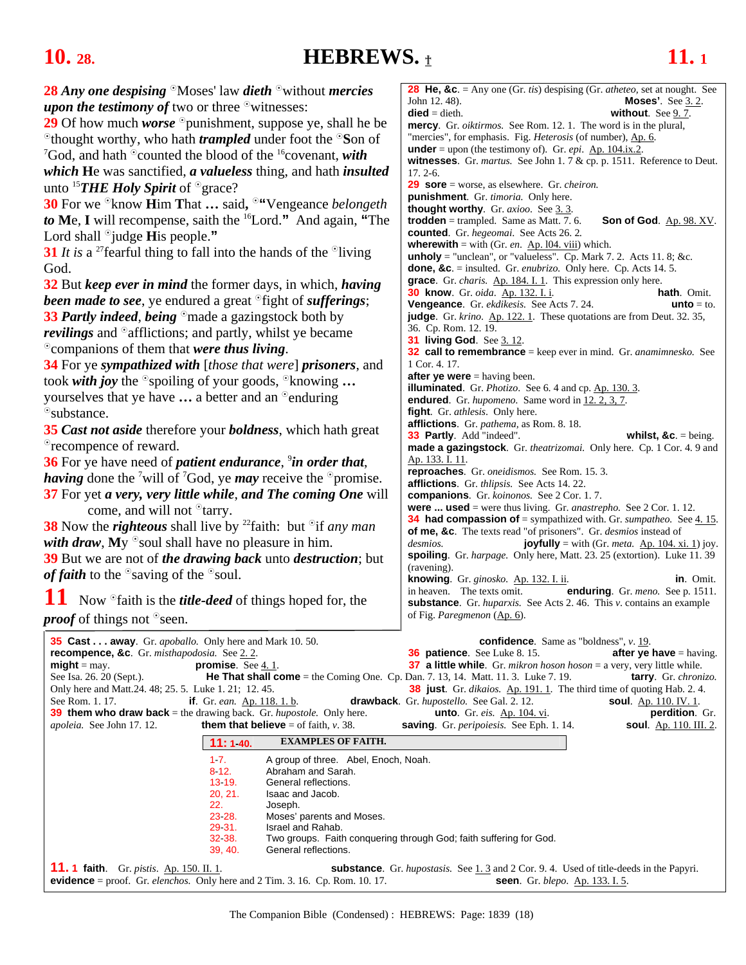## <span id="page-17-0"></span>**10.** 28. **HEBREWS.**  $\text{\textbf{t}}$  **11.** 1

| <b>28</b> Any one despising $\Omega$ Moses' law dieth $\Omega$ without mercies                                       | <b>28 He, &amp;c.</b> = Any one (Gr. <i>tis</i> ) despising (Gr. <i>atheteo</i> , set at nought. See                                                               |
|----------------------------------------------------------------------------------------------------------------------|--------------------------------------------------------------------------------------------------------------------------------------------------------------------|
| <i>upon the testimony of two or three</i> $\circ$ witnesses:                                                         | John 12.48).<br><b>Moses'.</b> See $3.2$ .<br>$\text{died} = \text{dieth}.$<br>without. See $9.7$ .                                                                |
| 29 Of how much <i>worse</i> $\degree$ punishment, suppose ye, shall he be                                            | <b>mercy</b> . Gr. <i>oiktirmos.</i> See Rom. 12. 1. The word is in the plural,                                                                                    |
| <sup>o</sup> thought worthy, who hath <i>trampled</i> under foot the <sup>o</sup> Son of                             | "mercies", for emphasis. Fig. Heterosis (of number), Ap. 6.                                                                                                        |
| <sup>7</sup> God, and hath $\degree$ counted the blood of the <sup>16</sup> covenant, with                           | <b>under</b> = upon (the testimony of). Gr. <i>epi</i> . Ap. $104$ , ix. 2.                                                                                        |
| which He was sanctified, a valueless thing, and hath insulted                                                        | witnesses. Gr. martus. See John 1.7 & cp. p. 1511. Reference to Deut.<br>$17.2 - 6.$                                                                               |
| unto <sup>15</sup> THE Holy Spirit of $^{\circ}$ grace?                                                              | <b>29 sore</b> = worse, as elsewhere. Gr. <i>cheiron</i> .                                                                                                         |
| 30 For we <sup>®</sup> know <b>H</b> im That  said, <sup>®"</sup> Vengeance <i>belongeth</i>                         | punishment. Gr. timoria. Only here.                                                                                                                                |
| to Me, I will recompense, saith the <sup>16</sup> Lord." And again, "The                                             | thought worthy. Gr. axioo. See 3.3.<br><b>trodden</b> = trampled. Same as Matt. 7. 6.<br>Son of God. Ap. 98. XV.                                                   |
| Lord shall $\degree$ judge His people."                                                                              | <b>counted</b> . Gr. hegeomai. See Acts 26. 2.                                                                                                                     |
|                                                                                                                      | <b>wherewith</b> = with (Gr. <i>en.</i> $\Delta p$ . 104. viii) which.                                                                                             |
| 31 It is a <sup>27</sup> fearful thing to fall into the hands of the $\delta$ living                                 | <b>unholy</b> = "unclean", or "valueless". Cp. Mark 7. 2. Acts 11. 8; &c.                                                                                          |
| God.                                                                                                                 | <b>done, &amp;c.</b> = insulted. Gr. <i>enubrizo</i> . Only here. Cp. Acts 14. 5.<br>grace. Gr. charis. Ap. 184. I. 1. This expression only here.                  |
| 32 But keep ever in mind the former days, in which, having                                                           | <b>30 know</b> . Gr. oida. Ap. 132. I. i.<br><b>hath</b> . Omit.                                                                                                   |
| <b>been made to see</b> , ye endured a great <sup>o</sup> fight of <i>sufferings</i> ;                               | Vengeance. Gr. ekdikesis. See Acts 7.24.<br>$unto = to.$                                                                                                           |
| <b>33 Partly indeed, being</b> <sup>o</sup> made a gazingstock both by                                               | judge. Gr. krino. Ap. 122. 1. These quotations are from Deut. 32. 35,                                                                                              |
| <i>revilings</i> and <sup>o</sup> afflictions; and partly, whilst ye became                                          | 36. Cp. Rom. 12. 19.<br><b>31 living God.</b> See 3.12.                                                                                                            |
| <sup>o</sup> companions of them that were thus living.                                                               | <b>32 call to remembrance</b> = keep ever in mind. Gr. anamimnesko. See                                                                                            |
| <b>34</b> For ye sympathized with [those that were] prisoners, and                                                   | 1 Cor. 4. 17.                                                                                                                                                      |
| took with joy the $\circ$ spoiling of your goods, $\circ$ knowing                                                    | <b>after ye were</b> $=$ having been.                                                                                                                              |
| yourselves that ye have $\dots$ a better and an $\degree$ enduring                                                   | <b>illuminated</b> . Gr. <i>Photizo</i> . See 6.4 and cp. Ap. 130.3.<br>endured. Gr. hupomeno. Same word in 12.2, 3, 7.                                            |
| <sup>o</sup> substance.                                                                                              | <b>fight.</b> Gr. <i>athlesis</i> . Only here.                                                                                                                     |
| <b>35 Cast not aside therefore your boldness</b> , which hath great                                                  | <b>afflictions</b> . Gr. <i>pathema</i> , as Rom. 8. 18.                                                                                                           |
| <sup>o</sup> recompence of reward.                                                                                   | <b>33 Partly.</b> Add "indeed".<br>whilst, $&c = being$ .<br>made a gazingstock. Gr. theatrizomai. Only here. Cp. 1 Cor. 4. 9 and                                  |
| <b>36</b> For ye have need of <i>patient endurance</i> , <sup>9</sup> <i>in order that</i> ,                         | Ap. 133. I. 11.                                                                                                                                                    |
|                                                                                                                      | reproaches. Gr. oneidismos. See Rom. 15.3.                                                                                                                         |
| <i>having</i> done the <sup>7</sup> will of <sup>7</sup> God, ye <i>may</i> receive the $\circ$ promise.             | afflictions. Gr. thlipsis. See Acts 14. 22.                                                                                                                        |
| 37 For yet a very, very little while, and The coming One will                                                        | companions. Gr. koinonos. See 2 Cor. 1.7.                                                                                                                          |
| come, and will not <sup>o</sup> tarry.                                                                               | <b>were  used</b> = were thus living. Gr. <i>anastrepho</i> . See 2 Cor. 1. 12.<br><b>34 had compassion of</b> = sympathized with. Gr. sumpatheo. See $4.15$ .     |
| 38 Now the <i>righteous</i> shall live by <sup>22</sup> faith: but <sup>o</sup> if any man                           | of me, &c. The texts read "of prisoners". Gr. <i>desmios</i> instead of                                                                                            |
| with draw, My $\degree$ soul shall have no pleasure in him.                                                          | joyfully = with (Gr. meta. $\Delta p$ . 104. xi. 1) joy.<br>desmios.                                                                                               |
| 39 But we are not of the drawing back unto destruction; but                                                          | spoiling. Gr. harpage. Only here, Matt. 23. 25 (extortion). Luke 11. 39<br>(ravening).                                                                             |
| <i>of faith</i> to the $\delta$ saving of the $\delta$ soul.                                                         | knowing. Gr. ginosko. Ap. 132. I. ii.<br>in. Omit.                                                                                                                 |
| 11                                                                                                                   | in heaven. The texts omit.<br>enduring. Gr. meno. See p. 1511.                                                                                                     |
| Now <sup>o</sup> faith is the <i>title-deed</i> of things hoped for, the                                             | substance. Gr. huparxis. See Acts 2.46. This v. contains an example                                                                                                |
| <i>proof</i> of things not <sup>o</sup> seen.                                                                        | of Fig. Paregmenon (Ap. 6).                                                                                                                                        |
| <b>35 Cast away</b> . Gr. <i>apoballo</i> . Only here and Mark 10. 50.                                               | <b>confidence.</b> Same as "boldness", $v. 19$ .                                                                                                                   |
| recompence, &c. Gr. misthapodosia. See 2.2.                                                                          | <b>36 patience.</b> See Luke 8.15.<br>after ye have $=$ having.                                                                                                    |
| promise. See $4.1$ .<br>$might = may.$                                                                               | <b>37 a little while</b> . Gr. mikron hoson hoson = a very, very little while.                                                                                     |
| See Isa. 26. 20 (Sept.).<br><b>He That shall come</b> = the Coming One. Cp. Dan. 7. 13, 14. Matt. 11. 3. Luke 7. 19. | tarry. Gr. chronizo.                                                                                                                                               |
| Only here and Matt.24. 48; 25. 5. Luke 1. 21; 12. 45.<br>See Rom. 1. 17.<br><b>if</b> . Gr. ean. Ap. 118. 1. b.      | <b>38 just</b> . Gr. <i>dikaios.</i> Ap. 191. 1. The third time of quoting Hab. 2. 4.<br>drawback. Gr. hupostello. See Gal. 2. 12.<br><b>soul.</b> Ap. 110. IV. 1. |
| <b>39 them who draw back</b> = the drawing back. Gr. <i>hupostole</i> . Only here.                                   | perdition. Gr.<br><b>unto</b> . Gr. eis. Ap. 104. vi.                                                                                                              |
| <b>them that believe</b> = of faith, $v$ . 38.<br>apoleia. See John 17.12.                                           | saving. Gr. peripoiesis. See Eph. 1. 14.<br><b>soul.</b> Ap. 110. III. 2.                                                                                          |
| <b>EXAMPLES OF FAITH.</b><br>11:140.                                                                                 |                                                                                                                                                                    |
| 17.<br>A group of three. Abel, Enoch, Noah.                                                                          |                                                                                                                                                                    |
| 8 12.<br>Abraham and Sarah.                                                                                          |                                                                                                                                                                    |
| 13 19.<br>General reflections.<br>20, 21.<br>Isaac and Jacob.                                                        |                                                                                                                                                                    |
| 22.<br>Joseph.                                                                                                       |                                                                                                                                                                    |
| 23 28.<br>Moses' parents and Moses.                                                                                  |                                                                                                                                                                    |
| 29 31.<br>Israel and Rahab.<br>32 38.                                                                                | Two groups. Faith conquering through God; faith suffering for God.                                                                                                 |
| 39, 40.<br>General reflections.                                                                                      |                                                                                                                                                                    |
| <b>11.1 faith.</b> Gr. <i>pistis</i> . Ap. 150. II. 1.                                                               | <b>substance</b> . Gr. <i>hupostasis</i> . See $\underline{1 \cdot 3}$ and 2 Cor. 9.4. Used of title-deeds in the Papyri.                                          |
| <b>evidence</b> = proof. Gr. <i>elenchos</i> . Only here and $2$ Tim. 3. 16. Cp. Rom. 10. 17.                        | <b>seen.</b> Gr. blepo. Ap. 133. I. 5.                                                                                                                             |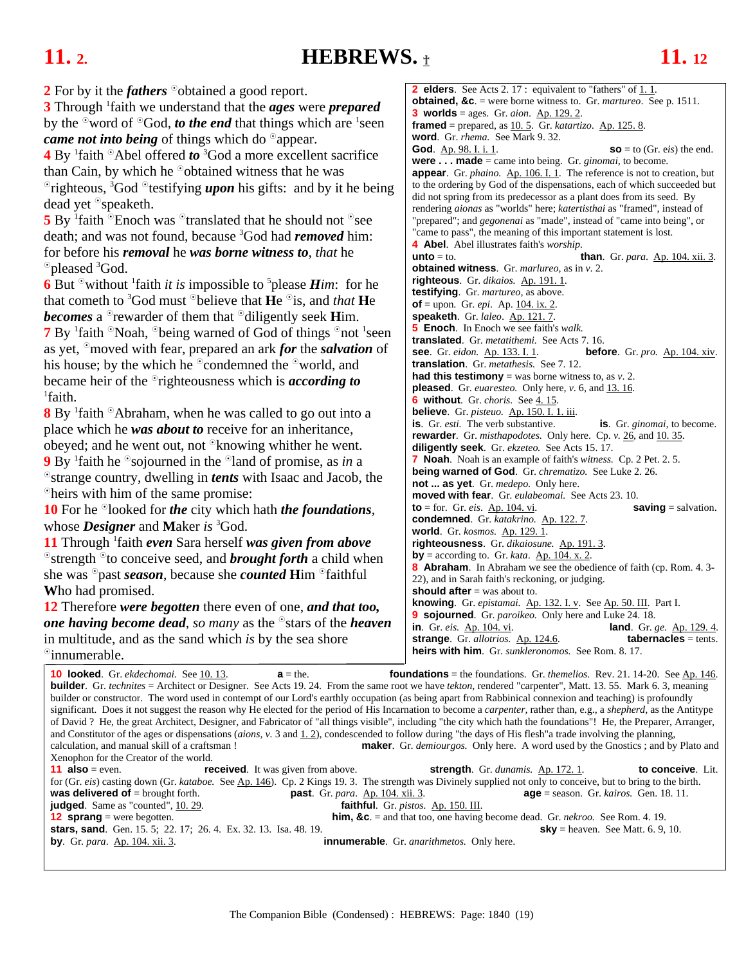### <span id="page-18-0"></span>**11.** 2. **HEBREWS. 11.** 12

| 2 For by it the <i>fathers</i> $\degree$ obtained a good report.                                                                                                                                                          | <b>2 elders</b> . See Acts 2.17 : equivalent to "fathers" of $1.1$ .                                                                                                               |
|---------------------------------------------------------------------------------------------------------------------------------------------------------------------------------------------------------------------------|------------------------------------------------------------------------------------------------------------------------------------------------------------------------------------|
| <b>3</b> Through <sup>1</sup> faith we understand that the <b>ages</b> were <b>prepared</b>                                                                                                                               | <b>obtained, &amp;c.</b> = were borne witness to. Gr. <i>martureo</i> . See p. 1511.<br><b>3</b> worlds = ages. Gr. $aion$ . $Ap. 129.2$ .                                         |
| by the $\degree$ word of $\degree$ God, <i>to the end</i> that things which are $\degree$ seen                                                                                                                            | <b>framed</b> = prepared, as $10.5$ . Gr. katartizo. Ap. 125.8.                                                                                                                    |
| came not into being of things which do <sup>o</sup> appear.                                                                                                                                                               | word. Gr. rhema. See Mark 9.32.                                                                                                                                                    |
| <b>4</b> By $^1$ faith $^{\circ}$ Abel offered to $^3$ God a more excellent sacrifice                                                                                                                                     | <b>God.</b> Ap. 98. I. i. 1.<br>$\textbf{SO} = \text{to (Gr. eis)}$ the end.                                                                                                       |
| than Cain, by which he $\degree$ obtained witness that he was                                                                                                                                                             | <b>were made</b> = came into being. Gr. <i>ginomai</i> , to become.                                                                                                                |
|                                                                                                                                                                                                                           | <b>appear</b> . Gr. <i>phaino.</i> $\underline{Ap}$ . 106. I. 1. The reference is not to creation, but<br>to the ordering by God of the dispensations, each of which succeeded but |
| $\sigma$ righteous, <sup>3</sup> God $\sigma$ testifying <i>upon</i> his gifts: and by it he being                                                                                                                        | did not spring from its predecessor as a plant does from its seed. By                                                                                                              |
| dead yet <sup>o</sup> speaketh.                                                                                                                                                                                           | rendering aionas as "worlds" here; katertisthai as "framed", instead of                                                                                                            |
| 5 By $\frac{1}{2}$ faith $\frac{1}{2}$ Enoch was $\frac{1}{2}$ translated that he should not $\frac{1}{2}$ see                                                                                                            | "prepared"; and <i>gegonenai</i> as "made", instead of "came into being", or                                                                                                       |
| death; and was not found, because <sup>3</sup> God had <i>removed</i> him:                                                                                                                                                | "came to pass", the meaning of this important statement is lost.<br><b>4 Abel</b> . Abel illustrates faith's <i>worship</i> .                                                      |
| for before his removal he was borne witness to, that he                                                                                                                                                                   | <b>than.</b> Gr. para. Ap. 104. xii. 3.<br><b>unto</b> $=$ to.                                                                                                                     |
| <sup>o</sup> pleased <sup>3</sup> God.                                                                                                                                                                                    | obtained witness. Gr. marlureo, as in v. 2.                                                                                                                                        |
| 6 But $\textdegree$ without 'faith <i>it is</i> impossible to $\textdegree$ please <i>Him</i> : for he                                                                                                                    | righteous. Gr. dikaios. Ap. 191.1.                                                                                                                                                 |
| that cometh to <sup>3</sup> God must <sup><math>\odot</math></sup> believe that <b>H</b> e $\odot$ <sup>i</sup> s, and <i>that</i> <b>H</b> e                                                                             | <b>testifying.</b> Gr. <i>martureo</i> , as above.                                                                                                                                 |
| <b>becomes</b> a <sup>o</sup> rewarder of them that <sup>o</sup> diligently seek <b>H</b> im.                                                                                                                             | <b>of</b> = upon. Gr. <i>epi</i> . Ap. $104$ , ix. 2.<br>speaketh. Gr. laleo. Ap. 121.7.                                                                                           |
|                                                                                                                                                                                                                           | <b>5</b> Enoch. In Enoch we see faith's walk.                                                                                                                                      |
| <b>7</b> By <sup>1</sup> faith <sup>o</sup> Noah, <sup>o</sup> being warned of God of things <sup>o</sup> not <sup>1</sup> seen                                                                                           | <b>translated.</b> Gr. metatithemi. See Acts 7.16.                                                                                                                                 |
| as yet, $\degree$ moved with fear, prepared an ark for the salvation of                                                                                                                                                   | see. Gr. eidon. Ap. 133. I. 1.<br><b>before.</b> Gr. $pro.$ $\Delta p.$ 104. xiv.                                                                                                  |
| his house; by the which he $\degree$ condemned the $\degree$ world, and                                                                                                                                                   | <b>translation.</b> Gr. <i>metathesis</i> . See 7.12.                                                                                                                              |
| became heir of the $\circ$ righteousness which is <i>according to</i>                                                                                                                                                     | <b>had this testimony</b> = was borne witness to, as $v$ . 2.<br>pleased. Gr. euaresteo. Only here, v. 6, and 13.16.                                                               |
| <sup>1</sup> faith.                                                                                                                                                                                                       | <b>6</b> without. Gr. choris. See 4.15.                                                                                                                                            |
| 8 By <sup>1</sup> faith <sup>o</sup> Abraham, when he was called to go out into a                                                                                                                                         | believe. Gr. pisteuo. Ap. 150. I. 1. iii.                                                                                                                                          |
| place which he was about to receive for an inheritance,                                                                                                                                                                   | is. Gr. esti. The verb substantive.<br>is. Gr. ginomai, to become.                                                                                                                 |
| obeyed; and he went out, not <sup>o</sup> knowing whither he went.                                                                                                                                                        | <b>rewarder</b> . Gr. <i>misthapodotes</i> . Only here. Cp. v. 26, and 10. 35.<br>diligently seek. Gr. ekzeteo. See Acts 15.17.                                                    |
| <b>9</b> By <sup>1</sup> faith he $\circ$ sojourned in the $\circ$ land of promise, as in a                                                                                                                               | <b>7 Noah</b> . Noah is an example of faith's witness. Cp. 2 Pet. 2. 5.                                                                                                            |
| <sup>o</sup> strange country, dwelling in <i>tents</i> with Isaac and Jacob, the                                                                                                                                          | <b>being warned of God.</b> Gr. <i>chrematizo</i> . See Luke 2.26.                                                                                                                 |
| <sup>o</sup> heirs with him of the same promise:                                                                                                                                                                          | <b>not  as yet</b> . Gr. <i>medepo</i> . Only here.                                                                                                                                |
|                                                                                                                                                                                                                           | <b>moved with fear.</b> Gr. eulabeomai. See Acts 23.10.<br>$saving = salvation.$<br><b>to</b> = for. Gr. <i>eis</i> . <u>Ap. 104. vi</u> .                                         |
| <b>10</b> For he <sup>o</sup> looked for <i>the</i> city which hath <i>the foundations</i> ,                                                                                                                              | condemned. Gr. katakrino. Ap. 122.7.                                                                                                                                               |
| whose <b>Designer</b> and <b>Maker</b> is <sup>3</sup> God.                                                                                                                                                               | <b>world.</b> Gr. kosmos. Ap. 129. 1.                                                                                                                                              |
| <b>11</b> Through faith even Sara herself was given from above                                                                                                                                                            | righteousness. Gr. dikaiosune. Ap. 191.3.                                                                                                                                          |
| $\circ$ strength $\circ$ to conceive seed, and <b>brought forth</b> a child when                                                                                                                                          | by = according to. Gr. kata. $\underline{\text{Ap. 104. x. 2}}$ .<br><b>8 Abraham.</b> In Abraham we see the obedience of faith (cp. Rom. 4.3-                                     |
| she was $\sigma$ past <i>season</i> , because she <i>counted</i> Him $\sigma$ faithful                                                                                                                                    | 22), and in Sarah faith's reckoning, or judging.                                                                                                                                   |
| Who had promised.                                                                                                                                                                                                         | should after $=$ was about to.                                                                                                                                                     |
| 12 Therefore were begotten there even of one, and that too,                                                                                                                                                               | knowing. Gr. epistamai. Ap. 132. I. v. See Ap. 50. III. Part I.                                                                                                                    |
| one having become dead, so many as the $\delta$ stars of the heaven                                                                                                                                                       | <b>9 sojourned</b> . Gr. <i>paroikeo</i> . Only here and Luke 24. 18.<br>in. Gr. eis. Ap. 104. vi.<br>land. Gr. ge. Ap. 129. 4.                                                    |
| in multitude, and as the sand which is by the sea shore                                                                                                                                                                   | strange. Gr. allotrios. Ap. 124.6.<br><b>tabernacles</b> = tents.                                                                                                                  |
| <sup>o</sup> innumerable.                                                                                                                                                                                                 | heirs with him. Gr. sunkleronomos. See Rom. 8.17.                                                                                                                                  |
|                                                                                                                                                                                                                           |                                                                                                                                                                                    |
| 10 looked. Gr. ekdechomai. See 10.13.<br>$a =$ the.<br><b>builder</b> . Gr. technites = Architect or Designer. See Acts 19. 24. From the same root we have tekton, rendered "carpenter", Matt. 13. 55. Mark 6. 3, meaning | <b>foundations</b> = the foundations. Gr. <i>themelios.</i> Rev. 21. 14-20. See $Ap. 146$ .                                                                                        |
| builder or constructor. The word used in contempt of our Lord's earthly occupation (as being apart from Rabbinical connexion and teaching) is profoundly                                                                  |                                                                                                                                                                                    |
| significant. Does it not suggest the reason why He elected for the period of His Incarnation to become a <i>carpenter</i> , rather than, e.g., a <i>shepherd</i> , as the Antitype                                        |                                                                                                                                                                                    |
| of David ? He, the great Architect, Designer, and Fabricator of "all things visible", including "the city which hath the foundations"! He, the Preparer, Arranger,                                                        |                                                                                                                                                                                    |
| and Constitutor of the ages or dispensations ( <i>aions</i> , $v$ . 3 and $1.2$ ), condescended to follow during "the days of His flesh" a trade involving the planning,<br>calculation, and manual skill of a craftsman! | <b>maker</b> . Gr. <i>demiourgos</i> . Only here. A word used by the Gnostics; and by Plato and                                                                                    |
| Xenophon for the Creator of the world.                                                                                                                                                                                    |                                                                                                                                                                                    |
| <b>11 also</b> = even.<br><b>received.</b> It was given from above.                                                                                                                                                       | strength. Gr. dunamis. Ap. 172. 1.<br>to conceive. Lit.                                                                                                                            |
| for (Gr. eis) casting down (Gr. kataboe. See Ap. 146). Cp. 2 Kings 19.3. The strength was Divinely supplied not only to conceive, but to bring to the birth.                                                              |                                                                                                                                                                                    |
| was delivered of $=$ brought forth.<br>past. Gr. para. Ap. 104. xii. 3.<br><b>judged</b> . Same as "counted", 10. 29.                                                                                                     | $age = season$ . Gr. kairos. Gen. 18. 11.<br>faithful. Gr. pistos. Ap. 150. III.                                                                                                   |
| <b>12 sprang</b> = were begotten.                                                                                                                                                                                         | <b>him, &amp;c.</b> = and that too, one having become dead. Gr. <i>nekroo</i> . See Rom. 4. 19.                                                                                    |
|                                                                                                                                                                                                                           |                                                                                                                                                                                    |

**stars, sand**. Gen. 15. 5; 22. 17; 26. 4. Ex. 32. 13. Isa. 48. 19. **sky** = heaven. See Matt. 6. 9, 10. **by**. Gr. *para*. Ap. 104. xii. 3. **innumerable**. Gr. *anarithmetos.* Only here.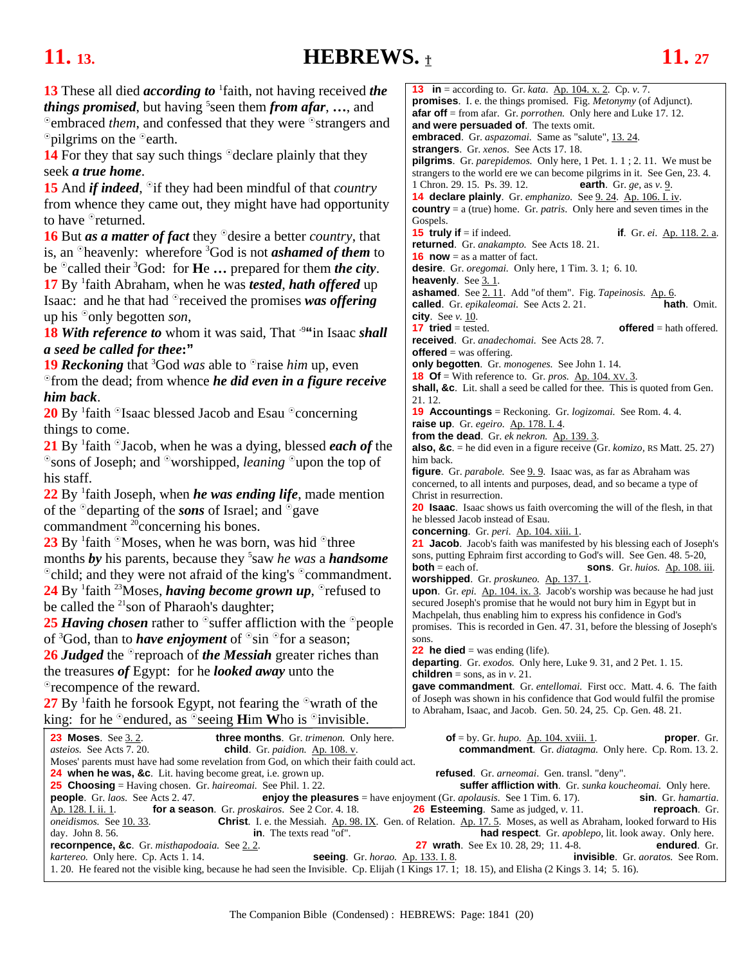## <span id="page-19-0"></span>**11.** 13. **HEBREWS.**  $\textbf{t}$  **11.** 27

| <b>13</b> These all died <i>according to</i> <sup>1</sup> faith, not having received <i>the</i>                                                  | <b>13</b> in = according to. Gr. <i>kata</i> . <u>Ap. 104. x. 2</u> . Cp. <i>v</i> . 7.                                                                  |  |
|--------------------------------------------------------------------------------------------------------------------------------------------------|----------------------------------------------------------------------------------------------------------------------------------------------------------|--|
| <i>things promised</i> , but having <sup>5</sup> seen them <i>from afar</i> , , and                                                              | <b>promises.</b> I. e. the things promised. Fig. <i>Metonymy</i> (of Adjunct).                                                                           |  |
| <sup>o</sup> embraced <i>them</i> , and confessed that they were <sup>o</sup> strangers and                                                      | <b>afar off</b> = from afar. Gr. <i>porrothen</i> . Only here and Luke 17. 12.<br>and were persuaded of. The texts omit.                                 |  |
|                                                                                                                                                  | <b>embraced.</b> Gr. <i>aspazomai</i> . Same as "salute", 13.24.                                                                                         |  |
| $\degree$ pilgrims on the $\degree$ earth.                                                                                                       | strangers. Gr. xenos. See Acts 17. 18.                                                                                                                   |  |
| <b>14</b> For they that say such things $\degree$ declare plainly that they                                                                      | <b>pilgrims</b> . Gr. <i>parepidemos.</i> Only here, $1$ Pet. $1$ . $1$ ; $2$ . $11$ . We must be                                                        |  |
| seek a true home.                                                                                                                                | strangers to the world ere we can become pilgrims in it. See Gen, 23.4.                                                                                  |  |
| <b>15</b> And <i>if indeed</i> , <sup>o</sup> if they had been mindful of that <i>country</i>                                                    | 1 Chron. 29. 15. Ps. 39. 12.<br>earth. Gr. ge, as $v. 9$ .                                                                                               |  |
| from whence they came out, they might have had opportunity                                                                                       | 14 declare plainly. Gr. emphanizo. See 9. 24. Ap. 106. I. iv.                                                                                            |  |
| to have <sup>o</sup> returned.                                                                                                                   | <b>country</b> = $a$ (true) home. Gr. <i>patris</i> . Only here and seven times in the<br>Gospels.                                                       |  |
|                                                                                                                                                  | <b>15 truly if</b> $=$ if indeed.<br><b>if.</b> Gr. <i>ei</i> . Ap. 118. 2. a.                                                                           |  |
| <b>16</b> But <i>as a matter of fact</i> they $\degree$ desire a better <i>country</i> , that                                                    | returned. Gr. anakampto. See Acts 18.21.                                                                                                                 |  |
| is, an $\Omega$ heavenly: wherefore ${}^{3}$ God is not <i>ashamed of them</i> to                                                                | <b>16 now</b> = as a matter of fact.                                                                                                                     |  |
| be $^{\circ}$ called their $^3$ God: for <b>He</b> prepared for them <i>the city</i> .                                                           | <b>desire.</b> Gr. <i>oregomai</i> . Only here, 1 Tim. 3. 1; 6. 10.                                                                                      |  |
| 17 By faith Abraham, when he was <i>tested</i> , <i>hath offered</i> up                                                                          | <b>heavenly.</b> See $3.1$ .                                                                                                                             |  |
| Isaac: and he that had $\circ$ received the promises was offering                                                                                | <b>ashamed</b> . See 2.11. Add "of them". Fig. Tapeinosis. Ap. 6.                                                                                        |  |
| up his $\degree$ only begotten <i>son</i> ,                                                                                                      | called. Gr. epikaleomai. See Acts 2.21.<br><b>hath</b> . Omit.<br>city. See $v$ . 10.                                                                    |  |
|                                                                                                                                                  | <b>17 tried</b> = tested.<br><b>offered</b> = hath offered.                                                                                              |  |
| <b>18 With reference to</b> whom it was said, That <sup>9"</sup> in Isaac shall                                                                  | received. Gr. anadechomai. See Acts 28.7.                                                                                                                |  |
| a seed be called for thee:"                                                                                                                      | <b>offered</b> = was offering.                                                                                                                           |  |
| <b>19 Reckoning</b> that <sup>3</sup> God was able to $\Omega$ raise <i>him</i> up, even                                                         | only begotten. Gr. monogenes. See John 1.14.                                                                                                             |  |
| $\degree$ from the dead; from whence <i>he did even in a figure receive</i>                                                                      | <b>18 Of</b> = With reference to. Gr. <i>pros.</i> $\Delta p$ . 104. XV. 3.                                                                              |  |
| him back.                                                                                                                                        | shall, &c. Lit. shall a seed be called for thee. This is quoted from Gen.<br>21. 12.                                                                     |  |
| 20 By <sup>1</sup> faith <sup>o</sup> Isaac blessed Jacob and Esau <sup>o</sup> concerning                                                       | <b>19 Accountings</b> = Reckoning. Gr. <i>logizomai</i> . See Rom. 4. 4.                                                                                 |  |
|                                                                                                                                                  | raise up. Gr. egeiro. Ap. 178. I. 4.                                                                                                                     |  |
| things to come.                                                                                                                                  | from the dead. Gr. ek nekron. Ap. 139.3.                                                                                                                 |  |
| 21 By $\frac{1}{2}$ faith $\frac{1}{2}$ Jacob, when he was a dying, blessed <i>each of</i> the                                                   | <b>also, &amp;c</b> . = he did even in a figure receive (Gr. $komic, RS$ Matt. 25. 27)                                                                   |  |
| $\degree$ sons of Joseph; and $\degree$ worshipped, <i>leaning</i> $\degree$ upon the top of                                                     | him back.                                                                                                                                                |  |
| his staff.                                                                                                                                       | <b>figure</b> . Gr. <i>parabole</i> . See 9.9. Isaac was, as far as Abraham was<br>concerned, to all intents and purposes, dead, and so became a type of |  |
| $22$ By <sup>1</sup> faith Joseph, when <i>he was ending life</i> , made mention                                                                 | Christ in resurrection.                                                                                                                                  |  |
| of the $^{\circ}$ departing of the sons of Israel; and $^{\circ}$ gave                                                                           | 20 Isaac. Isaac shows us faith overcoming the will of the flesh, in that                                                                                 |  |
| commandment <sup>20</sup> concerning his bones.                                                                                                  | he blessed Jacob instead of Esau.                                                                                                                        |  |
|                                                                                                                                                  | concerning. Gr. peri. Ap. 104. xiii. 1.                                                                                                                  |  |
| 23 By $\frac{1}{2}$ faith $\frac{1}{2}$ Moses, when he was born, was hid $\frac{1}{2}$ three                                                     | 21 Jacob. Jacob's faith was manifested by his blessing each of Joseph's                                                                                  |  |
| months by his parents, because they $5$ saw he was a <b>handsome</b>                                                                             | sons, putting Ephraim first according to God's will. See Gen. 48. 5-20,<br><b>both</b> = each of.<br>sons. Gr. huios. Ap. 108. iii.                      |  |
| <sup>o</sup> child; and they were not afraid of the king's <sup>o</sup> commandment.                                                             | worshipped. Gr. proskuneo. Ap. 137. 1.                                                                                                                   |  |
| 24 By $\frac{1}{2}$ faith <sup>23</sup> Moses, <i>having become grown up</i> , $\degree$ refused to                                              | upon. Gr. epi. Ap. 104. ix. 3. Jacob's worship was because he had just                                                                                   |  |
| be called the <sup>21</sup> son of Pharaoh's daughter;                                                                                           | secured Joseph's promise that he would not bury him in Egypt but in                                                                                      |  |
| 25 Having chosen rather to $\circ$ suffer affliction with the $\circ$ people                                                                     | Machpelah, thus enabling him to express his confidence in God's                                                                                          |  |
|                                                                                                                                                  | promises. This is recorded in Gen. 47. 31, before the blessing of Joseph's                                                                               |  |
| of ${}^3$ God, than to <i>have enjoyment</i> of ${}^{\circ}$ sin ${}^{\circ}$ for a season;                                                      | sons.<br><b>22 he died</b> = was ending (life).                                                                                                          |  |
| <b>26 Judged</b> the <sup>o</sup> reproach of <i>the Messiah</i> greater riches than                                                             | <b>departing</b> . Gr. exodos. Only here, Luke 9. 31, and 2 Pet. 1. 15.                                                                                  |  |
| the treasures of Egypt: for he <i>looked away</i> unto the                                                                                       | children = sons, as in $v$ . 21.                                                                                                                         |  |
| <sup>o</sup> recompence of the reward.                                                                                                           | gave commandment. Gr. entellomai. First occ. Matt. 4. 6. The faith                                                                                       |  |
| 27 By $\frac{1}{2}$ faith he forsook Egypt, not fearing the $\frac{1}{2}$ wrath of the                                                           | of Joseph was shown in his confidence that God would fulfil the promise                                                                                  |  |
| king: for he $^{\circ}$ endured, as $^{\circ}$ seeing <b>H</b> im Who is $^{\circ}$ invisible.                                                   | to Abraham, Isaac, and Jacob. Gen. 50. 24, 25. Cp. Gen. 48. 21.                                                                                          |  |
|                                                                                                                                                  |                                                                                                                                                          |  |
| <b>23 Moses.</b> See 3.2.<br>three months. Gr. trimenon. Only here.<br><i>asteios.</i> See Acts 7.20.<br>child. Gr. paidion. Ap. $108. v$ .      | of = by. Gr. $hupo.$ Ap. 104. xviii. 1.<br><b>proper.</b> Gr.<br><b>commandment</b> . Gr. diatagma. Only here. Cp. Rom. 13.2.                            |  |
| Moses' parents must have had some revelation from God, on which their faith could act.                                                           |                                                                                                                                                          |  |
| <b>24 when he was, &amp;c.</b> Lit. having become great, i.e. grown up.                                                                          | refused. Gr. arneomai. Gen. transl. "deny".                                                                                                              |  |
| <b>25 Choosing</b> = Having chosen. Gr. <i>haireomai</i> . See Phil. 1. 22.                                                                      | suffer affliction with. Gr. sunka koucheomai. Only here.                                                                                                 |  |
| <b>people.</b> Gr. <i>laos.</i> See Acts 2.47.                                                                                                   | <b>enjoy the pleasures</b> = have enjoyment (Gr. <i>apolausis</i> . See 1 Tim. 6. 17).<br>sin. Gr. hamartia.                                             |  |
| Ap. 128. I. ii. 1.<br>for a season. Gr. proskairos. See 2 Cor. 4. 18.<br><b>26 Esteeming.</b> Same as judged, $v$ . 11.<br>reproach. Gr.         |                                                                                                                                                          |  |
| <i>oneidismos.</i> See 10.33.<br>in. The texts read "of".                                                                                        | <b>Christ</b> . I. e. the Messiah. Ap. 98. IX. Gen. of Relation. Ap. 17. 5. Moses, as well as Abraham, looked forward to His                             |  |
| day. John 8.56.<br>recornpence, &c. Gr. misthapodoaia. See 2.2.                                                                                  | <b>had respect.</b> Gr. <i>apoblepo</i> , lit. look away. Only here.<br><b>27 wrath</b> . See Ex 10. 28, 29; 11. 4-8.<br>endured. Gr.                    |  |
| seeing. Gr. horao. Ap. 133. I. 8.<br>kartereo. Only here. Cp. Acts 1.14.                                                                         | invisible. Gr. aoratos. See Rom.                                                                                                                         |  |
| 1. 20. He feared not the visible king, because he had seen the Invisible. Cp. Elijah (1 Kings 17. 1; 18. 15), and Elisha (2 Kings 3. 14; 5. 16). |                                                                                                                                                          |  |
|                                                                                                                                                  |                                                                                                                                                          |  |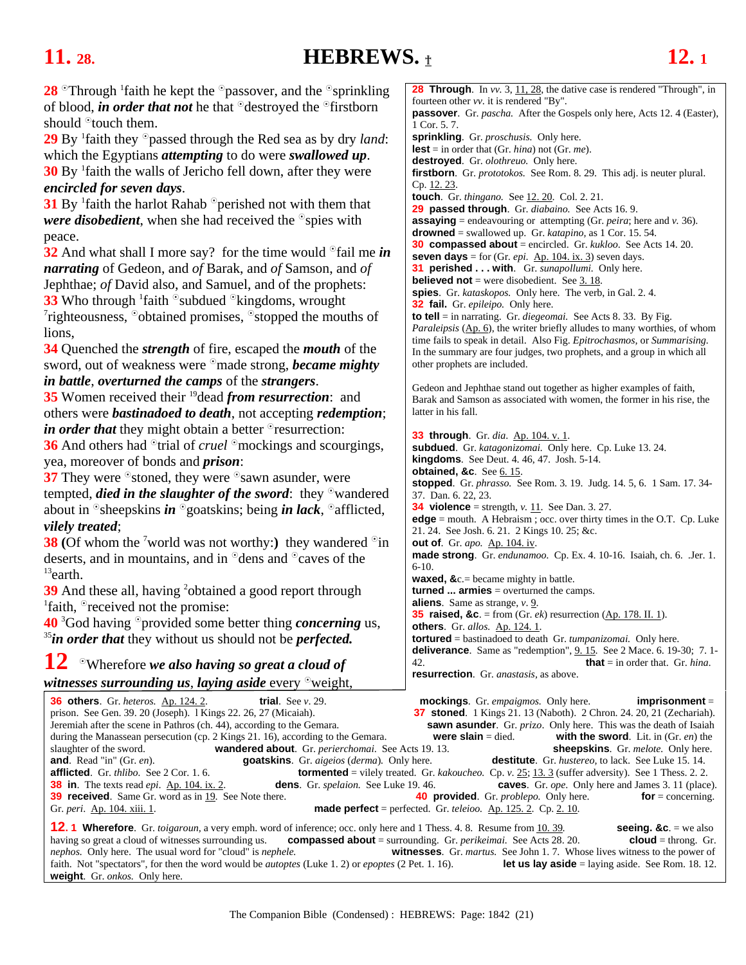## <span id="page-20-0"></span>**11. 28. HEBREWS.** † **12. 1**

peace.

lions,

**28** <sup>o</sup>Through <sup>1</sup> faith he kept the <sup>o</sup>passover, and the <sup>o</sup>sprinkling of blood, *in order that not* he that <sup>o</sup>destroyed the <sup>o</sup>firstborn should  $\degree$  touch them. 29 By <sup>1</sup> faith they <sup>o</sup>passed through the Red sea as by dry *land*: which the Egyptians *attempting* to do were *swallowed up*. **30** By <sup>1</sup> faith the walls of Jericho fell down, after they were *encircled for seven days*. **31** By <sup>1</sup> faith the harlot Rahab <sup>o</sup>perished not with them that *were disobedient*, when she had received the  $\circ$ spies with **32** And what shall I more say? for the time would <sup>o</sup>fail me *in narrating* of Gedeon, and *of* Barak, and *of* Samson, and *of* Jephthae; *of* David also, and Samuel, and of the prophets: **33** Who through  ${}^{1}$ faith  ${}^{\circ}$ subdued  ${}^{\circ}$ kingdoms, wrought  ${}^{7}$ righteousness.  ${}^{\circ}$ obteined promises.  ${}^{\circ}$ stopped the mouth  $\alpha$ <sup>7</sup>righteousness,  $\delta$ obtained promises,  $\delta$ stopped the mouths of **34** Quenched the *strength* of fire, escaped the *mouth* of the sword, out of weakness were <sup>o</sup>made strong, *became mighty in battle*, *overturned the camps* of the *strangers*. **35** Women received their 19dead *from resurrection*: and others were *bastinadoed to death*, not accepting *redemption*; *in order that* they might obtain a better <sup>o</sup>resurrection: **36** And others had <sup>o</sup>trial of *cruel* <sup>o</sup>mockings and scourgings, yea, moreover of bonds and *prison*: **37** They were  $\delta$  stoned, they were  $\delta$  sawn asunder, were tempted, *died* in the slaughter of the sword: they <sup>o</sup>wandered about in  $\Phi$ sheepskins *in*  $\Phi$  goatskins; being *in lack*,  $\Phi$ afflicted, *vilely treated*; **38 (Of whom the <sup>7</sup> world was not worthy:)** they wandered <sup>o</sup>in deserts, and in mountains, and in  $\partial$  dens and  $\partial$  caves of the <sup>13</sup>earth. **39** And these all, having <sup>2</sup> obtained a good report through  $\frac{1}{1}$  faith  $\frac{1}{1}$  received not the promise: <sup>1</sup>faith,  $\degree$  received not the promise: 40<sup>3</sup> God having <sup>o</sup>provided some better thing *concerning* us, <sup>35</sup>*in order that* they without us should not be *perfected*. **12** Wherefore *we also having so great a cloud of*  witnesses surrounding us, laying aside every <sup>o</sup>weight, 1 Cor. 5. 7. Cp. [12. 23.](#page-23-0) other prophets are included. latter in his fall. **obtained, &c.** See 6.15. 37. Dan. 6. 22, 23. **out of**. Gr. *apo.* Ap. 104. iv. 6-10. **aliens**. Same as strange, *v*[. 9.](#page-18-0)  **others**. Gr. *allos.* Ap. 124. 1.

**28 Through.** In *vv.* [3, 11,](#page-18-0) 28, the dative case is rendered "Through", in fourteen other *vv*. it is rendered "By". **passover**. Gr. *pascha.* After the Gospels only here, Acts 12. 4 (Easter), **sprinkling**. Gr. *proschusis.* Only here. **lest** = in order that (Gr. *hina*) not (Gr. *me*). **destroyed**. Gr. *olothreuo.* Only here. **firstborn**. Gr. *prototokos.* See Rom. 8. 29. This adj. is neuter plural. **touch**. Gr. *thingano.* See [12. 20.](#page-22-0) Col. 2. 21. **29 passed through**. Gr. *diabaino.* See Acts 16. 9. **assaying** = endeavouring or attempting (Gr. *peira*; here and *v.* 36). **drowned** = swallowed up. Gr. *katapino,* as 1 Cor. 15. 54*.* **30 compassed about** = encircled. Gr. *kukloo*. See Acts 14. 20. **seven days** = for (Gr. *epi*.  $\Delta p$ . 104. ix. 3) seven days. **31 perished . . . with**. Gr. *sunapollumi.* Only here. **believed not** = were disobedient. See 3.18. **spies**. Gr. *kataskopos.* Only here. The verb, in Gal. 2. 4. **32 fail.** Gr. *epileipo.* Only here. **to tell** = in narrating. Gr. *diegeomai.* See Acts 8. 33. By Fig. Paraleipsis (Ap. 6), the writer briefly alludes to many worthies, of whom time fails to speak in detail. Also Fig. *Epitrochasmos,* or *Summarising.*  In the summary are four judges, two prophets, and a group in which all Gedeon and Jephthae stand out together as higher examples of faith, Barak and Samson as associated with women, the former in his rise, the **33 through**. Gr. *dia*. Ap. 104. v. 1. **subdued**. Gr. *katagonizomai.* Only here. Cp. Luke 13. 24. **kingdoms**. See Deut. 4. 46, 47. Josh. 5-14. **stopped**. Gr. *phrasso.* See Rom. 3*.* 19. Judg. 14. 5, 6. 1 Sam. 17. 34- **34 violence** = strength,  $v \cdot 11$ . See Dan. 3. 27. **edge** = mouth. A Hebraism ; occ. over thirty times in the O.T. Cp. Luke 21. 24. See Josh. 6. 21. 2 Kings 10. 25; &c. **made strong**. Gr. *endunamoo.* Cp. Ex. 4. 10-16. Isaiah, ch. 6. .Jer. 1. **waxed, &**c.= became mighty in battle. **turned ... armies** = overturned the camps. **35 raised, &c**. = from (Gr. *ek*) resurrection (Ap. 178. II. 1). **tortured** = bastinadoed to death Gr. *tumpanizomai.* Only here. **deliverance**. Same as "redemption", 9.15. See 2 Mace. 6.19-30; 7.1-42. **that** = in order that. Gr. *hina*.

**resurrection**. Gr. *anastasis,* as above.

**36 others**. Gr. *heteros.* <u>Ap. 124. 2</u>. **trial**. See *v*. 29. **mockings**. Gr. *empaigmos.* Only here. **imprisonment** = prison. See Gen. 39. 20 (Joseph). 1 Kings 22. 26, 27 (Micaiah). **37 stoned**. 1 Kings 21. 13 (Naboth). **37 stoned**. 1 Kings 21. 13 (Naboth). 2 Chron. 24. 20, 21 (Zechariah). Jeremiah after the scene in Pathros (ch. 44), according to the Gemara. **Sawn asunder**. Gr. *prizo*. Only here. This was the death of Isaiah during the Manassean persecution (cp. 2 Kings 21, 16), according to the Gemara. **w** during the Manassean persecution (cp. 2 Kings 21. 16), according to the Gemara. **were slain** = died. slaughter of the sword. **wandered about**. Gr. *perierchomai*. See Acts 19. 13. **sheepskins**. Gr. *melote*. Only here.<br>**and**. Read "in" (Gr. *en*). **goatskins**. Gr. *aigeios (derma)*. Only here. **destitute**. Gr. *hustereo*, **and**. Read "in" (Gr. *en*). **goatskins**. Gr. *aigeios (derma*). Only here. **destitute**. Gr. *hustereo*, to lack. See Luke 15. 14. **afflicted**. Gr. *thibo*. See 2 Cor. 1. 6. **tormented** = vilely treated. Gr. *kakoucheo*. C **tormented** = vilely treated. Gr. *kakoucheo.* Cp. *v.*  $25$ ;  $13.3$  (suffer adversity). See 1 Thess. 2. 2. **38 in**. The texts read *epi*. Ap. 104. ix. 2. **dens**. Gr. *spelaion.* See Luke 19. 46. **caves**. Gr. *ope*. Only here and James 3. 11 (place). **39 received**. Same Gr. word as i[n 19. S](#page-19-0)ee Note there. **40 provided**. Gr. *problepo.* Only here. **for** = concerning. Gr. *peri*. Ap. 104. xiii. 1. **made perfect** = perfected. Gr. *teleioo.* Ap. 125. 2. Cp. [2. 10.](#page-4-0)  **12. 1 Wherefore**. Gr. *toigaroun*, a very emph. word of inference; occ. only here and 1 Thess. 4. 8. Resume from <u>10. 39.</u> **seeing. &c**. = we also having so great a cloud of witnesses surrounding us. **compassed about** = surrounding. Gr. *perikeimai.* See Acts 28. 20. **cloud** = throng. Gr. *nephos.* Only here. The usual word for "cloud" is *nephele.* **witnesses**. Gr. *martus.* See John 1. 7. Whose lives witness to the power of faith. Not "spectators", for then the word would be *autoptes* (Luke 1. 2) or *epo* 

faith. Not "spectators", for then the word would be *autoptes* (Luke 1. 2) or *epoptes* (2 Pet. 1. 16).

**weight**. Gr. *onkos.* Only here.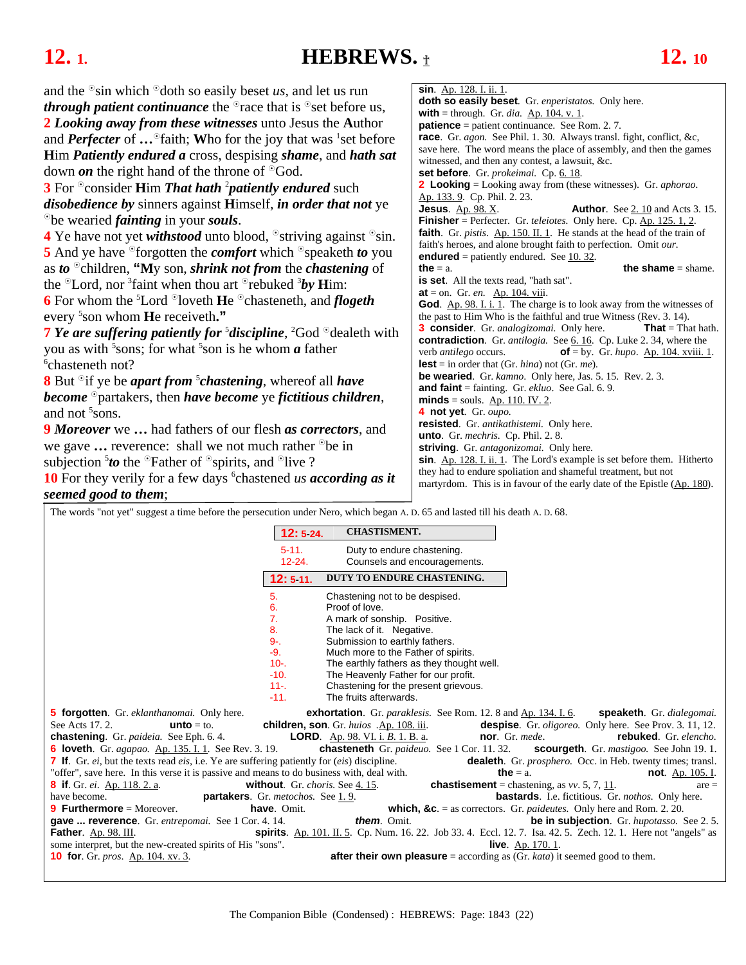### <span id="page-21-0"></span>**12.** 1. **HEBREWS. 12.** 10

and the  $\delta$ sin which  $\delta$ doth so easily beset *us*, and let us run *through patient continuance* the  $^{\circ}$  race that is  $^{\circ}$  set before us, **2** *Looking away from these witnesses* unto Jesus the **A**uthor and *Perfecter* of ... <sup>o</sup>faith; Who for the joy that was <sup>1</sup>set before

**H**im *Patiently endured a* cross, despising *shame*, and *hath sat* down *on* the right hand of the throne of  $\partial$ God.

**3** For <sup>o</sup>consider **Him** *That hath* <sup>2</sup>*patiently endured* such *disobedience by* sinners against **H**imself, *in order that not* ye be wearied *fainting* in your *souls*.

**4** Ye have not yet *withstood* unto blood,  $\delta$  striving against  $\delta$  sin. **5** And ye have <sup>o</sup>forgotten the *comfort* which <sup>o</sup>speaketh *to* you as *to*  $\degree$ children, "My son, *shrink not from* the *chastening* of the <sup>o</sup>Lord, nor <sup>3</sup> faint when thou art <sup>o</sup>rebuked <sup>3</sup>*by* **H**im: **6** For whom the <sup>5</sup>Lord <sup>o</sup>loveth **He** <sup>o</sup>chasteneth, and *flogeth* 

every 5 son whom **H**e receiveth**." 7** *Ye are suffering patiently for <sup>5</sup> discipline*, <sup>2</sup>God <sup>o</sup>dealeth with you as with <sup>5</sup> sons; for what <sup>5</sup> son is he whom *a* father  $\frac{6}{5}$  chostopath not? <sup>6</sup>chasteneth not?

**8** But <sup>o</sup> if ye be *apart from* <sup>5</sup>*chastening*, whereof all *have become* partakers, then *have become* ye *fictitious children*, and not <sup>5</sup> sons.

**9** *Moreover* we **…** had fathers of our flesh *as correctors*, and we gave ... reverence: shall we not much rather <sup>the</sup> in subjection  $5$  to the  $\textdegree$ Father of  $\textdegree$ spirits, and  $\textdegree$ live ?

10 For they verily for a few days <sup>6</sup>chastened *us according as it seemed good to them*;

| sin. Ap. 128. I. ii. 1.                                                                                                                   |  |  |
|-------------------------------------------------------------------------------------------------------------------------------------------|--|--|
| <b>doth so easily beset</b> . Gr. <i>enperistatos</i> . Only here.                                                                        |  |  |
| <b>with</b> = through. Gr. <i>dia</i> . $\underline{Ap. 104. v. 1}$ .                                                                     |  |  |
| <b>patience</b> = patient continuance. See Rom. 2.7.                                                                                      |  |  |
| race. Gr. agon. See Phil. 1. 30. Always transl. fight, conflict, &c,                                                                      |  |  |
| save here. The word means the place of assembly, and then the games                                                                       |  |  |
| witnessed, and then any contest, a lawsuit, &c.                                                                                           |  |  |
| set before. Gr. prokeimai. Cp. 6. 18.                                                                                                     |  |  |
| <b>2 Looking</b> = Looking away from (these witnesses). Gr. <i>aphorao</i> .                                                              |  |  |
| Ap. 133. 9. Cp. Phil. 2. 23.                                                                                                              |  |  |
| <b>Jesus</b> . Ap. 98. X.<br><b>Author.</b> See 2.10 and Acts 3.15.                                                                       |  |  |
| Finisher = Perfecter. Gr. teleiotes. Only here. Cp. Ap. 125. 1, 2.                                                                        |  |  |
| faith. Gr. pistis. Ap. 150. II. 1. He stands at the head of the train of                                                                  |  |  |
| faith's heroes, and alone brought faith to perfection. Omit our.                                                                          |  |  |
| <b>endured</b> = patiently endured. See 10.32.                                                                                            |  |  |
| the $=$ a.<br>the shame $=$ shame.                                                                                                        |  |  |
| <b>is set.</b> All the texts read, "hath sat".                                                                                            |  |  |
| $at = on$ . Gr. en. $Ap. 104$ . viii.                                                                                                     |  |  |
| God. Ap. 98. I. i. 1. The charge is to look away from the witnesses of                                                                    |  |  |
| the past to Him Who is the faithful and true Witness (Rev. 3. 14).                                                                        |  |  |
| <b>3 consider</b> . Gr. analogizomai. Only here.<br><b>That</b> = That hath.                                                              |  |  |
| <b>contradiction</b> . Gr. <i>antilogia</i> . See 6. 16. Cp. Luke 2. 34, where the                                                        |  |  |
| of = by. Gr. $hupo.$ Ap. 104. xviii. 1.<br>verb <i>antilego</i> occurs.                                                                   |  |  |
| <b>lest</b> = in order that (Gr. <i>hina</i> ) not (Gr. <i>me</i> ).                                                                      |  |  |
| <b>be wearied.</b> Gr. kamno. Only here, Jas. 5. 15. Rev. 2. 3.                                                                           |  |  |
| and faint = fainting. Gr. $ekluo$ . See Gal. 6.9.                                                                                         |  |  |
| $minds = \text{souls. Ap. 110. IV. 2.}$                                                                                                   |  |  |
| 4 not yet. Gr. oupo.                                                                                                                      |  |  |
| resisted. Gr. antikathistemi. Only here.                                                                                                  |  |  |
| <b>unto</b> . Gr. <i>mechris</i> . Cp. Phil. 2. 8.                                                                                        |  |  |
| striving. Gr. antagonizomai. Only here.                                                                                                   |  |  |
| sin. Ap. 128. I. ii. 1. The Lord's example is set before them. Hitherto                                                                   |  |  |
|                                                                                                                                           |  |  |
| they had to endure spoliation and shameful treatment, but not<br>martyrdom. This is in favour of the early date of the Epistle (Ap. 180). |  |  |

The words "not yet" suggest a time before the persecution under Nero, which began A. D. 65 and lasted till his death A. D. 68.

| 12:5 24.                                                                                    | <b>CHASTISMENT.</b>                                                                  |                                                                                                                 |
|---------------------------------------------------------------------------------------------|--------------------------------------------------------------------------------------|-----------------------------------------------------------------------------------------------------------------|
| $5-11.$                                                                                     | Duty to endure chastening.                                                           |                                                                                                                 |
| $12 - 24.$                                                                                  | Counsels and encouragements.                                                         |                                                                                                                 |
| 12:511.                                                                                     | DUTY TO ENDURE CHASTENING.                                                           |                                                                                                                 |
| 5.                                                                                          | Chastening not to be despised.                                                       |                                                                                                                 |
| 6.                                                                                          | Proof of love.                                                                       |                                                                                                                 |
| $\overline{7}$ .                                                                            | A mark of sonship. Positive.                                                         |                                                                                                                 |
| 8.                                                                                          | The lack of it. Negative.                                                            |                                                                                                                 |
| $9 -$                                                                                       | Submission to earthly fathers.                                                       |                                                                                                                 |
| $-9.$                                                                                       | Much more to the Father of spirits.                                                  |                                                                                                                 |
| $10 -$                                                                                      | The earthly fathers as they thought well.                                            |                                                                                                                 |
| $-10.$                                                                                      | The Heavenly Father for our profit.                                                  |                                                                                                                 |
| $11 -$<br>$-11.$                                                                            | Chastening for the present grievous.<br>The fruits afterwards.                       |                                                                                                                 |
|                                                                                             |                                                                                      |                                                                                                                 |
| <b>5 forgotten</b> . Gr. <i>eklanthanomai</i> . Only here.                                  |                                                                                      | <b>exhortation</b> . Gr. paraklesis. See Rom. 12. 8 and Ap. 134. I. 6. <b>speaketh</b> . Gr. dialegomai.        |
| See Acts 17, 2.<br>$unto = to.$                                                             | children, son. Gr. huios .Ap. 108. iii.                                              | despise. Gr. <i>oligoreo</i> . Only here. See Prov. 3. 11, 12.                                                  |
| <b>chastening</b> . Gr. <i>paideia</i> . See Eph. 6.4.                                      | <b>LORD.</b> Ap. 98. VI. i. B. 1. B. a.                                              | <b>nor</b> . Gr. mede.<br>rebuked. Gr. elencho.                                                                 |
| <b>6 loveth</b> . Gr. <i>agapao</i> . Ap. 135. I. 1. See Rev. 3. 19.                        | <b>chasteneth</b> Gr. paideuo. See 1 Cor. 11. 32.                                    | <b>scourgeth</b> . Gr. <i>mastigoo</i> . See John 19.1.                                                         |
| 7 If. Gr. ei, but the texts read eis, i.e. Ye are suffering patiently for (eis) discipline. |                                                                                      | <b>dealeth</b> . Gr. <i>prosphero</i> . Occ. in Heb. twenty times; transl.                                      |
| "offer", save here. In this verse it is passive and means to do business with, deal with.   |                                                                                      | the $=$ a.<br><b>not</b> . Ap. 105. I.                                                                          |
| <b>8</b> if Gr. <i>ei</i> . Ap. 118. 2. a.                                                  | without. Gr. choris. See 4.15.                                                       | <b>chastisement</b> = chastening, as $vv$ . 5, 7, 11.<br>$are =$                                                |
| have become.<br><b>partakers</b> . Gr. metochos. See 1.9.                                   |                                                                                      | bastards. I.e. fictitious. Gr. nothos. Only here.                                                               |
| <b>9 Furthermore</b> = Moreover.<br>have. Omit.                                             |                                                                                      | which, &c. $=$ as correctors. Gr. <i>paidentes</i> . Only here and Rom. 2. 20.                                  |
| gave  reverence. Gr. entrepomai. See 1 Cor. 4. 14.                                          | them. Omit.                                                                          | <b>be in subjection.</b> Gr. <i>hupotasso</i> . See 2.5.                                                        |
| Father. Ap. 98. III.                                                                        |                                                                                      | spirits. Ap. 101. II. 5. Cp. Num. 16. 22. Job 33. 4. Eccl. 12. 7. Isa. 42. 5. Zech. 12. 1. Here not "angels" as |
| some interpret, but the new-created spirits of His "sons".                                  |                                                                                      | <b>live.</b> Ap. $170.1$ .                                                                                      |
| <b>10 for.</b> Gr. <i>pros.</i> Ap. 104. xv. 3.                                             | <b>after their own pleasure</b> = according as (Gr. $kata$ ) it seemed good to them. |                                                                                                                 |
|                                                                                             |                                                                                      |                                                                                                                 |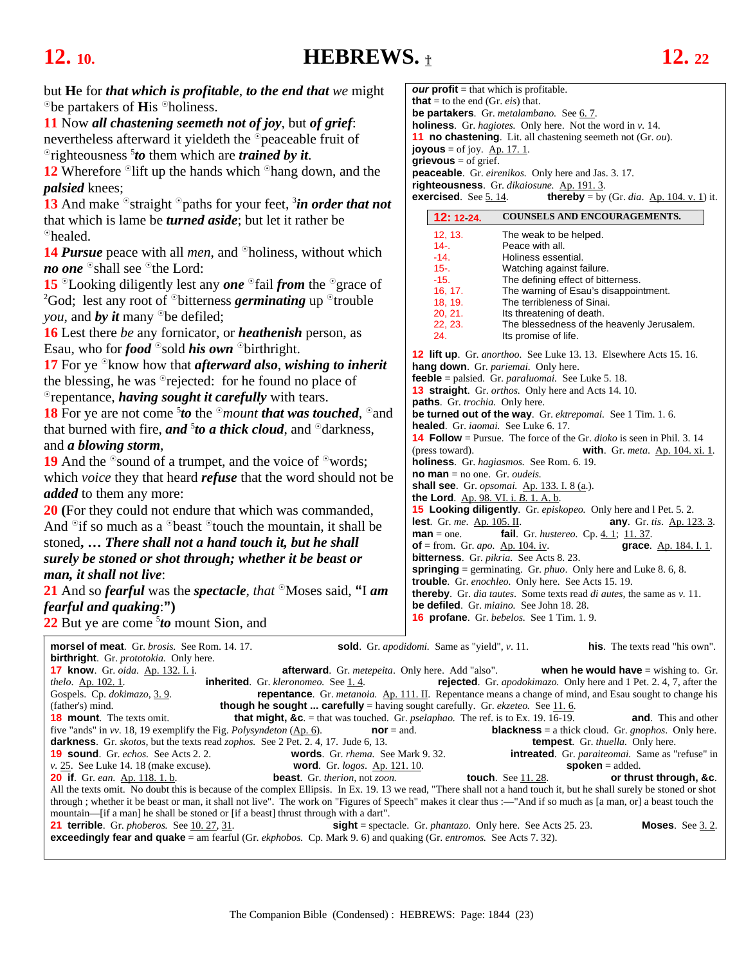## <span id="page-22-0"></span>**12.** 10. **HEBREWS.**  $\textbf{t}$  **12.** 22

| but He for <i>that which is profitable, to the end that we</i> might                                                                                                                                                                                                                                          | <b><i>our</i></b> profit = that which is profitable.                                                                             |  |
|---------------------------------------------------------------------------------------------------------------------------------------------------------------------------------------------------------------------------------------------------------------------------------------------------------------|----------------------------------------------------------------------------------------------------------------------------------|--|
| <sup>o</sup> be partakers of <b>H</b> is <sup>o</sup> holiness.                                                                                                                                                                                                                                               | <b>that</b> = to the end (Gr. <i>eis</i> ) that.                                                                                 |  |
| 11 Now all chastening seemeth not of joy, but of grief:                                                                                                                                                                                                                                                       | be partakers. Gr. metalambano. See 6.7.<br><b>holiness</b> . Gr. <i>hagiotes</i> . Only here. Not the word in $v$ . 14.          |  |
| nevertheless afterward it yieldeth the <sup>o</sup> peaceable fruit of                                                                                                                                                                                                                                        | <b>11 no chastening</b> . Lit. all chastening seemeth not (Gr. ou).                                                              |  |
| $\sigma$ righteousness <i>to</i> them which are <i>trained by it.</i>                                                                                                                                                                                                                                         | <b>joyous</b> = of joy. $\overline{Ap. 17. 1}$ .                                                                                 |  |
| 12 Wherefore $\delta$ lift up the hands which $\delta$ hang down, and the                                                                                                                                                                                                                                     | $grievous = of grief.$                                                                                                           |  |
|                                                                                                                                                                                                                                                                                                               | <b>peaceable</b> . Gr. <i>eirenikos</i> . Only here and Jas. 3. 17.<br>righteousness. Gr. dikaiosune. Ap. 191.3.                 |  |
| <i>palsied</i> knees;<br>13 And make $\circ$ straight $\circ$ paths for your feet, $\frac{3}{2}$ <i>in order that not</i>                                                                                                                                                                                     | <b>thereby</b> = by (Gr. dia. $\underline{Ap. 104. v. 1}$ ) it.<br><b>exercised.</b> See $5.14$ .                                |  |
|                                                                                                                                                                                                                                                                                                               | <b>COUNSELS AND ENCOURAGEMENTS.</b><br>12: 12:24.                                                                                |  |
| that which is lame be <i>turned aside</i> ; but let it rather be                                                                                                                                                                                                                                              | 12, 13.                                                                                                                          |  |
| <sup>o</sup> healed.                                                                                                                                                                                                                                                                                          | The weak to be helped.<br>$14 -$<br>Peace with all.                                                                              |  |
| <b>14 Pursue</b> peace with all <i>men</i> , and <sup>o</sup> holiness, without which                                                                                                                                                                                                                         | $-14.$<br>Holiness essential.                                                                                                    |  |
| no one <sup>o</sup> shall see <sup>o</sup> the Lord:                                                                                                                                                                                                                                                          | $15 -$<br>Watching against failure.<br>$-15.$<br>The defining effect of bitterness.                                              |  |
| 15 $\degree$ Looking diligently lest any one $\degree$ fail from the $\degree$ grace of                                                                                                                                                                                                                       | 16, 17.<br>The warning of Esau's disappointment.                                                                                 |  |
| <sup>2</sup> God; lest any root of $\partial$ bitterness <i>germinating</i> up $\partial$ trouble                                                                                                                                                                                                             | 18, 19.<br>The terribleness of Sinai.                                                                                            |  |
| <i>you</i> , and <b><i>by</i></b> it many $\degree$ be defiled;                                                                                                                                                                                                                                               | 20, 21.<br>Its threatening of death.<br>The blessedness of the heavenly Jerusalem.<br>22, 23.                                    |  |
| <b>16</b> Lest there <i>be</i> any fornicator, or <i>heathenish</i> person, as                                                                                                                                                                                                                                | 24.<br>Its promise of life.                                                                                                      |  |
| Esau, who for <b>food</b> $\circ$ sold <b>his own</b> $\circ$ birthright.                                                                                                                                                                                                                                     | <b>12 lift up.</b> Gr. anorthoo. See Luke 13. 13. Elsewhere Acts 15. 16.                                                         |  |
| 17 For ye $\mathcal{O}_{\mathbf{X}}$ know how that <i>afterward also, wishing to inherit</i>                                                                                                                                                                                                                  | hang down. Gr. pariemai. Only here.                                                                                              |  |
| the blessing, he was <sup>o</sup> rejected: for he found no place of                                                                                                                                                                                                                                          | <b>feeble</b> = palsied. Gr. paraluomai. See Luke 5.18.                                                                          |  |
| <sup>o</sup> repentance, <i>having sought it carefully</i> with tears.                                                                                                                                                                                                                                        | 13 straight. Gr. orthos. Only here and Acts 14. 10.<br>paths. Gr. trochia. Only here.                                            |  |
| <b>18</b> For ye are not come <sup>5</sup> <i>to</i> the $\degree$ <i>mount that was touched</i> , $\degree$ and                                                                                                                                                                                              | be turned out of the way. Gr. ektrepomai. See 1 Tim. 1.6.                                                                        |  |
| that burned with fire, and <sup>5</sup> to a thick cloud, and $\partial$ darkness,                                                                                                                                                                                                                            | healed. Gr. iaomai. See Luke 6. 17.                                                                                              |  |
| and <i>a blowing storm</i> ,                                                                                                                                                                                                                                                                                  | <b>14 Follow</b> = Pursue. The force of the Gr. $dioko$ is seen in Phil. 3. 14                                                   |  |
| <b>19</b> And the $\degree$ sound of a trumpet, and the voice of $\degree$ words;                                                                                                                                                                                                                             | (press toward).<br><b>with.</b> Gr. meta. Ap. 104. xi. 1.<br>holiness. Gr. hagiasmos. See Rom. 6. 19.                            |  |
| which <i>voice</i> they that heard <i>refuse</i> that the word should not be                                                                                                                                                                                                                                  | <b>no man</b> = no one. Gr. <i>oudeis</i> .                                                                                      |  |
| <i>added</i> to them any more:                                                                                                                                                                                                                                                                                | shall see. Gr. opsomai. Ap. 133. I. 8 (a.).                                                                                      |  |
| 20 (For they could not endure that which was commanded,                                                                                                                                                                                                                                                       | <b>the Lord.</b> Ap. 98. VI. i. B. 1. A. b.<br>15 Looking diligently. Gr. episkopeo. Only here and I Pet. 5. 2.                  |  |
| And $\partial$ if so much as a $\partial$ beast $\partial$ touch the mountain, it shall be                                                                                                                                                                                                                    | lest. Gr. me. Ap. 105. II.<br><b>any.</b> Gr. tis. Ap. 123. 3.                                                                   |  |
| stoned,  There shall not a hand touch it, but he shall                                                                                                                                                                                                                                                        | fail. Gr. hustereo. Cp. 4. 1; 11.37.<br>$man = one.$                                                                             |  |
| surely be stoned or shot through; whether it be beast or                                                                                                                                                                                                                                                      | of = from. Gr. <i>apo.</i> $\underline{\text{Ap. 104. iv}}$ .<br>grace. Ap. 184. I. 1.<br>bitterness. Gr. pikria. See Acts 8.23. |  |
|                                                                                                                                                                                                                                                                                                               | <b>springing</b> = germinating. Gr. $phuo$ . Only here and Luke 8.6, 8.                                                          |  |
| man, it shall not live:                                                                                                                                                                                                                                                                                       | trouble. Gr. enochleo. Only here. See Acts 15.19.                                                                                |  |
| 21 And so <i>fearful</i> was the <i>spectacle</i> , that $\partial$ Moses said, "I am                                                                                                                                                                                                                         | thereby. Gr. dia tautes. Some texts read di autes, the same as v. 11.                                                            |  |
| <i>fearful and quaking</i> :")                                                                                                                                                                                                                                                                                | <b>be defiled</b> . Gr. <i>miaino</i> . See John 18. 28.<br><b>16 profane.</b> Gr. bebelos. See 1 Tim. 1.9.                      |  |
| 22 But ye are come $5$ to mount Sion, and                                                                                                                                                                                                                                                                     |                                                                                                                                  |  |
| <b>morsel of meat.</b> Gr. <i>brosis.</i> See Rom. 14. 17.                                                                                                                                                                                                                                                    | his. The texts read "his own".<br><b>sold</b> . Gr. <i>apodidomi</i> . Same as "yield", v. 11.                                   |  |
| <b>birthright</b> . Gr. <i>prototokia</i> . Only here.                                                                                                                                                                                                                                                        |                                                                                                                                  |  |
| <b>17 know</b> . Gr. oida. Ap. 132. I. i.<br><b>afterward</b> . Gr. <i>metepeita</i> . Only here. Add "also".<br>inherited. Gr. kleronomeo. See 1.4.                                                                                                                                                          | when he would have $=$ wishing to. Gr.                                                                                           |  |
| <b>rejected</b> . Gr. <i>apodokimazo</i> . Only here and 1 Pet. 2. 4, 7, after the<br>thelo. Ap. 102. 1.<br>repentance. Gr. metanoia. Ap. 111. II. Repentance means a change of mind, and Esau sought to change his<br>Gospels. Cp. dokimazo, 3.9.                                                            |                                                                                                                                  |  |
| <b>though he sought  carefully</b> = having sought carefully. Gr. $ekzeteo$ . See $11.6$ .<br>(father's) mind.                                                                                                                                                                                                |                                                                                                                                  |  |
| <b>that might, &amp;c.</b> = that was touched. Gr. <i>pselaphao</i> . The ref. is to Ex. 19. 16-19.<br><b>18 mount.</b> The texts omit.                                                                                                                                                                       | <b>and</b> . This and other                                                                                                      |  |
| five "ands" in $vv$ . 18, 19 exemplify the Fig. Polysyndeton ( $\underline{Ap. 6}$ ).<br>$nor = and.$<br>darkness. Gr. skotos, but the texts read zophos. See 2 Pet. 2. 4, 17. Jude 6, 13.                                                                                                                    | <b>blackness</b> = a thick cloud. Gr. <i>gnophos</i> . Only here.<br><b>tempest</b> . Gr. <i>thuella</i> . Only here.            |  |
| <b>19 sound</b> . Gr. echos. See Acts 2.2.<br>words. Gr. rhema. See Mark 9.32.                                                                                                                                                                                                                                | <b>intreated</b> . Gr. <i>paraiteomai</i> . Same as "refuse" in                                                                  |  |
| $\nu$ . 25. See Luke 14. 18 (make excuse).<br><b>word.</b> Gr. <i>logos.</i> Ap. 121. 10.                                                                                                                                                                                                                     | $s'poken = added.$                                                                                                               |  |
| <b>touch</b> . See 11.28.<br><b>20 if.</b> Gr. ean. Ap. 118. 1. b.<br><b>beast</b> . Gr. therion, not zoon.<br>or thrust through, &c.<br>All the texts omit. No doubt this is because of the complex Ellipsis. In Ex. 19. 13 we read, "There shall not a hand touch it, but he shall surely be stoned or shot |                                                                                                                                  |  |
| through; whether it be beast or man, it shall not live". The work on "Figures of Speech" makes it clear thus :—"And if so much as [a man, or] a beast touch the                                                                                                                                               |                                                                                                                                  |  |
| mountain—[if a man] he shall be stoned or [if a beast] thrust through with a dart".                                                                                                                                                                                                                           |                                                                                                                                  |  |
| $sight$ = spectacle. Gr. <i>phantazo</i> . Only here. See Acts 25. 23.<br><b>21 terrible.</b> Gr. <i>phoberos.</i> See $\underline{10.27, 31}$ .<br><b>Moses.</b> See $3.2$ .                                                                                                                                 |                                                                                                                                  |  |
| exceedingly fear and quake = am fearful (Gr. ekphobos. Cp. Mark 9. 6) and quaking (Gr. entromos. See Acts 7. 32).                                                                                                                                                                                             |                                                                                                                                  |  |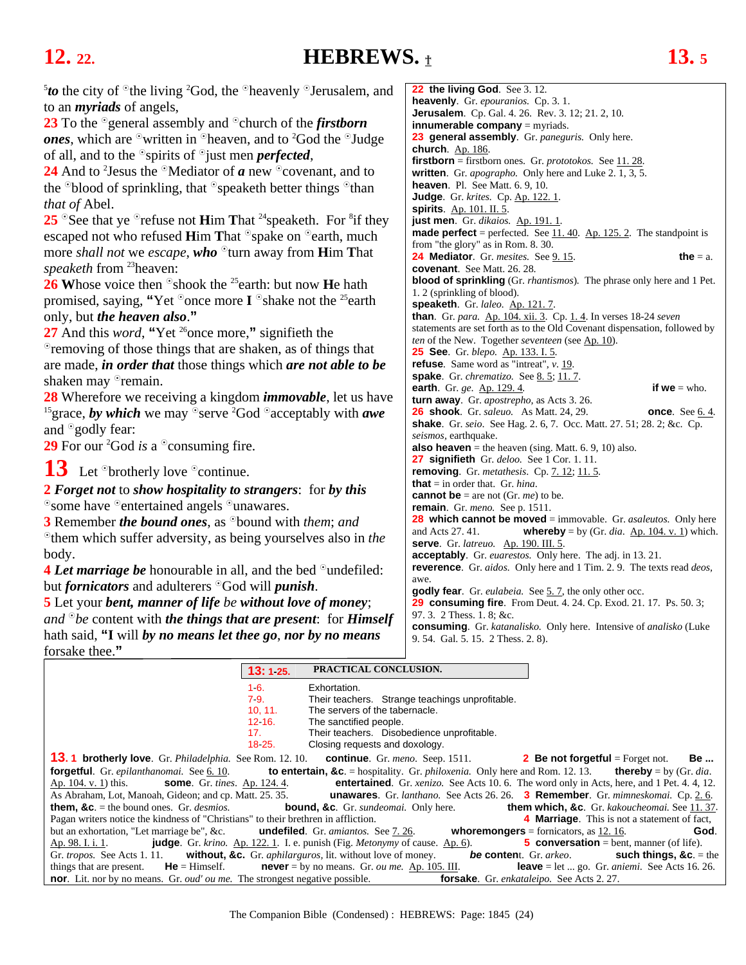## <span id="page-23-0"></span>**12. 22. HEBREWS.** † **13. 5**

| <sup>5</sup> to the city of $\degree$ the living <sup>2</sup> God, the $\degree$ heavenly $\degree$ Jerusalem, and    | 22 the living God. See 3.12.                                                                                     |
|-----------------------------------------------------------------------------------------------------------------------|------------------------------------------------------------------------------------------------------------------|
| to an <i>myriads</i> of angels,                                                                                       | heavenly. Gr. epouranios. Cp. 3.1.                                                                               |
|                                                                                                                       | <b>Jerusalem</b> . Cp. Gal. 4. 26. Rev. 3. 12; 21. 2, 10.                                                        |
| 23 To the <sup>o</sup> general assembly and <sup>o</sup> church of the <i>firstborn</i>                               | <b>innumerable company</b> $=$ myriads.                                                                          |
| <b>ones</b> , which are $\circ$ written in $\circ$ heaven, and to <sup>2</sup> God the $\circ$ Judge                  | 23 general assembly. Gr. paneguris. Only here.                                                                   |
| of all, and to the $\circ$ spirits of $\circ$ just men <i>perfected</i> ,                                             | church. $Ap. 186$ .<br><b>firstborn</b> = firstborn ones. Gr. $prototokos$ . See $11.28$ .                       |
| 24 And to <sup>2</sup> Jesus the $\Omega$ Mediator of <i>a</i> new $\Omega$ covenant, and to                          | written. Gr. <i>apographo</i> . Only here and Luke 2. 1, 3, 5.                                                   |
| the $\degree$ blood of sprinkling, that $\degree$ speaketh better things $\degree$ than                               | heaven. Pl. See Matt. 6. 9, 10.                                                                                  |
|                                                                                                                       | <b>Judge.</b> Gr. krites. Cp. Ap. 122. 1.                                                                        |
| <i>that of Abel.</i>                                                                                                  | spirits. $Ap. 101. II. 5.$                                                                                       |
| 25 $\degree$ See that ye $\degree$ refuse not Him That <sup>24</sup> speaketh. For $\degree$ if they                  | just men. Gr. dikaios. Ap. 191. 1.                                                                               |
| escaped not who refused Him That <sup>o</sup> spake on <sup>o</sup> earth, much                                       | <b>made perfect</b> = perfected. See $\underline{11.40}$ . Ap. 125.2. The standpoint is                          |
|                                                                                                                       | from "the glory" as in Rom. 8. 30.                                                                               |
| more <i>shall not</i> we <i>escape</i> , <b>who</b> $^{\circ}$ turn away from <b>H</b> im That                        | the $=$ a.<br><b>24 Mediator</b> . Gr. mesites. See 9.15.                                                        |
| <i>speaketh</i> from <sup>23</sup> heaven:                                                                            | covenant. See Matt. 26. 28.                                                                                      |
| 26 Whose voice then $\delta$ shook the <sup>25</sup> earth: but now <b>H</b> e hath                                   | <b>blood of sprinkling</b> (Gr. <i>rhantismos</i> ). The phrase only here and 1 Pet.                             |
| promised, saying, "Yet $\degree$ once more I $\degree$ shake not the <sup>25</sup> earth                              | 1. 2 (sprinkling of blood).                                                                                      |
|                                                                                                                       | speaketh. Gr. laleo. Ap. 121.7.<br>than. Gr. para. Ap. 104. xii. 3. Cp. 1. 4. In verses 18-24 seven              |
| only, but <i>the heaven also</i> ."                                                                                   | statements are set forth as to the Old Covenant dispensation, followed by                                        |
| 27 And this <i>word</i> , "Yet <sup>26</sup> once more," signifieth the                                               | ten of the New. Together seventeen (see Ap. 10).                                                                 |
| • removing of those things that are shaken, as of things that                                                         | <b>25 See.</b> Gr. blepo. Ap. 133. I. 5.                                                                         |
| are made, <i>in order that</i> those things which <i>are not able to be</i>                                           | <b>refuse</b> . Same word as "intreat", $v$ . 19.                                                                |
| shaken may <sup>o</sup> remain.                                                                                       | spake. Gr. chrematizo. See 8.5; 11.7.                                                                            |
|                                                                                                                       | if $we = who$ .<br>earth. Gr. ge. Ap. 129. 4.                                                                    |
| 28 Wherefore we receiving a kingdom <i>immovable</i> , let us have                                                    | turn away. Gr. apostrepho, as Acts 3.26.                                                                         |
| <sup>15</sup> grace, by which we may <sup><math>\circ</math></sup> serve <sup>2</sup> God $\circ$ acceptably with awe | <b>26 shook</b> . Gr. <i>saleuo.</i> As Matt. 24, 29.<br>once. See $6.4$ .                                       |
| and <sup>o</sup> godly fear:                                                                                          | <b>shake</b> . Gr. seio. See Hag. 2. 6, 7. Occ. Matt. 27. 51; 28. 2; &c. Cp.                                     |
| 29 For our <sup>2</sup> God <i>is</i> a $\degree$ consuming fire.                                                     | seismos, earthquake.                                                                                             |
|                                                                                                                       | <b>also heaven</b> = the heaven (sing. Matt. $6.9, 10$ ) also.                                                   |
| $13$ Let <sup>o</sup> brotherly love $\degree$ continue.                                                              | <b>27 signifieth</b> Gr. deloo. See 1 Cor. 1. 11.                                                                |
|                                                                                                                       | removing. Gr. metathesis. Cp. 7. 12; 11. 5.<br><b>that</b> = in order that. Gr. <i>hina</i> .                    |
| <b>2</b> Forget not to show hospitality to strangers: for by this                                                     | <b>cannot be</b> = are not (Gr. <i>me</i> ) to be.                                                               |
| <sup>o</sup> some have <sup>o</sup> entertained angels <sup>o</sup> unawares.                                         | <b>remain.</b> Gr. meno. See p. 1511.                                                                            |
| <b>3</b> Remember <i>the bound ones</i> , as <sup>o</sup> bound with <i>them</i> ; and                                | <b>28</b> which cannot be moved $=$ immovable. Gr. <i>asaleutos</i> . Only here                                  |
|                                                                                                                       | and Acts 27.41.<br><b>whereby</b> = by (Gr. dia. $\underline{Ap. 104. v. 1}$ ) which                             |
| $\degree$ them which suffer adversity, as being yourselves also in the                                                | <b>serve.</b> Gr. latreuo. Ap. 190. III. 5.                                                                      |
| body.                                                                                                                 | <b>acceptably</b> . Gr. <i>euarestos</i> . Only here. The adj. in 13.21.                                         |
| <b>4 Let marriage be</b> honourable in all, and the bed <sup>o</sup> undefiled:                                       | <b>reverence.</b> Gr. aidos. Only here and 1 Tim. 2. 9. The texts read deos,                                     |
| but <i>fornicators</i> and adulterers <sup>o</sup> God will <i>punish</i> .                                           | awe.                                                                                                             |
| <b>5</b> Let your bent, manner of life be without love of money;                                                      | <b>godly fear</b> . Gr. <i>eulabeia</i> . See 5.7, the only other occ.                                           |
|                                                                                                                       | 29 consuming fire. From Deut. 4. 24. Cp. Exod. 21. 17. Ps. 50. 3;<br>97. 3. 2 Thess. 1. 8; &c.                   |
| and $\partial^{\circ}$ be content with the things that are present: for Himself                                       | consuming. Gr. katanalisko. Only here. Intensive of analisko (Luke                                               |
| hath said, "I will by no means let thee go, nor by no means                                                           | 9.54. Gal. 5.15. 2 Thess. 2.8).                                                                                  |
| forsake thee."                                                                                                        |                                                                                                                  |
|                                                                                                                       |                                                                                                                  |
| PRACTICAL CONCLUSION.<br>13:125.                                                                                      |                                                                                                                  |
| 16.<br>Exhortation.                                                                                                   |                                                                                                                  |
| 79.                                                                                                                   | Their teachers. Strange teachings unprofitable.                                                                  |
| 10, 11.<br>The servers of the tabernacle.                                                                             |                                                                                                                  |
| 12 16.<br>The sanctified people.<br>Their teachers. Disobedience unprofitable.<br>17.                                 |                                                                                                                  |
| 18 25.<br>Closing requests and doxology.                                                                              |                                                                                                                  |
| <b>13.1 brotherly love.</b> Gr. <i>Philadelphia</i> . See Rom. 12. 10.<br>continue. Gr. meno. Seep. 1511.             | <b>2</b> Be not forgetful = Forget not.<br>ве                                                                    |
| $for each full C_{\text{min}} and each element C_{\text{min}} \notin \{10\}$                                          | <b>to optortain <math>9a</math></b> – hequitality. Cy philosopic, Only have and Dom 12, 12<br>$4$ horobu $1$ $C$ |

**2 Be not forgetful** = Forget not. **Be ... forgetful**. Gr. *epilanthanomai.* See [6. 10.](#page-9-0) **to entertain, &c**. = hospitality. Gr. *philoxenia.* Only here and Rom. 12. 13. **thereby** = by (Gr. *dia*. Ap. 104. v. 1) this. **some**. Gr. *tines*. Ap. 124. 4. **entertained**. Gr. *xenizo.* See Acts 10. 6. The word only in Acts, here, and 1 Pet. 4. 4, 12. As Abraham, Lot, Manoah, Gideon; and cp. Matt. 25. 35. **unawares**. Gr. *lanthano.* See Acts 26. 26. **3 Remember**. Gr. *mimneskomai.* Cp[. 2. 6.](#page-3-0)  **them, &c**. = the bound ones. Gr. *desmios.* **bound, &c**. Gr. *sundeomai.* Only here. **them which, &c**. Gr. *kakoucheomai.* See [11. 37.](#page-20-0) Pagan writers notice the kindness of "Christians" to their brethren in affliction. **4 Marriage**. This is not a statement of fact, but an exhortation, "Let marriage be", &c. **undefiled**. Gr. *amiantos*. See 7.26. **Whoremong** but an exhortation, "Let marriage be", &c. **undefiled**. Gr. *amiantos.* See [7. 26.](#page-12-0) **whoremongers** = fornicators, as [12. 16.](#page-22-0) **God**. Ap. 98. I. i. 1. **judge**. Gr. *krino.* Ap. 122. 1. I. e. punish (Fig. *Metonymy* of cause. Ap. 6). **5 conversation** = bent, manner (of life). Gr. *tropos.* See Acts 1. 11. **without, &c.** Gr. *aphilarguros,* lit. without love of money. *be* **conten**t. Gr. *arkeo*. **such things, &c**. = the things that are present. **He** = Himself. **never** = by no means. Gr. *ou me.* Ap. 105. III. **leave** = let ... go. Gr. *aniemi*. See Acts 16. 26. **nor**. Lit. nor by no means. Gr. *oud' ou me.* The strongest negative possible. **forsake**. Gr. *enkataleipo.* See Acts 2. 27.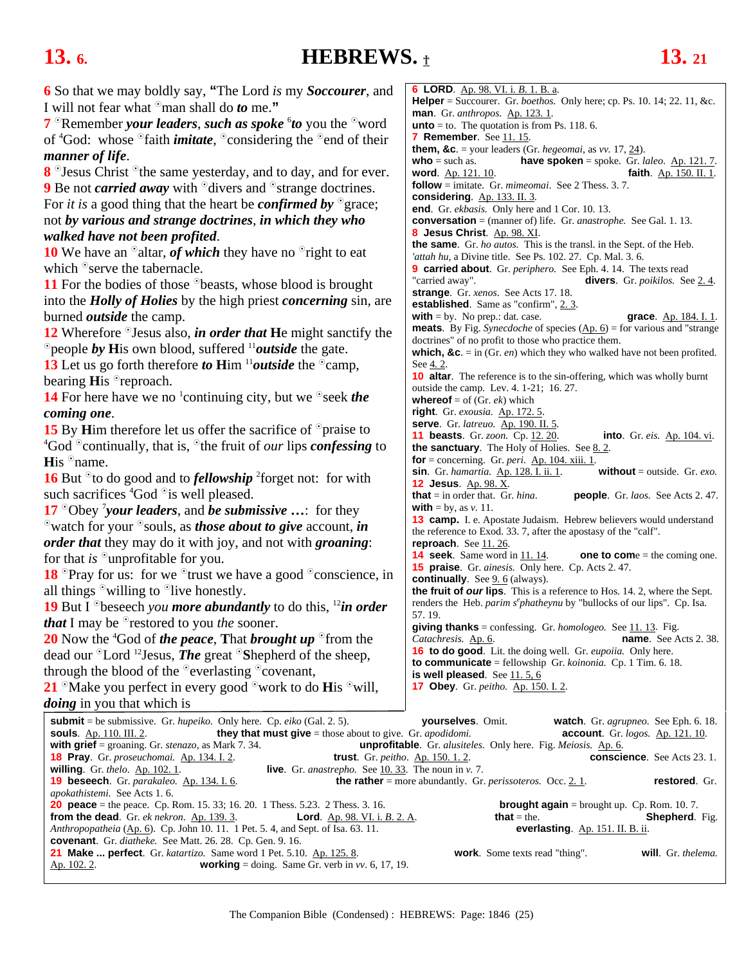### <span id="page-24-0"></span>**13.** 6. **HEBREWS.**  $\textbf{t}$  **13.** 21

| 6 So that we may boldly say, "The Lord is my Soccourer, and                                                                                                                                                                   | <b>6 LORD.</b> Ap. 98. VI. i. B. 1. B. a.                                                                                        |
|-------------------------------------------------------------------------------------------------------------------------------------------------------------------------------------------------------------------------------|----------------------------------------------------------------------------------------------------------------------------------|
| I will not fear what <sup>o</sup> man shall do <i>to</i> me."                                                                                                                                                                 | <b>Helper</b> = Succourer. Gr. <i>boethos.</i> Only here; cp. Ps. 10. 14; 22. 11, &c.                                            |
| 7 <sup>o</sup> Remember your leaders, such as spoke <sup>6</sup> to you the <sup>o</sup> word                                                                                                                                 | man. Gr. anthropos. Ap. 123.1.<br><b>unto</b> $=$ to. The quotation is from Ps. 118. 6.                                          |
| of ${}^4$ God: whose ${}^{\circ}$ faith <i>imitate</i> , ${}^{\circ}$ considering the ${}^{\circ}$ end of their                                                                                                               | <b>7 Remember.</b> See 11.15.                                                                                                    |
|                                                                                                                                                                                                                               | <b>them, &amp;c.</b> = your leaders (Gr. hegeomai, as vv. 17, $\underline{24}$ ).                                                |
| manner of life.                                                                                                                                                                                                               | have spoken = spoke. Gr. laleo. $Ap. 121.7$ .<br>$who = such as.$                                                                |
| 8 <sup>o</sup> Jesus Christ <sup>o</sup> the same yesterday, and to day, and for ever.                                                                                                                                        | word. Ap. 121. 10.<br>faith. Ap. 150. II. 1.                                                                                     |
| <b>9</b> Be not <i>carried away</i> with <sup>o</sup> divers and <sup>o</sup> strange doctrines.                                                                                                                              | <b>follow</b> = imitate. Gr. $minematic$ . See 2 Thess. 3.7.                                                                     |
| For <i>it is</i> a good thing that the heart be <i>confirmed by</i> $^{\circ}$ grace;                                                                                                                                         | considering. Ap. 133. II. 3.<br>end. Gr. ekbasis. Only here and 1 Cor. 10. 13.                                                   |
| not by various and strange doctrines, in which they who                                                                                                                                                                       | <b>conversation</b> = (manner of) life. Gr. <i>anastrophe</i> . See Gal. 1. 13.                                                  |
| walked have not been profited.                                                                                                                                                                                                | 8 Jesus Christ. Ap. 98. XI.                                                                                                      |
|                                                                                                                                                                                                                               | the same. Gr. ho autos. This is the transl. in the Sept. of the Heb.                                                             |
| <b>10</b> We have an $\Omega$ altar, <i>of which</i> they have no $\Omega$ right to eat                                                                                                                                       | 'attah hu, a Divine title. See Ps. 102. 27. Cp. Mal. 3. 6.                                                                       |
| which <sup>o</sup> serve the tabernacle.                                                                                                                                                                                      | <b>9 carried about</b> . Gr. <i>periphero</i> . See Eph. 4. 14. The texts read                                                   |
| <b>11</b> For the bodies of those <sup>o</sup> beasts, whose blood is brought                                                                                                                                                 | "carried away".<br><b>divers</b> . Gr. <i>poikilos</i> . See $2.4$ .<br>strange. Gr. xenos. See Acts 17. 18.                     |
| into the <i>Holly of Holies</i> by the high priest <i>concerning</i> sin, are                                                                                                                                                 | <b>established.</b> Same as "confirm", 2.3.                                                                                      |
| burned <i>outside</i> the camp.                                                                                                                                                                                               | with $=$ by. No prep.: dat. case.<br>grace. Ap. 184. I. 1.                                                                       |
| 12 Wherefore $\degree$ Jesus also, <i>in order that</i> He might sanctify the                                                                                                                                                 | <b>meats</b> . By Fig. Synecdoche of species $(\underline{Ap. 6})$ = for various and "strange                                    |
| $\degree$ people by His own blood, suffered $\degree$ <i>loutside</i> the gate.                                                                                                                                               | doctrines" of no profit to those who practice them.                                                                              |
| 13 Let us go forth therefore to Him $\frac{11}{2}$ outside the $\infty$ camp,                                                                                                                                                 | which, &c. = in (Gr. en) which they who walked have not been profited.<br>See 4.2.                                               |
|                                                                                                                                                                                                                               | <b>10 altar</b> . The reference is to the sin-offering, which was wholly burnt                                                   |
| bearing His <sup>o</sup> reproach.                                                                                                                                                                                            | outside the camp. Lev. 4. 1-21; 16. 27.                                                                                          |
| <b>14</b> For here have we no <sup>1</sup> continuing city, but we $\degree$ seek the                                                                                                                                         | <b>whereof</b> = of (Gr. $ek$ ) which                                                                                            |
| coming one.                                                                                                                                                                                                                   | right. Gr. exousia. Ap. 172. 5.                                                                                                  |
| <b>15</b> By Him therefore let us offer the sacrifice of $\circ$ praise to                                                                                                                                                    | serve. Gr. latreuo. Ap. 190. II. 5.<br><b>11 beasts</b> . Gr. zoon. Cp. 12. 20.<br><b>into</b> . Gr. eis. Ap. 104. vi.           |
| <sup>4</sup> God $\degree$ continually, that is, $\degree$ the fruit of <i>our</i> lips <i>confessing</i> to                                                                                                                  | the sanctuary. The Holy of Holies. See $8.2$ .                                                                                   |
| His <sup>o</sup> name.                                                                                                                                                                                                        | for = concerning. Gr. peri. $Ap. 104. xiii. 1$                                                                                   |
| <b>16</b> But $\degree$ to do good and to <i>fellowship</i> <sup>2</sup> forget not: for with                                                                                                                                 | sin. Gr. hamartia. Ap. 128. I. ii. 1.<br>without = outside. Gr. $exo$ .                                                          |
| such sacrifices ${}^4\text{God}$ ois well pleased.                                                                                                                                                                            | 12 Jesus. Ap. 98. X.                                                                                                             |
|                                                                                                                                                                                                                               | <b>that</b> = in order that. Gr. $hina$ .<br>people. Gr. laos. See Acts 2.47.<br><b>with</b> = by, as $v$ . 11.                  |
| 17 $^{\circ}$ Obey 'your leaders, and be submissive : for they                                                                                                                                                                | 13 camp. I. e. Apostate Judaism. Hebrew believers would understand                                                               |
| $\delta$ watch for your $\delta$ souls, as <i>those about to give</i> account, <i>in</i>                                                                                                                                      | the reference to Exod. 33. 7, after the apostasy of the "calf".                                                                  |
| <i>order that</i> they may do it with joy, and not with <i>groaning</i> :                                                                                                                                                     | reproach. See $11.26$ .                                                                                                          |
| for that is $\Omega$ unprofitable for you.                                                                                                                                                                                    | <b>14 seek.</b> Same word in 11.14.<br><b>one to come</b> = the coming one.<br>15 praise. Gr. ainesis. Only here. Cp. Acts 2.47. |
| <b>18</b> $^{\circ}$ Pray for us: for we $^{\circ}$ trust we have a good $^{\circ}$ conscience, in                                                                                                                            | <b>continually</b> . See $9.6$ (always).                                                                                         |
| all things $\delta$ willing to $\delta$ live honestly.                                                                                                                                                                        | the fruit of our lips. This is a reference to Hos. 14. 2, where the Sept.                                                        |
| <b>19</b> But I <sup>o</sup> beseech you more abundantly to do this, <sup>12</sup> in order                                                                                                                                   | renders the Heb. parim s <sup>e</sup> phatheynu by "bullocks of our lips". Cp. Isa.                                              |
| <i>that</i> I may be <sup>o</sup> restored to you <i>the</i> sooner.                                                                                                                                                          | 57.19.                                                                                                                           |
| 20 Now the ${}^4G$ od of <i>the peace</i> , That <i>brought up</i> ${}^{\circ}$ from the                                                                                                                                      | giving thanks = confessing. Gr. homologeo. See $11.13$ . Fig.<br>Catachresis. Ap. 6.<br><b>name.</b> See Acts 2.38.              |
| dead our $\mathrm{D}\text{Lord}^{-12}$ Jesus, <i>The</i> great $\mathrm{D}\text{S}$ hepherd of the sheep,                                                                                                                     | 16 to do good. Lit. the doing well. Gr. eupoiia. Only here.                                                                      |
|                                                                                                                                                                                                                               | <b>to communicate</b> = fellowship $Gr. koinonia$ . Cp. 1 Tim. 6. 18.                                                            |
| through the blood of the $\degree$ everlasting $\degree$ covenant,                                                                                                                                                            | is well pleased. See $11.5, 6$                                                                                                   |
| 21 $\degree$ Make you perfect in every good $\degree$ work to do His $\degree$ will,                                                                                                                                          | <b>17 Obey.</b> Gr. peitho. Ap. 150. I. 2.                                                                                       |
| <i>doing</i> in you that which is                                                                                                                                                                                             |                                                                                                                                  |
| <b>submit</b> = be submissive. Gr. <i>hupeiko</i> . Only here. Cp. <i>eiko</i> (Gal. 2. 5).                                                                                                                                   | yourselves. Omit.<br>watch. Gr. agrupneo. See Eph. 6. 18.                                                                        |
| they that must give $=$ those about to give. Gr. apodidomi.<br><b>souls.</b> Ap. 110. III. 2.                                                                                                                                 | <b>account</b> . Gr. $logos$ . Ap. 121. 10.                                                                                      |
| with grief = groaning. Gr. $stenazo$ , as Mark 7. 34.                                                                                                                                                                         | <b>unprofitable</b> . Gr. <i>alusiteles</i> . Only here. Fig. <i>Meiosis</i> . Ap. 6.                                            |
| <b>18 Pray.</b> Gr. proseuchomai. Ap. 134. I. 2.<br><b>trust</b> . Gr. $peitho$ . $Ap. 150. 1. 2$ .<br>willing. Gr. $thelo$ . Ap. 102. 1.<br><b>live</b> . Gr. <i>anastrepho.</i> See $\underline{10.33}$ . The noun in v. 7. | <b>conscience.</b> See Acts 23.1.                                                                                                |
| 19 beseech. Gr. parakaleo. Ap. 134. I. 6.                                                                                                                                                                                     | <b>the rather</b> = more abundantly. Gr. <i>perissoteros.</i> Occ. $2.1$ .<br>restored. Gr.                                      |
| apokathistemi. See Acts 1.6.                                                                                                                                                                                                  |                                                                                                                                  |
| <b>20 peace</b> = the peace. Cp. Rom. 15. 33; 16. 20. 1 Thess. 5.23. 2 Thess. 3. 16.                                                                                                                                          | <b>brought again</b> = brought up. $C_p$ . Rom. 10. 7.                                                                           |
| from the dead. Gr. ek nekron. Ap. 139. 3.<br><b>Lord.</b> Ap. 98. VI. i. B. 2. A.<br>Anthropopatheia $(\underline{Ap. 6})$ . Cp. John 10. 11. 1 Pet. 5. 4, and Sept. of Isa. 63. 11.                                          | <b>that</b> = the.<br><b>Shepherd.</b> Fig.<br>everlasting. Ap. 151. II. B. ii.                                                  |
| covenant. Gr. diatheke. See Matt. 26. 28. Cp. Gen. 9. 16.                                                                                                                                                                     |                                                                                                                                  |
| <b>21 Make  perfect</b> . Gr. katartizo. Same word 1 Pet. 5.10. Ap. 125. 8.                                                                                                                                                   | will. Gr. thelema.<br><b>work</b> . Some texts read "thing".                                                                     |
| <b>working</b> = doing. Same Gr. verb in $vv$ . 6, 17, 19.<br><u>Ap. 102. 2</u> .                                                                                                                                             |                                                                                                                                  |